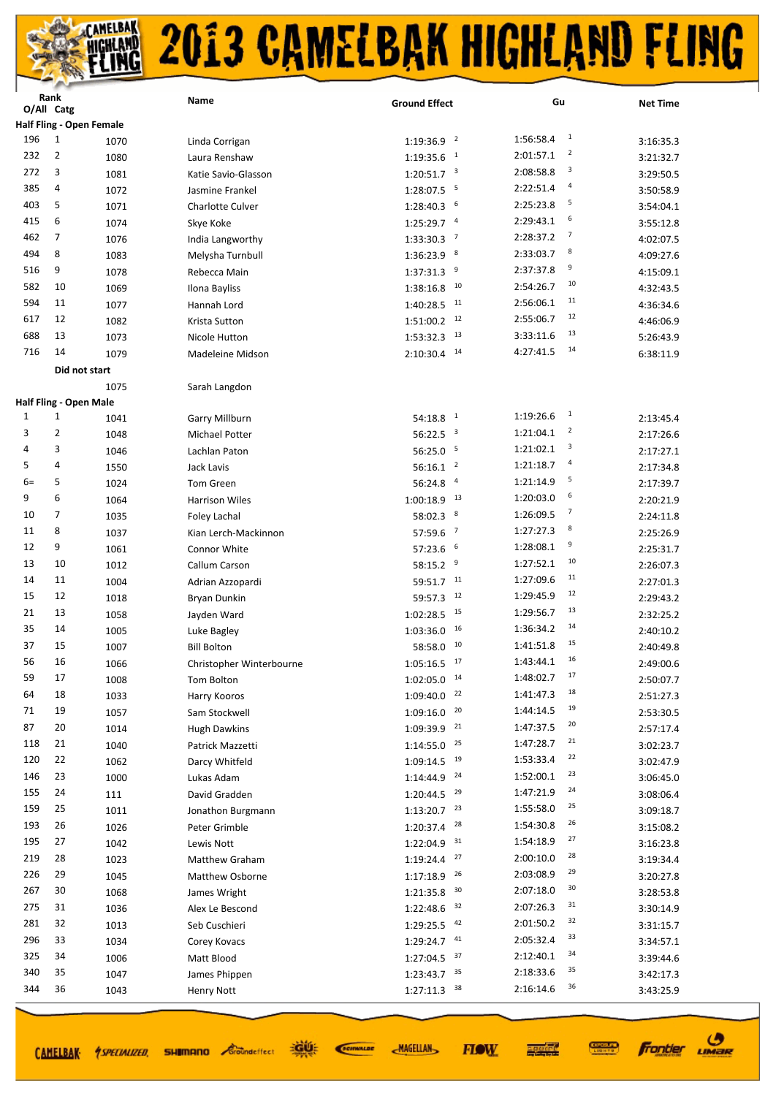|      | Rank<br>O/All Catg |                                       | Name                            | <b>Ground Effect</b>               | Gu                          | <b>Net Time</b>        |
|------|--------------------|---------------------------------------|---------------------------------|------------------------------------|-----------------------------|------------------------|
|      |                    | Half Fling - Open Female              |                                 |                                    |                             |                        |
| 196  | $\mathbf{1}$       | 1070                                  | Linda Corrigan                  | $\overline{2}$<br>1:19:36.9        | $\mathbf{1}$<br>1:56:58.4   | 3:16:35.3              |
| 232  | $\overline{2}$     | 1080                                  | Laura Renshaw                   | $\mathbf{1}$<br>1:19:35.6          | $\overline{2}$<br>2:01:57.1 | 3:21:32.7              |
| 272  | 3                  | 1081                                  | Katie Savio-Glasson             | $1:20:51.7$ <sup>3</sup>           | 3<br>2:08:58.8              | 3:29:50.5              |
| 385  | 4                  | 1072                                  | Jasmine Frankel                 | - 5<br>1:28:07.5                   | $\overline{a}$<br>2:22:51.4 | 3:50:58.9              |
| 403  | 5                  | 1071                                  | <b>Charlotte Culver</b>         | 1:28:40.3<br>6                     | 5<br>2:25:23.8              | 3:54:04.1              |
| 415  | 6                  | 1074                                  | Skye Koke                       | $\overline{4}$<br>1:25:29.7        | 6<br>2:29:43.1              | 3:55:12.8              |
| 462  | 7                  | 1076                                  | India Langworthy                | $\overline{7}$<br>1:33:30.3        | $\overline{7}$<br>2:28:37.2 | 4:02:07.5              |
| 494  | 8                  | 1083                                  | Melysha Turnbull                | 8<br>1:36:23.9                     | 8<br>2:33:03.7              | 4:09:27.6              |
| 516  | 9                  | 1078                                  | Rebecca Main                    | 9<br>1:37:31.3                     | 9<br>2:37:37.8              | 4:15:09.1              |
| 582  | 10                 | 1069                                  | Ilona Bayliss                   | 10<br>1:38:16.8                    | 10<br>2:54:26.7             | 4:32:43.5              |
| 594  | 11                 | 1077                                  | Hannah Lord                     | 11<br>1:40:28.5                    | 11<br>2:56:06.1             | 4:36:34.6              |
| 617  | 12                 |                                       |                                 | 12                                 | 12<br>2:55:06.7             |                        |
| 688  | 13                 | 1082                                  | Krista Sutton                   | 1:51:00.2<br>13                    | 13<br>3:33:11.6             | 4:46:06.9              |
| 716  | 14                 | 1073                                  | Nicole Hutton                   | 1:53:32.3<br>14                    | 14<br>4:27:41.5             | 5:26:43.9              |
|      |                    | 1079                                  | Madeleine Midson                | 2:10:30.4                          |                             | 6:38:11.9              |
|      |                    | Did not start                         |                                 |                                    |                             |                        |
|      |                    | 1075<br><b>Half Fling - Open Male</b> | Sarah Langdon                   |                                    |                             |                        |
| 1    | 1                  | 1041                                  | <b>Garry Millburn</b>           | $\mathbf{1}$<br>54:18.8            | $\mathbf{1}$<br>1:19:26.6   | 2:13:45.4              |
| 3    | 2                  | 1048                                  | Michael Potter                  | 56:22.5<br>$\overline{\mathbf{3}}$ | $\overline{2}$<br>1:21:04.1 | 2:17:26.6              |
| 4    | 3                  | 1046                                  | Lachlan Paton                   | 56:25.0<br>5                       | 3<br>1:21:02.1              | 2:17:27.1              |
| 5    | 4                  |                                       | Jack Lavis                      | $\overline{2}$<br>56:16.1          | 4<br>1:21:18.7              |                        |
| $6=$ | 5                  | 1550<br>1024                          | Tom Green                       | $\overline{a}$<br>56:24.8          | 5<br>1:21:14.9              | 2:17:34.8              |
| 9    | 6                  |                                       |                                 | 13                                 | 6<br>1:20:03.0              | 2:17:39.7              |
| 10   | 7                  | 1064                                  | <b>Harrison Wiles</b>           | 1:00:18.9<br>8                     | $\overline{7}$<br>1:26:09.5 | 2:20:21.9              |
| 11   | 8                  | 1035                                  | Foley Lachal                    | 58:02.3<br>$\overline{7}$          | 8<br>1:27:27.3              | 2:24:11.8              |
| 12   | 9                  | 1037                                  | Kian Lerch-Mackinnon            | 57:59.6<br>6                       | 9<br>1:28:08.1              | 2:25:26.9              |
| 13   | 10                 | 1061                                  | Connor White                    | 57:23.6<br>9                       | 10<br>1:27:52.1             | 2:25:31.7              |
| 14   | 11                 | 1012                                  | Callum Carson                   | 58:15.2<br>11                      | 11<br>1:27:09.6             | 2:26:07.3              |
| 15   | 12                 | 1004                                  | Adrian Azzopardi                | 59:51.7<br>12                      | 12<br>1:29:45.9             | 2:27:01.3              |
| 21   | 13                 | 1018<br>1058                          | <b>Bryan Dunkin</b>             | 59:57.3<br>15<br>1:02:28.5         | 13<br>1:29:56.7             | 2:29:43.2              |
| 35   | 14                 |                                       | Jayden Ward                     | 16<br>1:03:36.0                    | 14<br>1:36:34.2             | 2:32:25.2              |
| 37   | 15                 | 1005                                  | Luke Bagley                     | 10<br>58:58.0                      | 15<br>1:41:51.8             | 2:40:10.2<br>2:40:49.8 |
| 56   | 16                 | 1007                                  | <b>Bill Bolton</b>              | 17<br>1:05:16.5                    | 16<br>1:43:44.1             |                        |
| 59   | 17                 | 1066                                  | Christopher Winterbourne        | $1:02:05.0$ <sup>14</sup>          | 17<br>1:48:02.7             | 2:49:00.6              |
| 64   | 18                 | 1008<br>1033                          | Tom Bolton                      | 22<br>1:09:40.0                    | 18<br>1:41:47.3             | 2:50:07.7<br>2:51:27.3 |
| 71   | 19                 | 1057                                  | Harry Kooros<br>Sam Stockwell   | 20<br>1:09:16.0                    | 19<br>1:44:14.5             | 2:53:30.5              |
| 87   | 20                 | 1014                                  | <b>Hugh Dawkins</b>             | 21<br>1:09:39.9                    | 20<br>1:47:37.5             | 2:57:17.4              |
| 118  | 21                 | 1040                                  | Patrick Mazzetti                | 25<br>1:14:55.0                    | 21<br>1:47:28.7             | 3:02:23.7              |
| 120  | 22                 | 1062                                  | Darcy Whitfeld                  | 19<br>1:09:14.5                    | 22<br>1:53:33.4             | 3:02:47.9              |
| 146  | 23                 | 1000                                  | Lukas Adam                      | 24<br>1:14:44.9                    | 23<br>1:52:00.1             | 3:06:45.0              |
| 155  | 24                 | 111                                   | David Gradden                   | 29<br>1:20:44.5                    | 24<br>1:47:21.9             | 3:08:06.4              |
| 159  | 25                 | 1011                                  | Jonathon Burgmann               | 23<br>1:13:20.7                    | 25<br>1:55:58.0             | 3:09:18.7              |
| 193  | 26                 | 1026                                  | Peter Grimble                   | 28<br>1:20:37.4                    | 26<br>1:54:30.8             | 3:15:08.2              |
| 195  | 27                 | 1042                                  | Lewis Nott                      | 31<br>1:22:04.9                    | 27<br>1:54:18.9             | 3:16:23.8              |
| 219  | 28                 | 1023                                  | Matthew Graham                  | 27<br>1:19:24.4                    | 28<br>2:00:10.0             | 3:19:34.4              |
| 226  | 29                 | 1045                                  |                                 | 26                                 | 29<br>2:03:08.9             |                        |
| 267  | 30                 | 1068                                  | Matthew Osborne<br>James Wright | 1:17:18.9<br>30<br>1:21:35.8       | 30<br>2:07:18.0             | 3:20:27.8<br>3:28:53.8 |
| 275  | 31                 | 1036                                  | Alex Le Bescond                 | 32<br>1:22:48.6                    | 31<br>2:07:26.3             | 3:30:14.9              |
| 281  | 32                 | 1013                                  | Seb Cuschieri                   | 42<br>1:29:25.5                    | 32<br>2:01:50.2             | 3:31:15.7              |
| 296  | 33                 | 1034                                  | Corey Kovacs                    | 41<br>1:29:24.7                    | 33<br>2:05:32.4             | 3:34:57.1              |
| 325  | 34                 | 1006                                  | Matt Blood                      | 37<br>1:27:04.5                    | 34<br>2:12:40.1             | 3:39:44.6              |
| 340  | 35                 | 1047                                  | James Phippen                   | 35<br>1:23:43.7                    | 35<br>2:18:33.6             | 3:42:17.3              |
| 344  | 36                 |                                       |                                 | 38<br>1:27:11.3                    | 36<br>2:16:14.6             |                        |
|      |                    | 1043                                  | <b>Henry Nott</b>               |                                    |                             | 3:43:25.9              |

道好 CAMELBAK 4SPECIALIZED, SHIMMANO Coomdeffect

SCIENALDE

**MAGELLAN** 



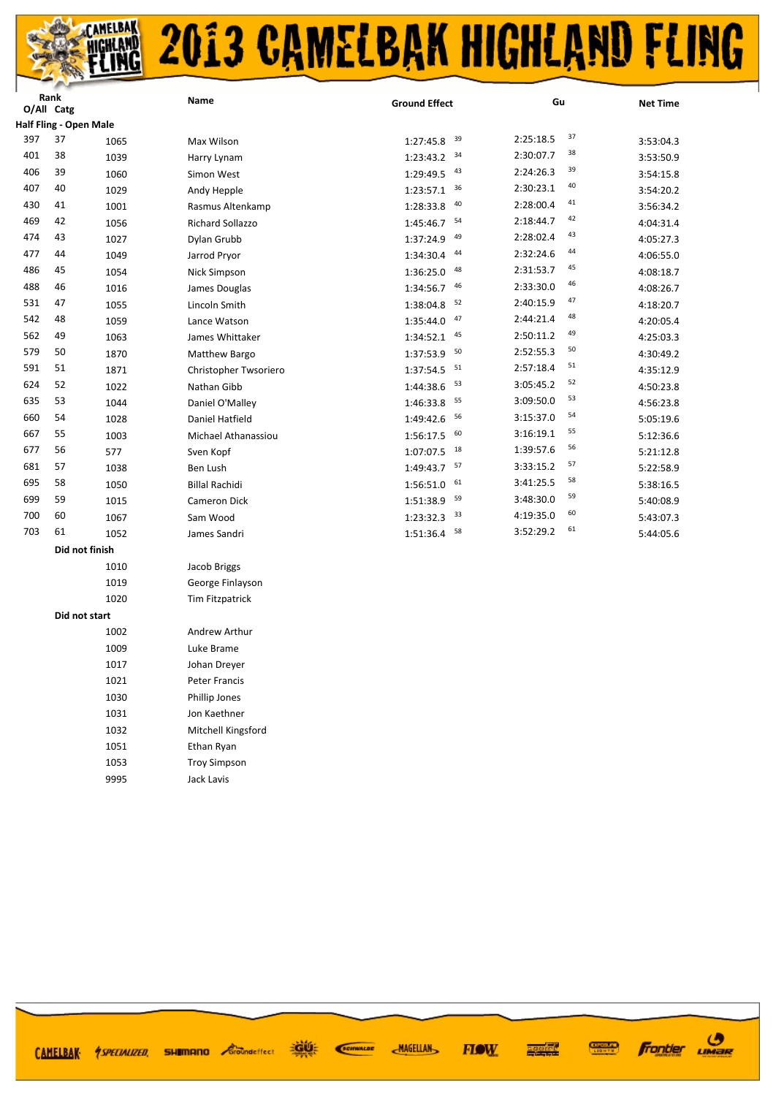## **CAMELBAK**<br>HIGHLAND 2013 CAMELBAK HIGHLAND FLING

|     | Rank<br>O/All Catg     |      | Name                   | <b>Ground Effect</b>      | Gu                  | <b>Net Time</b> |
|-----|------------------------|------|------------------------|---------------------------|---------------------|-----------------|
|     | Half Fling - Open Male |      |                        |                           |                     |                 |
| 397 | 37                     | 1065 | Max Wilson             | 39<br>1:27:45.8           | $37\,$<br>2:25:18.5 | 3:53:04.3       |
| 401 | 38                     | 1039 | Harry Lynam            | 34<br>1:23:43.2           | 38<br>2:30:07.7     | 3:53:50.9       |
| 406 | 39                     | 1060 | Simon West             | 43<br>1:29:49.5           | 39<br>2:24:26.3     | 3:54:15.8       |
| 407 | 40                     | 1029 | Andy Hepple            | 36<br>1:23:57.1           | 40<br>2:30:23.1     | 3:54:20.2       |
| 430 | 41                     | 1001 | Rasmus Altenkamp       | 40<br>1:28:33.8           | 41<br>2:28:00.4     | 3:56:34.2       |
| 469 | 42                     | 1056 | Richard Sollazzo       | $1:45:46.7$ <sup>54</sup> | 42<br>2:18:44.7     | 4:04:31.4       |
| 474 | 43                     | 1027 | Dylan Grubb            | 49<br>1:37:24.9           | 43<br>2:28:02.4     | 4:05:27.3       |
| 477 | 44                     | 1049 | Jarrod Pryor           | 44<br>1:34:30.4           | 44<br>2:32:24.6     | 4:06:55.0       |
| 486 | 45                     | 1054 | Nick Simpson           | 48<br>1:36:25.0           | 45<br>2:31:53.7     | 4:08:18.7       |
| 488 | 46                     | 1016 | James Douglas          | 46<br>1:34:56.7           | 46<br>2:33:30.0     | 4:08:26.7       |
| 531 | 47                     | 1055 | Lincoln Smith          | 52<br>1:38:04.8           | 47<br>2:40:15.9     | 4:18:20.7       |
| 542 | 48                     | 1059 | Lance Watson           | 47<br>1:35:44.0           | 48<br>2:44:21.4     | 4:20:05.4       |
| 562 | 49                     | 1063 | James Whittaker        | 45<br>1:34:52.1           | 49<br>2:50:11.2     | 4:25:03.3       |
| 579 | 50                     | 1870 | Matthew Bargo          | 50<br>1:37:53.9           | 50<br>2:52:55.3     | 4:30:49.2       |
| 591 | 51                     | 1871 | Christopher Twsoriero  | 51<br>1:37:54.5           | 51<br>2:57:18.4     | 4:35:12.9       |
| 624 | 52                     | 1022 | Nathan Gibb            | 53<br>1:44:38.6           | 52<br>3:05:45.2     | 4:50:23.8       |
| 635 | 53                     | 1044 | Daniel O'Malley        | 55<br>1:46:33.8           | 53<br>3:09:50.0     | 4:56:23.8       |
| 660 | 54                     | 1028 | Daniel Hatfield        | 56<br>1:49:42.6           | 54<br>3:15:37.0     | 5:05:19.6       |
| 667 | 55                     | 1003 | Michael Athanassiou    | 60<br>1:56:17.5           | 55<br>3:16:19.1     | 5:12:36.6       |
| 677 | 56                     | 577  | Sven Kopf              | $1:07:07.5$ 18            | 56<br>1:39:57.6     | 5:21:12.8       |
| 681 | 57                     | 1038 | Ben Lush               | $1:49:43.7$ 57            | 57<br>3:33:15.2     | 5:22:58.9       |
| 695 | 58                     | 1050 | <b>Billal Rachidi</b>  | 61<br>1:56:51.0           | 58<br>3:41:25.5     | 5:38:16.5       |
| 699 | 59                     | 1015 | <b>Cameron Dick</b>    | 59<br>1:51:38.9           | 59<br>3:48:30.0     | 5:40:08.9       |
| 700 | 60                     | 1067 | Sam Wood               | 33<br>1:23:32.3           | 60<br>4:19:35.0     | 5:43:07.3       |
| 703 | 61                     | 1052 | James Sandri           | 58<br>1:51:36.4           | 61<br>3:52:29.2     | 5:44:05.6       |
|     | Did not finish         |      |                        |                           |                     |                 |
|     |                        | 1010 | Jacob Briggs           |                           |                     |                 |
|     |                        | 1019 | George Finlayson       |                           |                     |                 |
|     |                        | 1020 | <b>Tim Fitzpatrick</b> |                           |                     |                 |
|     | Did not start          |      |                        |                           |                     |                 |
|     |                        | 1002 | Andrew Arthur          |                           |                     |                 |
|     |                        | 1009 | Luke Brame             |                           |                     |                 |
|     |                        | 1017 | Johan Dreyer           |                           |                     |                 |
|     |                        | 1021 | Peter Francis          |                           |                     |                 |
|     |                        | 1030 | Phillip Jones          |                           |                     |                 |
|     |                        | 1031 | Jon Kaethner           |                           |                     |                 |
|     |                        | 1032 | Mitchell Kingsford     |                           |                     |                 |

 Ethan Ryan Troy Simpson

Jack Lavis

CAMELBAK *MSPECIALIZED* 

**EGIÚ:** SCIENALDE **SHIMANO** *Groundeffect* 



 $\boldsymbol{\vartheta}$ 

LIMER

**frontier** 

**CONDIGURA** 

 $\frac{1}{2}$  and  $\frac{1}{2}$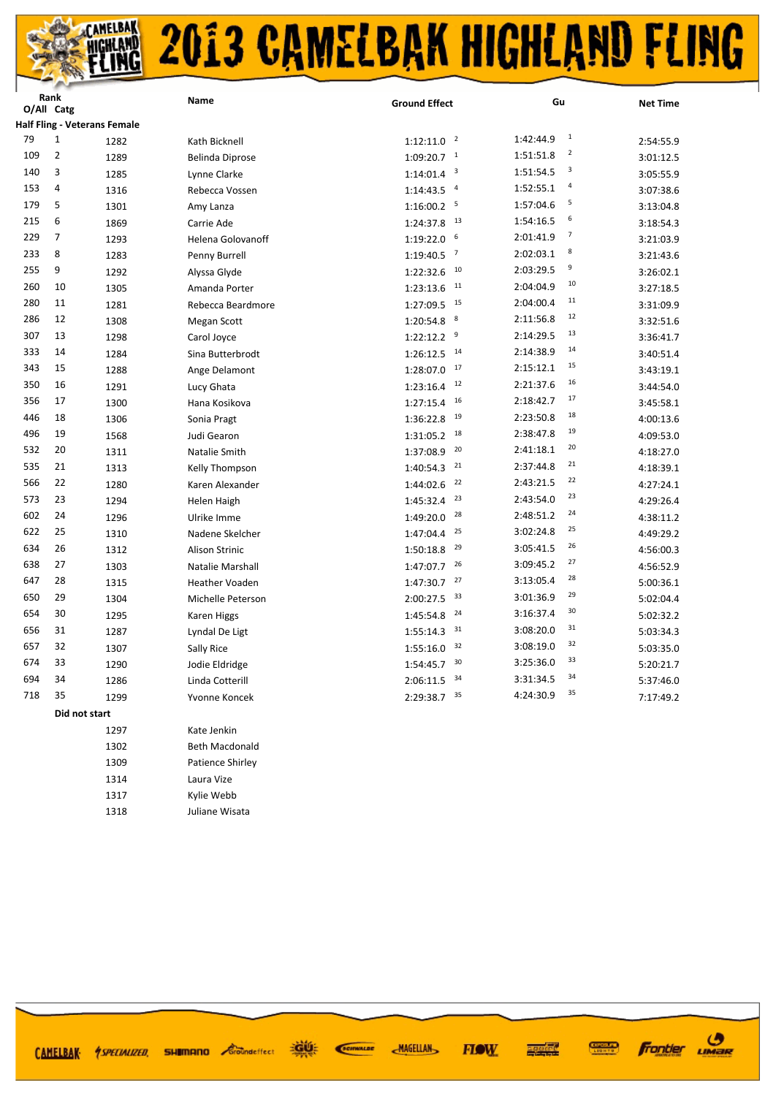|     | O/All Catg     |                                     | <b>Name</b>           | <b>Ground Effect</b>        | Gu                                   | <b>Net Time</b> |
|-----|----------------|-------------------------------------|-----------------------|-----------------------------|--------------------------------------|-----------------|
|     |                | <b>Half Fling - Veterans Female</b> |                       |                             |                                      |                 |
| 79  | $1\,$          | 1282                                | Kath Bicknell         | $1:12:11.0$ <sup>2</sup>    | $\mathbf{1}$<br>1:42:44.9            | 2:54:55.9       |
| 109 | $\overline{2}$ | 1289                                | Belinda Diprose       | $1:09:20.7$ <sup>1</sup>    | $\overline{\mathbf{c}}$<br>1:51:51.8 | 3:01:12.5       |
| 140 | 3              | 1285                                | Lynne Clarke          | $1:14:01.4$ <sup>3</sup>    | 3<br>1:51:54.5                       | 3:05:55.9       |
| 153 | 4              | 1316                                | Rebecca Vossen        | $1:14:43.5$ <sup>4</sup>    | 4<br>1:52:55.1                       | 3:07:38.6       |
| 179 | 5              | 1301                                | Amy Lanza             | $1:16:00.2$ <sup>5</sup>    | 5<br>1:57:04.6                       | 3:13:04.8       |
| 215 | 6              | 1869                                | Carrie Ade            | 13<br>1:24:37.8             | 6<br>1:54:16.5                       | 3:18:54.3       |
| 229 | 7              | 1293                                | Helena Golovanoff     | $1:19:22.0$ 6               | 7<br>2:01:41.9                       | 3:21:03.9       |
| 233 | 8              | 1283                                | Penny Burrell         | $\overline{7}$<br>1:19:40.5 | 8<br>2:02:03.1                       | 3:21:43.6       |
| 255 | 9              | 1292                                | Alyssa Glyde          | 10<br>1:22:32.6             | 9<br>2:03:29.5                       | 3:26:02.1       |
| 260 | 10             | 1305                                | Amanda Porter         | 11<br>1:23:13.6             | 10<br>2:04:04.9                      | 3:27:18.5       |
| 280 | 11             | 1281                                | Rebecca Beardmore     | 15<br>1:27:09.5             | 11<br>2:04:00.4                      | 3:31:09.9       |
| 286 | 12             | 1308                                | Megan Scott           | 8<br>1:20:54.8              | 12<br>2:11:56.8                      | 3:32:51.6       |
| 307 | 13             | 1298                                | Carol Joyce           | $1:22:12.2$ <sup>9</sup>    | 13<br>2:14:29.5                      | 3:36:41.7       |
| 333 | 14             | 1284                                | Sina Butterbrodt      | 14<br>1:26:12.5             | 14<br>2:14:38.9                      | 3:40:51.4       |
| 343 | 15             | 1288                                | Ange Delamont         | 17<br>1:28:07.0             | 15<br>2:15:12.1                      | 3:43:19.1       |
| 350 | 16             | 1291                                | Lucy Ghata            | 12<br>1:23:16.4             | 16<br>2:21:37.6                      | 3:44:54.0       |
| 356 | 17             | 1300                                | Hana Kosikova         | 16<br>1:27:15.4             | 17<br>2:18:42.7                      | 3:45:58.1       |
| 446 | 18             | 1306                                | Sonia Pragt           | 19<br>1:36:22.8             | 18<br>2:23:50.8                      | 4:00:13.6       |
| 496 | 19             | 1568                                | Judi Gearon           | 18<br>1:31:05.2             | 19<br>2:38:47.8                      | 4:09:53.0       |
| 532 | 20             | 1311                                | Natalie Smith         | 20<br>1:37:08.9             | 20<br>2:41:18.1                      | 4:18:27.0       |
| 535 | 21             | 1313                                | Kelly Thompson        | 21<br>1:40:54.3             | 21<br>2:37:44.8                      | 4:18:39.1       |
| 566 | 22             | 1280                                | Karen Alexander       | 22<br>1:44:02.6             | 22<br>2:43:21.5                      | 4:27:24.1       |
| 573 | 23             | 1294                                | Helen Haigh           | 23<br>1:45:32.4             | 23<br>2:43:54.0                      | 4:29:26.4       |
| 602 | 24             | 1296                                | Ulrike Imme           | 28<br>1:49:20.0             | 24<br>2:48:51.2                      | 4:38:11.2       |
| 622 | 25             | 1310                                | Nadene Skelcher       | 25<br>1:47:04.4             | 25<br>3:02:24.8                      | 4:49:29.2       |
| 634 | 26             | 1312                                | <b>Alison Strinic</b> | 29<br>1:50:18.8             | 26<br>3:05:41.5                      | 4:56:00.3       |
| 638 | 27             | 1303                                | Natalie Marshall      | 26<br>1:47:07.7             | 27<br>3:09:45.2                      | 4:56:52.9       |
| 647 | 28             | 1315                                | <b>Heather Voaden</b> | 27<br>1:47:30.7             | 28<br>3:13:05.4                      | 5:00:36.1       |
| 650 | 29             | 1304                                | Michelle Peterson     | 33<br>2:00:27.5             | 29<br>3:01:36.9                      | 5:02:04.4       |
| 654 | 30             | 1295                                | Karen Higgs           | 24<br>1:45:54.8             | 30<br>3:16:37.4                      | 5:02:32.2       |
| 656 | 31             | 1287                                | Lyndal De Ligt        | 31<br>1:55:14.3             | 31<br>3:08:20.0                      | 5:03:34.3       |
| 657 | 32             | 1307                                | Sally Rice            | 32<br>1:55:16.0             | 32<br>3:08:19.0                      | 5:03:35.0       |
| 674 | 33             | 1290                                | Jodie Eldridge        | 30<br>1:54:45.7             | 33<br>3:25:36.0                      | 5:20:21.7       |
| 694 | 34             | 1286                                | Linda Cotterill       | 34<br>2:06:11.5             | 34<br>3:31:34.5                      | 5:37:46.0       |
| 718 | 35             | 1299                                | Yvonne Koncek         | 35<br>2:29:38.7             | 35<br>4:24:30.9                      | 7:17:49.2       |
|     |                | Did not start                       |                       |                             |                                      |                 |
|     |                | 1297                                | Kate Jenkin           |                             |                                      |                 |

| 1302 | Beth Macdonald   |
|------|------------------|
| 1309 | Patience Shirley |
| 1314 | Laura Vize       |
| 1317 | Kylie Webb       |
| 1318 | Juliane Wisata   |

CAMELBAK 1SPECIALIZED, SHIMMANO Condetfect

**Donk** 

SCIENALDE

**ROOM** 

**MAGELLAN FIOW**  **Frontier UMBR** 

**CONNECT** 

再生性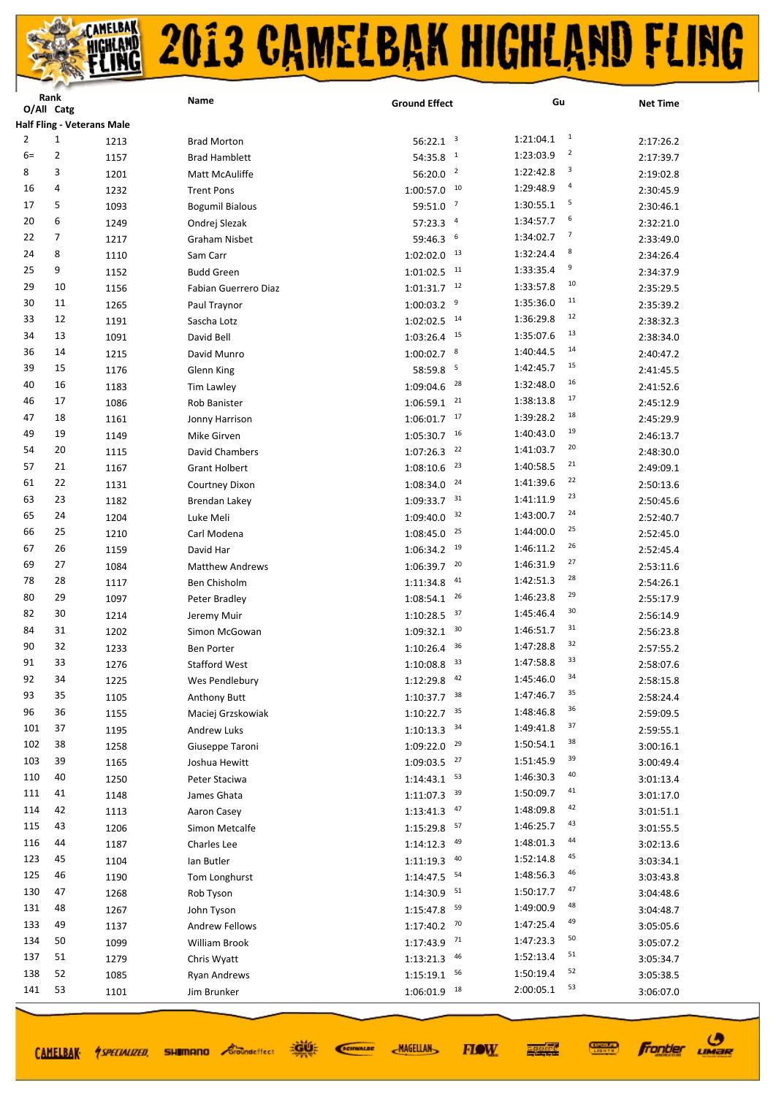|            | nalin<br>O/All Catg               |              | Name                                   | <b>Ground Effect</b>         | Gu                          | <b>Net Time</b>        |
|------------|-----------------------------------|--------------|----------------------------------------|------------------------------|-----------------------------|------------------------|
|            | <b>Half Fling - Veterans Male</b> |              |                                        |                              |                             |                        |
| 2          | 1                                 | 1213         | <b>Brad Morton</b>                     | 56:22.1 <sup>3</sup>         | $\overline{1}$<br>1:21:04.1 | 2:17:26.2              |
| $6=$       | 2                                 | 1157         | <b>Brad Hamblett</b>                   | 54:35.8<br>$\mathbf{1}$      | $\overline{2}$<br>1:23:03.9 | 2:17:39.7              |
| 8          | 3                                 | 1201         | Matt McAuliffe                         | 56:20.0 <sup>2</sup>         | 3<br>1:22:42.8              | 2:19:02.8              |
| 16         | 4                                 | 1232         | <b>Trent Pons</b>                      | 10<br>1:00:57.0              | 4<br>1:29:48.9              | 2:30:45.9              |
| 17         | 5                                 | 1093         | <b>Bogumil Bialous</b>                 | $\overline{7}$<br>59:51.0    | 5<br>1:30:55.1              | 2:30:46.1              |
| 20         | 6                                 | 1249         | Ondrej Slezak                          | $\overline{a}$<br>57:23.3    | 6<br>1:34:57.7              | 2:32:21.0              |
| 22         | 7                                 | 1217         | Graham Nisbet                          | 6<br>59:46.3                 | 7<br>1:34:02.7              | 2:33:49.0              |
| 24         | 8                                 | 1110         | Sam Carr                               | 13<br>1:02:02.0              | 8<br>1:32:24.4              | 2:34:26.4              |
| 25         | 9                                 | 1152         | <b>Budd Green</b>                      | 11<br>1:01:02.5              | 9<br>1:33:35.4              | 2:34:37.9              |
| 29         | 10                                | 1156         | Fabian Guerrero Diaz                   | 12<br>1:01:31.7              | 10<br>1:33:57.8             | 2:35:29.5              |
| 30         | 11                                | 1265         | Paul Traynor                           | 9<br>1:00:03.2               | 11<br>1:35:36.0             | 2:35:39.2              |
| 33         | 12                                | 1191         | Sascha Lotz                            | 14<br>1:02:02.5              | 12<br>1:36:29.8             | 2:38:32.3              |
| 34         | 13                                | 1091         | David Bell                             | 15<br>1:03:26.4              | 13<br>1:35:07.6             | 2:38:34.0              |
| 36         | 14                                | 1215         | David Munro                            | $1:00:02.7$ 8                | 14<br>1:40:44.5             | 2:40:47.2              |
| 39         | 15                                | 1176         | Glenn King                             | 5<br>58:59.8                 | 15<br>1:42:45.7             | 2:41:45.5              |
| 40         | 16                                | 1183         | <b>Tim Lawley</b>                      | 28<br>1:09:04.6              | 16<br>1:32:48.0             | 2:41:52.6              |
| 46         | 17                                | 1086         | Rob Banister                           | 21<br>1:06:59.1              | 17<br>1:38:13.8             | 2:45:12.9              |
| 47         | 18                                | 1161         | Jonny Harrison                         | 17<br>1:06:01.7              | 18<br>1:39:28.2             | 2:45:29.9              |
| 49         | 19                                | 1149         | Mike Girven                            | 16<br>1:05:30.7              | 19<br>1:40:43.0             | 2:46:13.7              |
| 54         | 20                                | 1115         | David Chambers                         | 22<br>1:07:26.3              | 20<br>1:41:03.7             | 2:48:30.0              |
| 57         | 21                                | 1167         | <b>Grant Holbert</b>                   | 23<br>1:08:10.6              | 21<br>1:40:58.5             | 2:49:09.1              |
| 61         | 22                                | 1131         | Courtney Dixon                         | 24<br>1:08:34.0              | 22<br>1:41:39.6             | 2:50:13.6              |
| 63         | 23                                | 1182         | Brendan Lakey                          | 31<br>1:09:33.7              | 23<br>1:41:11.9             | 2:50:45.6              |
| 65         | 24                                | 1204         | Luke Meli                              | 32<br>1:09:40.0              | 24<br>1:43:00.7             | 2:52:40.7              |
| 66         | 25                                |              |                                        | 25<br>1:08:45.0              | 25<br>1:44:00.0             |                        |
| 67         | 26                                | 1210<br>1159 | Carl Modena<br>David Har               | 19<br>1:06:34.2              | 26<br>1:46:11.2             | 2:52:45.0<br>2:52:45.4 |
| 69         | 27                                | 1084         |                                        | 20<br>1:06:39.7              | 27<br>1:46:31.9             |                        |
| 78         | 28                                |              | <b>Matthew Andrews</b><br>Ben Chisholm | 41<br>1:11:34.8              | 28<br>1:42:51.3             | 2:53:11.6              |
| 80         | 29                                | 1117         |                                        | 26<br>1:08:54.1              | 29<br>1:46:23.8             | 2:54:26.1              |
| 82         | 30                                | 1097<br>1214 | Peter Bradley                          | 37<br>1:10:28.5              | 30<br>1:45:46.4             | 2:55:17.9<br>2:56:14.9 |
| 84         | 31                                |              | Jeremy Muir<br>Simon McGowan           | 30                           | 31<br>1:46:51.7             |                        |
| 90         | 32                                | 1202<br>1233 | Ben Porter                             | 1:09:32.1<br>36<br>1:10:26.4 | 32<br>1:47:28.8             | 2:56:23.8<br>2:57:55.2 |
| 91         | 33                                | 1276         | <b>Stafford West</b>                   | 33<br>1:10:08.8              | 33<br>1:47:58.8             | 2:58:07.6              |
| 92         | 34                                | 1225         |                                        | 42<br>1:12:29.8              | 34<br>1:45:46.0             | 2:58:15.8              |
| 93         | 35                                |              | Wes Pendlebury                         |                              | 35<br>1:47:46.7             |                        |
| 96         | 36                                | 1105         | Anthony Butt                           | $1:10:37.7$ 38<br>35         | 36<br>1:48:46.8             | 2:58:24.4              |
| 101        | 37                                | 1155         | Maciej Grzskowiak                      | 1:10:22.7<br>34              | 37<br>1:49:41.8             | 2:59:09.5              |
| 102        | 38                                | 1195         | <b>Andrew Luks</b>                     | 1:10:13.3<br>29<br>1:09:22.0 | 38<br>1:50:54.1             | 2:59:55.1              |
| 103        | 39                                | 1258         | Giuseppe Taroni                        | 27                           | 39<br>1:51:45.9             | 3:00:16.1              |
| 110        | 40                                | 1165         | Joshua Hewitt                          | 1:09:03.5<br>53              | 40<br>1:46:30.3             | 3:00:49.4              |
| 111        | 41                                | 1250         | Peter Staciwa                          | 1:14:43.1<br>39              | 41<br>1:50:09.7             | 3:01:13.4              |
| 114        | 42                                | 1148         | James Ghata                            | 1:11:07.3<br>47              | 42<br>1:48:09.8             | 3:01:17.0              |
| 115        | 43                                | 1113         | Aaron Casey                            | 1:13:41.3<br>57              | 43<br>1:46:25.7             | 3:01:51.1              |
| 116        | 44                                | 1206         | Simon Metcalfe                         | 1:15:29.8<br>49              | 44<br>1:48:01.3             | 3:01:55.5              |
| 123        | 45                                | 1187         | Charles Lee                            | 1:14:12.3<br>40              | 45<br>1:52:14.8             | 3:02:13.6              |
|            |                                   | 1104         | lan Butler                             | 1:11:19.3                    | 46                          | 3:03:34.1              |
| 125<br>130 | 46                                | 1190         | Tom Longhurst                          | 54<br>1:14:47.5              | 1:48:56.3<br>47             | 3:03:43.8              |
| 131        | 47                                | 1268         | Rob Tyson                              | 51<br>1:14:30.9              | 1:50:17.7<br>48             | 3:04:48.6              |
| 133        | 48                                | 1267         | John Tyson                             | 59<br>1:15:47.8              | 1:49:00.9<br>49             | 3:04:48.7              |
|            | 49                                | 1137         | <b>Andrew Fellows</b>                  | 70<br>1:17:40.2              | 1:47:25.4<br>50             | 3:05:05.6              |
| 134        | 50                                | 1099         | William Brook                          | 71<br>1:17:43.9              | 1:47:23.3<br>51             | 3:05:07.2              |
| 137        | 51                                | 1279         | Chris Wyatt                            | 46<br>1:13:21.3              | 1:52:13.4<br>52             | 3:05:34.7              |
| 138        | 52                                | 1085         | Ryan Andrews                           | 56<br>1:15:19.1              | 1:50:19.4<br>53             | 3:05:38.5              |
| 141        | 53                                | 1101         | Jim Brunker                            | 18<br>1:06:01.9              | 2:00:05.1                   | 3:06:07.0              |

CAMELBAK *ASPECIALIZED* 

道好 **SHIMANO** *Groundeffect* 

SCIENALDE

**MAGELLAN** 



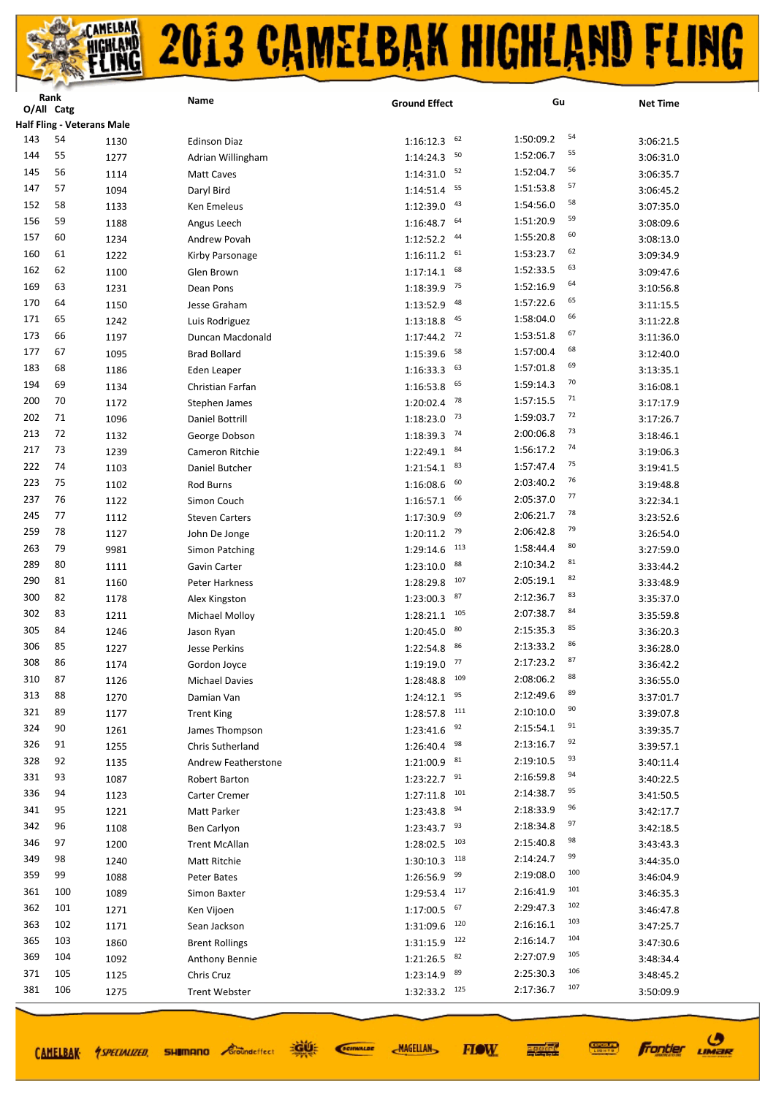|     | <b>Kank</b><br>O/All Catg         |      | Name                  | <b>Ground Effect</b>       | Gu               | <b>Net Time</b> |
|-----|-----------------------------------|------|-----------------------|----------------------------|------------------|-----------------|
|     | <b>Half Fling - Veterans Male</b> |      |                       |                            |                  |                 |
| 143 | 54                                | 1130 | <b>Edinson Diaz</b>   | 62<br>1:16:12.3            | 54<br>1:50:09.2  | 3:06:21.5       |
| 144 | 55                                | 1277 | Adrian Willingham     | 50<br>1:14:24.3            | 55<br>1:52:06.7  | 3:06:31.0       |
| 145 | 56                                | 1114 | <b>Matt Caves</b>     | 52<br>1:14:31.0            | 56<br>1:52:04.7  | 3:06:35.7       |
| 147 | 57                                |      |                       | 55<br>1:14:51.4            | 57<br>1:51:53.8  |                 |
| 152 | 58                                | 1094 | Daryl Bird            | 43                         | 58<br>1:54:56.0  | 3:06:45.2       |
| 156 | 59                                | 1133 | Ken Emeleus           | 1:12:39.0<br>64            | 59<br>1:51:20.9  | 3:07:35.0       |
| 157 | 60                                | 1188 | Angus Leech           | 1:16:48.7<br>44            | 60               | 3:08:09.6       |
|     |                                   | 1234 | Andrew Povah          | 1:12:52.2                  | 1:55:20.8<br>62  | 3:08:13.0       |
| 160 | 61                                | 1222 | Kirby Parsonage       | 61<br>1:16:11.2            | 1:53:23.7<br>63  | 3:09:34.9       |
| 162 | 62                                | 1100 | Glen Brown            | 68<br>1:17:14.1            | 1:52:33.5<br>64  | 3:09:47.6       |
| 169 | 63                                | 1231 | Dean Pons             | 75<br>1:18:39.9            | 1:52:16.9<br>65  | 3:10:56.8       |
| 170 | 64                                | 1150 | Jesse Graham          | 48<br>1:13:52.9            | 1:57:22.6<br>66  | 3:11:15.5       |
| 171 | 65                                | 1242 | Luis Rodriguez        | 45<br>1:13:18.8            | 1:58:04.0        | 3:11:22.8       |
| 173 | 66                                | 1197 | Duncan Macdonald      | 72<br>1:17:44.2            | 67<br>1:53:51.8  | 3:11:36.0       |
| 177 | 67                                | 1095 | <b>Brad Bollard</b>   | 58<br>1:15:39.6            | 68<br>1:57:00.4  | 3:12:40.0       |
| 183 | 68                                | 1186 | Eden Leaper           | 63<br>1:16:33.3            | 69<br>1:57:01.8  | 3:13:35.1       |
| 194 | 69                                | 1134 | Christian Farfan      | 65<br>1:16:53.8            | 70<br>1:59:14.3  | 3:16:08.1       |
| 200 | 70                                | 1172 | Stephen James         | 78<br>1:20:02.4            | 71<br>1:57:15.5  | 3:17:17.9       |
| 202 | 71                                | 1096 | Daniel Bottrill       | 73<br>1:18:23.0            | 72<br>1:59:03.7  | 3:17:26.7       |
| 213 | 72                                | 1132 | George Dobson         | 74<br>1:18:39.3            | 73<br>2:00:06.8  | 3:18:46.1       |
| 217 | 73                                | 1239 | Cameron Ritchie       | 84<br>1:22:49.1            | 74<br>1:56:17.2  | 3:19:06.3       |
| 222 | 74                                | 1103 | Daniel Butcher        | 83<br>1:21:54.1            | 75<br>1:57:47.4  | 3:19:41.5       |
| 223 | 75                                | 1102 | Rod Burns             | 60<br>1:16:08.6            | 76<br>2:03:40.2  | 3:19:48.8       |
| 237 | 76                                | 1122 | Simon Couch           | 66<br>1:16:57.1            | 77<br>2:05:37.0  | 3:22:34.1       |
| 245 | 77                                | 1112 | <b>Steven Carters</b> | 69<br>1:17:30.9            | 78<br>2:06:21.7  | 3:23:52.6       |
| 259 | 78                                | 1127 | John De Jonge         | 79<br>1:20:11.2            | 79<br>2:06:42.8  | 3:26:54.0       |
| 263 | 79                                | 9981 | Simon Patching        | 113<br>1:29:14.6           | 80<br>1:58:44.4  | 3:27:59.0       |
| 289 | 80                                | 1111 | Gavin Carter          | 88<br>1:23:10.0            | 81<br>2:10:34.2  | 3:33:44.2       |
| 290 | 81                                | 1160 | Peter Harkness        | 107<br>1:28:29.8           | 82<br>2:05:19.1  | 3:33:48.9       |
| 300 | 82                                | 1178 | Alex Kingston         | 87<br>1:23:00.3            | 83<br>2:12:36.7  | 3:35:37.0       |
| 302 | 83                                | 1211 | Michael Molloy        | 105<br>1:28:21.1           | 84<br>2:07:38.7  | 3:35:59.8       |
| 305 | 84                                | 1246 | Jason Ryan            | 80<br>1:20:45.0            | 85<br>2:15:35.3  | 3:36:20.3       |
| 306 | 85                                | 1227 | Jesse Perkins         | 86<br>1:22:54.8            | 86<br>2:13:33.2  | 3:36:28.0       |
| 308 | 86                                | 1174 | Gordon Joyce          | 77<br>1:19:19.0            | 87<br>2:17:23.2  | 3:36:42.2       |
| 310 | 87                                | 1126 | <b>Michael Davies</b> | $1:28:48.8$ <sup>109</sup> | 88<br>2:08:06.2  | 3:36:55.0       |
| 313 | 88                                | 1270 | Damian Van            | 95<br>1:24:12.1            | 89<br>2:12:49.6  | 3:37:01.7       |
| 321 | 89                                | 1177 | <b>Trent King</b>     | 111<br>1:28:57.8           | 90<br>2:10:10.0  | 3:39:07.8       |
| 324 | 90                                | 1261 | James Thompson        | 92<br>1:23:41.6            | 91<br>2:15:54.1  | 3:39:35.7       |
| 326 | 91                                | 1255 | Chris Sutherland      | 98<br>1:26:40.4            | 92<br>2:13:16.7  | 3:39:57.1       |
| 328 | 92                                | 1135 | Andrew Featherstone   | 81<br>1:21:00.9            | 93<br>2:19:10.5  | 3:40:11.4       |
| 331 | 93                                | 1087 | Robert Barton         | 91<br>1:23:22.7            | 94<br>2:16:59.8  | 3:40:22.5       |
| 336 | 94                                | 1123 | Carter Cremer         | 101<br>1:27:11.8           | 95<br>2:14:38.7  | 3:41:50.5       |
| 341 | 95                                | 1221 | Matt Parker           | 94<br>1:23:43.8            | 96<br>2:18:33.9  | 3:42:17.7       |
| 342 | 96                                | 1108 | Ben Carlyon           | 93<br>1:23:43.7            | 97<br>2:18:34.8  | 3:42:18.5       |
| 346 | 97                                | 1200 | <b>Trent McAllan</b>  | 103<br>1:28:02.5           | 98<br>2:15:40.8  | 3:43:43.3       |
| 349 | 98                                | 1240 | Matt Ritchie          | 118<br>1:30:10.3           | 99<br>2:14:24.7  | 3:44:35.0       |
| 359 | 99                                | 1088 | Peter Bates           | 99<br>1:26:56.9            | 100<br>2:19:08.0 | 3:46:04.9       |
| 361 | 100                               | 1089 | Simon Baxter          | 117<br>1:29:53.4           | 101<br>2:16:41.9 | 3:46:35.3       |
| 362 | 101                               | 1271 | Ken Vijoen            | 67<br>1:17:00.5            | 102<br>2:29:47.3 | 3:46:47.8       |
| 363 | 102                               | 1171 | Sean Jackson          | 120<br>1:31:09.6           | 103<br>2:16:16.1 | 3:47:25.7       |
| 365 | 103                               | 1860 | <b>Brent Rollings</b> | 122<br>1:31:15.9           | 104<br>2:16:14.7 | 3:47:30.6       |
| 369 | 104                               | 1092 | Anthony Bennie        | 82<br>1:21:26.5            | 105<br>2:27:07.9 | 3:48:34.4       |
| 371 | 105                               | 1125 | Chris Cruz            | 89<br>1:23:14.9            | 106<br>2:25:30.3 | 3:48:45.2       |
| 381 | 106                               | 1275 | <b>Trent Webster</b>  | 125<br>1:32:33.2           | 107<br>2:17:36.7 | 3:50:09.9       |
|     |                                   |      |                       |                            |                  |                 |

CAMELBAK *ASPECIALIZED* 

**SHIMANO** *Groundeffect* 

道理 SCIENALDE **MAGELLAN** 



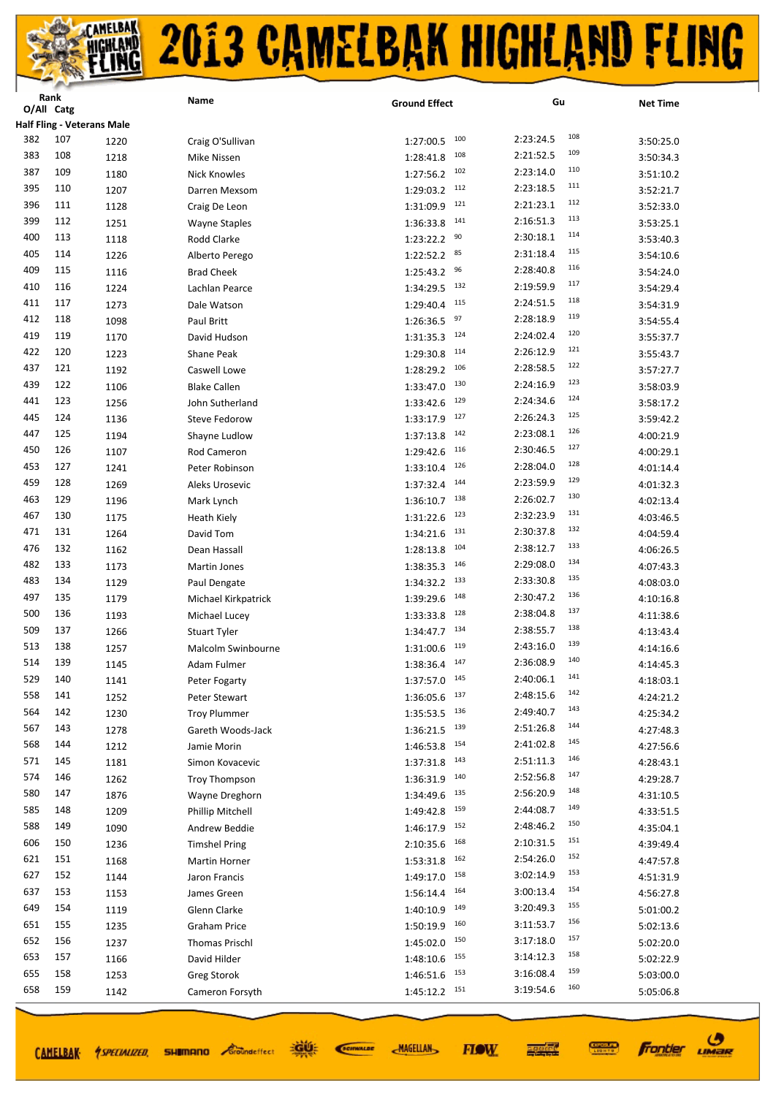|            | Kank<br>O/All Catg |                                   | Name                  | <b>Ground Effect</b>          | Gu                            | <b>Net Time</b> |
|------------|--------------------|-----------------------------------|-----------------------|-------------------------------|-------------------------------|-----------------|
|            |                    | <b>Half Fling - Veterans Male</b> |                       |                               |                               |                 |
| 382        | 107                | 1220                              | Craig O'Sullivan      | 100<br>1:27:00.5              | 108<br>2:23:24.5              | 3:50:25.0       |
| 383        | 108                | 1218                              | Mike Nissen           | 108<br>1:28:41.8              | 109<br>2:21:52.5              | 3:50:34.3       |
| 387        | 109                | 1180                              | <b>Nick Knowles</b>   | 102<br>1:27:56.2              | 110<br>2:23:14.0              | 3:51:10.2       |
| 395        | 110                |                                   |                       | 112<br>1:29:03.2              | 111<br>2:23:18.5              |                 |
| 396        | 111                | 1207                              | Darren Mexsom         | 121<br>1:31:09.9              | 112<br>2:21:23.1              | 3:52:21.7       |
| 399        | 112                | 1128                              | Craig De Leon         | 141                           | 113<br>2:16:51.3              | 3:52:33.0       |
| 400        | 113                | 1251                              | <b>Wayne Staples</b>  | 1:36:33.8<br>90               | 114<br>2:30:18.1              | 3:53:25.1       |
| 405        | 114                | 1118                              | Rodd Clarke           | 1:23:22.2<br>85               | 115<br>2:31:18.4              | 3:53:40.3       |
| 409        | 115                | 1226                              | Alberto Perego        | 1:22:52.2<br>96               | 116<br>2:28:40.8              | 3:54:10.6       |
| 410        | 116                | 1116                              | <b>Brad Cheek</b>     | 1:25:43.2<br>132<br>1:34:29.5 | 117<br>2:19:59.9              | 3:54:24.0       |
| 411        | 117                | 1224<br>1273                      | Lachlan Pearce        | 115<br>1:29:40.4              | 118<br>2:24:51.5              | 3:54:29.4       |
| 412        | 118                |                                   | Dale Watson           | 97                            | 119<br>2:28:18.9              | 3:54:31.9       |
| 419        | 119                | 1098                              | Paul Britt            | 1:26:36.5<br>124              | 120<br>2:24:02.4              | 3:54:55.4       |
| 422        | 120                | 1170                              | David Hudson          | 1:31:35.3<br>114              | 121<br>2:26:12.9              | 3:55:37.7       |
| 437        | 121                | 1223                              | Shane Peak            | 1:29:30.8<br>106              | 122<br>2:28:58.5              | 3:55:43.7       |
| 439        | 122                | 1192                              | Caswell Lowe          | 1:28:29.2<br>130              | 123<br>2:24:16.9              | 3:57:27.7       |
| 441        | 123                | 1106                              | <b>Blake Callen</b>   | 1:33:47.0<br>129              | 124<br>2:24:34.6              | 3:58:03.9       |
| 445        | 124                | 1256                              | John Sutherland       | 1:33:42.6<br>127              | 125<br>2:26:24.3              | 3:58:17.2       |
| 447        | 125                | 1136                              | Steve Fedorow         | 1:33:17.9<br>142              | 126<br>2:23:08.1              | 3:59:42.2       |
| 450        | 126                | 1194                              | Shayne Ludlow         | 1:37:13.8<br>116              | 127<br>2:30:46.5              | 4:00:21.9       |
|            |                    | 1107                              | Rod Cameron           | 1:29:42.6<br>126              | 128                           | 4:00:29.1       |
| 453<br>459 | 127                | 1241                              | Peter Robinson        | 1:33:10.4                     | 2:28:04.0<br>129              | 4:01:14.4       |
| 463        | 128                | 1269                              | Aleks Urosevic        | 144<br>1:37:32.4<br>138       | 2:23:59.9<br>130              | 4:01:32.3       |
| 467        | 129<br>130         | 1196                              | Mark Lynch            | 1:36:10.7<br>123              | 2:26:02.7<br>131              | 4:02:13.4       |
|            |                    | 1175                              | <b>Heath Kiely</b>    | 1:31:22.6<br>131              | 2:32:23.9<br>132              | 4:03:46.5       |
| 471<br>476 | 131<br>132         | 1264                              | David Tom             | 1:34:21.6<br>104              | 2:30:37.8<br>133<br>2:38:12.7 | 4:04:59.4       |
| 482        |                    | 1162                              | Dean Hassall          | 1:28:13.8<br>146              | 134                           | 4:06:26.5       |
|            | 133                | 1173                              | Martin Jones          | 1:38:35.3<br>133              | 2:29:08.0<br>135              | 4:07:43.3       |
| 483        | 134                | 1129                              | Paul Dengate          | 1:34:32.2<br>148              | 2:33:30.8<br>136              | 4:08:03.0       |
| 497<br>500 | 135<br>136         | 1179                              | Michael Kirkpatrick   | 1:39:29.6<br>128              | 2:30:47.2<br>137<br>2:38:04.8 | 4:10:16.8       |
| 509        |                    | 1193                              | Michael Lucey         | 1:33:33.8<br>134              | 138<br>2:38:55.7              | 4:11:38.6       |
| 513        | 137<br>138         | 1266                              | <b>Stuart Tyler</b>   | 1:34:47.7<br>119              | 139<br>2:43:16.0              | 4:13:43.4       |
| 514        | 139                | 1257                              | Malcolm Swinbourne    | 1:31:00.6<br>147              | 140<br>2:36:08.9              | 4:14:16.6       |
| 529        | 140                | 1145                              | Adam Fulmer           | 1:38:36.4                     | 141<br>2:40:06.1              | 4:14:45.3       |
| 558        | 141                | 1141                              | Peter Fogarty         | $1:37:57.0$ $145$<br>137      | 142<br>2:48:15.6              | 4:18:03.1       |
| 564        | 142                | 1252                              | Peter Stewart         | 1:36:05.6<br>136              | 143<br>2:49:40.7              | 4:24:21.2       |
| 567        | 143                | 1230                              | <b>Troy Plummer</b>   | 1:35:53.5<br>139              | 144<br>2:51:26.8              | 4:25:34.2       |
| 568        | 144                | 1278                              | Gareth Woods-Jack     | 1:36:21.5<br>154              | 145<br>2:41:02.8              | 4:27:48.3       |
| 571        | 145                | 1212                              | Jamie Morin           | 1:46:53.8<br>143              | 146<br>2:51:11.3              | 4:27:56.6       |
| 574        | 146                | 1181                              | Simon Kovacevic       | 1:37:31.8<br>140              | 147<br>2:52:56.8              | 4:28:43.1       |
| 580        | 147                | 1262                              | <b>Troy Thompson</b>  | 1:36:31.9<br>135              | 148<br>2:56:20.9              | 4:29:28.7       |
| 585        | 148                | 1876                              | Wayne Dreghorn        | 1:34:49.6<br>159              | 149<br>2:44:08.7              | 4:31:10.5       |
| 588        | 149                | 1209                              | Phillip Mitchell      | 1:49:42.8<br>152              | 150<br>2:48:46.2              | 4:33:51.5       |
| 606        | 150                | 1090                              | Andrew Beddie         | 1:46:17.9<br>168              | 151<br>2:10:31.5              | 4:35:04.1       |
| 621        | 151                | 1236                              | <b>Timshel Pring</b>  | 2:10:35.6<br>162              | 152<br>2:54:26.0              | 4:39:49.4       |
|            |                    | 1168                              | <b>Martin Horner</b>  | 1:53:31.8<br>158              | 153<br>3:02:14.9              | 4:47:57.8       |
| 627<br>637 | 152<br>153         | 1144                              | Jaron Francis         | 1:49:17.0<br>164              | 154<br>3:00:13.4              | 4:51:31.9       |
| 649        | 154                | 1153                              | James Green           | 1:56:14.4<br>149              | 155<br>3:20:49.3              | 4:56:27.8       |
| 651        | 155                | 1119                              | Glenn Clarke          | 1:40:10.9<br>160              | 156<br>3:11:53.7              | 5:01:00.2       |
| 652        | 156                | 1235                              | <b>Graham Price</b>   | 1:50:19.9<br>150              | 157<br>3:17:18.0              | 5:02:13.6       |
| 653        | 157                | 1237                              | <b>Thomas Prischl</b> | 1:45:02.0<br>155              | 158<br>3:14:12.3              | 5:02:20.0       |
| 655        | 158                | 1166                              | David Hilder          | 1:48:10.6<br>153              | 159<br>3:16:08.4              | 5:02:22.9       |
|            |                    | 1253                              | <b>Greg Storok</b>    | 1:46:51.6                     | 160                           | 5:03:00.0       |
| 658        | 159                | 1142                              | Cameron Forsyth       | 151<br>1:45:12.2              | 3:19:54.6                     | 5:05:06.8       |

CAMELBAK *ASPECIALIZED* 

道理 **SHIMANO** *Groundeffect* 

SCIENALDE

**MAGELLAN** 



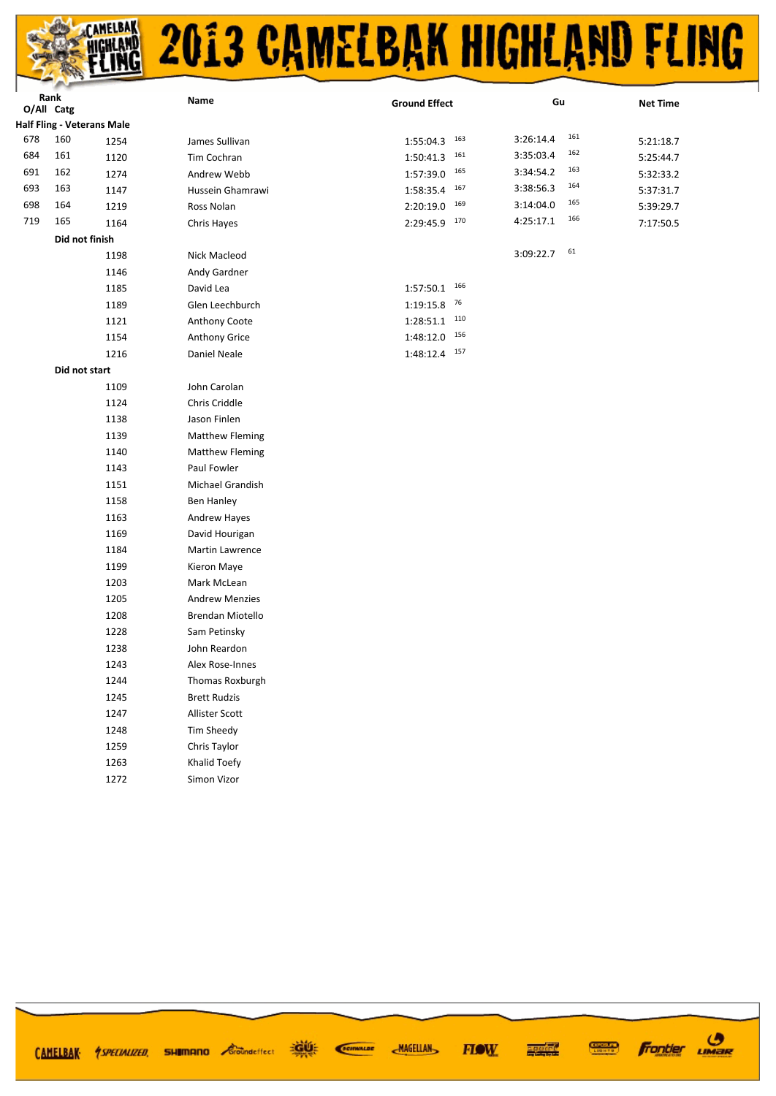

|            | Rank                                     |      | Name                   | <b>Ground Effect</b> | Gu               | <b>Net Time</b> |
|------------|------------------------------------------|------|------------------------|----------------------|------------------|-----------------|
| O/All Catg |                                          |      |                        |                      |                  |                 |
|            | <b>Half Fling - Veterans Male</b><br>160 |      |                        |                      | 161<br>3:26:14.4 |                 |
| 678        |                                          | 1254 | James Sullivan         | $1:55:04.3$ $163$    | 162              | 5:21:18.7       |
| 684        | 161                                      | 1120 | Tim Cochran            | 161<br>1:50:41.3     | 3:35:03.4<br>163 | 5:25:44.7       |
| 691        | 162                                      | 1274 | Andrew Webb            | $1:57:39.0$ 165      | 3:34:54.2<br>164 | 5:32:33.2       |
| 693        | 163                                      | 1147 | Hussein Ghamrawi       | 167<br>1:58:35.4     | 3:38:56.3<br>165 | 5:37:31.7       |
| 698        | 164                                      | 1219 | Ross Nolan             | 169<br>2:20:19.0     | 3:14:04.0<br>166 | 5:39:29.7       |
| 719        | 165                                      | 1164 | Chris Hayes            | 170<br>2:29:45.9     | 4:25:17.1        | 7:17:50.5       |
|            | Did not finish                           |      |                        |                      | 61               |                 |
|            |                                          | 1198 | Nick Macleod           |                      | 3:09:22.7        |                 |
|            |                                          | 1146 | Andy Gardner           |                      |                  |                 |
|            |                                          | 1185 | David Lea              | 166<br>1:57:50.1     |                  |                 |
|            |                                          | 1189 | Glen Leechburch        | 76<br>1:19:15.8      |                  |                 |
|            |                                          | 1121 | Anthony Coote          | 110<br>1:28:51.1     |                  |                 |
|            |                                          | 1154 | Anthony Grice          | $1:48:12.0$ $156$    |                  |                 |
|            |                                          | 1216 | Daniel Neale           | $1:48:12.4$ $157$    |                  |                 |
|            | Did not start                            |      |                        |                      |                  |                 |
|            |                                          | 1109 | John Carolan           |                      |                  |                 |
|            |                                          | 1124 | Chris Criddle          |                      |                  |                 |
|            |                                          | 1138 | Jason Finlen           |                      |                  |                 |
|            |                                          | 1139 | <b>Matthew Fleming</b> |                      |                  |                 |
|            |                                          | 1140 | <b>Matthew Fleming</b> |                      |                  |                 |
|            |                                          | 1143 | Paul Fowler            |                      |                  |                 |
|            |                                          | 1151 | Michael Grandish       |                      |                  |                 |
|            |                                          | 1158 | Ben Hanley             |                      |                  |                 |
|            |                                          | 1163 | Andrew Hayes           |                      |                  |                 |
|            |                                          | 1169 | David Hourigan         |                      |                  |                 |
|            |                                          | 1184 | Martin Lawrence        |                      |                  |                 |
|            |                                          | 1199 | Kieron Maye            |                      |                  |                 |
|            |                                          | 1203 | Mark McLean            |                      |                  |                 |
|            |                                          | 1205 | <b>Andrew Menzies</b>  |                      |                  |                 |
|            |                                          | 1208 | Brendan Miotello       |                      |                  |                 |
|            |                                          | 1228 | Sam Petinsky           |                      |                  |                 |
|            |                                          | 1238 | John Reardon           |                      |                  |                 |
|            |                                          | 1243 | Alex Rose-Innes        |                      |                  |                 |
|            |                                          | 1244 | Thomas Roxburgh        |                      |                  |                 |
|            |                                          | 1245 | <b>Brett Rudzis</b>    |                      |                  |                 |
|            |                                          | 1247 | Allister Scott         |                      |                  |                 |
|            |                                          | 1248 | Tim Sheedy             |                      |                  |                 |

**Frontier UMBR** 

**CONDER** 

1259

1263

1272

Chris Taylor

Khalid Toefy

Simon Vizor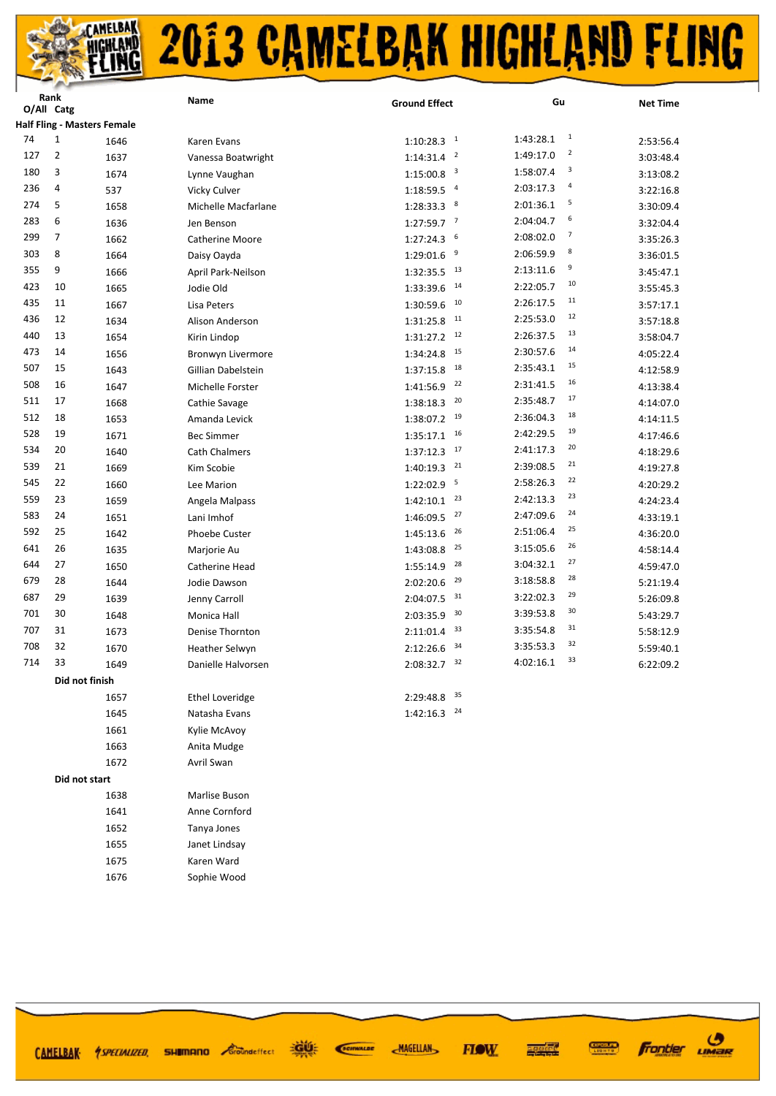|     | Rank<br>O/All Catg |                                    | Name                   | <b>Ground Effect</b>      | Gu                          | <b>Net Time</b> |
|-----|--------------------|------------------------------------|------------------------|---------------------------|-----------------------------|-----------------|
|     |                    | <b>Half Fling - Masters Female</b> |                        |                           |                             |                 |
| 74  | $\mathbf{1}$       | 1646                               | Karen Evans            | $1:10:28.3$ <sup>1</sup>  | $\mathbf{1}$<br>1:43:28.1   | 2:53:56.4       |
| 127 | $\overline{2}$     | 1637                               | Vanessa Boatwright     | $1:14:31.4$ <sup>2</sup>  | $\overline{2}$<br>1:49:17.0 | 3:03:48.4       |
| 180 | 3                  | 1674                               | Lynne Vaughan          | $1:15:00.8$ <sup>3</sup>  | 3<br>1:58:07.4              | 3:13:08.2       |
| 236 | 4                  | 537                                | Vicky Culver           | $1:18:59.5$ <sup>4</sup>  | $\overline{a}$<br>2:03:17.3 | 3:22:16.8       |
| 274 | 5                  | 1658                               | Michelle Macfarlane    | $1:28:33.3$ 8             | 5<br>2:01:36.1              | 3:30:09.4       |
| 283 | 6                  | 1636                               | Jen Benson             | $1:27:59.7$ <sup>7</sup>  | 6<br>2:04:04.7              | 3:32:04.4       |
| 299 | $\overline{7}$     | 1662                               | <b>Catherine Moore</b> | - 6<br>1:27:24.3          | 7<br>2:08:02.0              | 3:35:26.3       |
| 303 | 8                  | 1664                               | Daisy Oayda            | 1:29:01.6<br>- 9          | 8<br>2:06:59.9              | 3:36:01.5       |
| 355 | 9                  | 1666                               | April Park-Neilson     | $1:32:35.5$ <sup>13</sup> | 9<br>2:13:11.6              | 3:45:47.1       |
| 423 | 10                 | 1665                               | Jodie Old              | 14<br>1:33:39.6           | 10<br>2:22:05.7             | 3:55:45.3       |
| 435 | 11                 | 1667                               | Lisa Peters            | 1:30:59.6<br>10           | 11<br>2:26:17.5             | 3:57:17.1       |
| 436 | 12                 | 1634                               | Alison Anderson        | 11<br>1:31:25.8           | 12<br>2:25:53.0             | 3:57:18.8       |
| 440 | 13                 | 1654                               | Kirin Lindop           | $1:31:27.2$ <sup>12</sup> | 13<br>2:26:37.5             | 3:58:04.7       |
| 473 | 14                 | 1656                               | Bronwyn Livermore      | 15<br>1:34:24.8           | 14<br>2:30:57.6             | 4:05:22.4       |
| 507 | 15                 | 1643                               | Gillian Dabelstein     | 18<br>1:37:15.8           | 15<br>2:35:43.1             | 4:12:58.9       |
| 508 | 16                 | 1647                               | Michelle Forster       | 22<br>1:41:56.9           | 16<br>2:31:41.5             | 4:13:38.4       |
| 511 | 17                 | 1668                               | Cathie Savage          | 20<br>1:38:18.3           | 17<br>2:35:48.7             | 4:14:07.0       |
| 512 | 18                 | 1653                               | Amanda Levick          | $1:38:07.2$ 19            | 18<br>2:36:04.3             | 4:14:11.5       |
| 528 | 19                 | 1671                               | <b>Bec Simmer</b>      | $1:35:17.1$ <sup>16</sup> | 19<br>2:42:29.5             | 4:17:46.6       |
| 534 | 20                 | 1640                               | Cath Chalmers          | 17<br>1:37:12.3           | 20<br>2:41:17.3             | 4:18:29.6       |
| 539 | 21                 | 1669                               | Kim Scobie             | 21<br>1:40:19.3           | 21<br>2:39:08.5             | 4:19:27.8       |
| 545 | 22                 | 1660                               | Lee Marion             | $1:22:02.9$ <sup>5</sup>  | 22<br>2:58:26.3             | 4:20:29.2       |
| 559 | 23                 | 1659                               | Angela Malpass         | 23<br>1:42:10.1           | 23<br>2:42:13.3             | 4:24:23.4       |
| 583 | 24                 | 1651                               | Lani Imhof             | 27<br>1:46:09.5           | 24<br>2:47:09.6             | 4:33:19.1       |
| 592 | 25                 | 1642                               | Phoebe Custer          | 26<br>1:45:13.6           | 25<br>2:51:06.4             | 4:36:20.0       |
| 641 | 26                 | 1635                               | Marjorie Au            | 25<br>1:43:08.8           | 26<br>3:15:05.6             | 4:58:14.4       |
| 644 | 27                 | 1650                               | Catherine Head         | 28<br>1:55:14.9           | 27<br>3:04:32.1             | 4:59:47.0       |
| 679 | 28                 | 1644                               | Jodie Dawson           | 29<br>2:02:20.6           | 28<br>3:18:58.8             | 5:21:19.4       |
| 687 | 29                 | 1639                               | Jenny Carroll          | 31<br>2:04:07.5           | 29<br>3:22:02.3             | 5:26:09.8       |
| 701 | 30                 | 1648                               | Monica Hall            | 30<br>2:03:35.9           | 30<br>3:39:53.8             | 5:43:29.7       |
| 707 | 31                 | 1673                               | <b>Denise Thornton</b> | 33<br>2:11:01.4           | 31<br>3:35:54.8             | 5:58:12.9       |
| 708 | 32                 | 1670                               | <b>Heather Selwyn</b>  | 34<br>2:12:26.6           | 32<br>3:35:53.3             | 5:59:40.1       |
| 714 | 33                 | 1649                               | Danielle Halvorsen     | $2:08:32.7$ 32            | 33<br>4:02:16.1             | 6:22:09.2       |
|     |                    | Did not finish                     |                        |                           |                             |                 |
|     |                    | 1657                               | <b>Ethel Loveridge</b> | 2:29:48.8 35              |                             |                 |
|     |                    | 1645                               | Natasha Evans          | 24<br>1:42:16.3           |                             |                 |
|     |                    | 1661                               | Kylie McAvoy           |                           |                             |                 |
|     |                    | 1663                               | Anita Mudge            |                           |                             |                 |
|     |                    | 1672                               | Avril Swan             |                           |                             |                 |
|     | Did not start      |                                    |                        |                           |                             |                 |
|     |                    | 1638                               | Marlise Buson          |                           |                             |                 |
|     |                    | 1641                               | Anne Cornford          |                           |                             |                 |
|     |                    | 1652                               | Tanya Jones            |                           |                             |                 |
|     |                    | 1655                               | Janet Lindsay          |                           |                             |                 |
|     |                    | 1675                               | Karen Ward             |                           |                             |                 |
|     |                    | 1676                               | Sophie Wood            |                           |                             |                 |

**ROOM** SCIENALDE CAMELBAK 4SPECIALIZED, SHUMANO Coondeffect

**Frontier UMBR** 

**CONNECT** 

医学院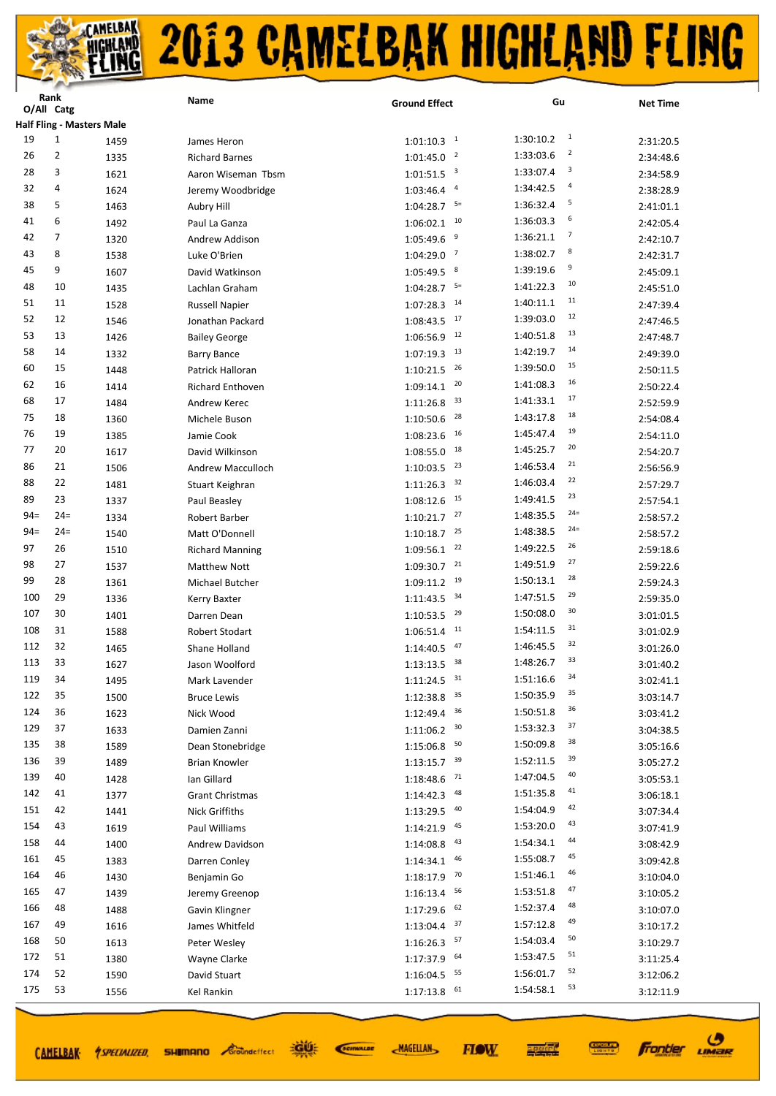|        | Rank<br>O/All Catg |                                  | Name                    | <b>Ground Effect</b>                 | Gu                          | <b>Net Time</b> |
|--------|--------------------|----------------------------------|-------------------------|--------------------------------------|-----------------------------|-----------------|
|        |                    | <b>Half Fling - Masters Male</b> |                         |                                      |                             |                 |
| 19     | $\mathbf{1}$       | 1459                             | James Heron             | $1:01:10.3$ <sup>1</sup>             | $\mathbf{1}$<br>1:30:10.2   | 2:31:20.5       |
| 26     | $\overline{2}$     | 1335                             | <b>Richard Barnes</b>   | $\overline{2}$<br>1:01:45.0          | $\overline{2}$<br>1:33:03.6 | 2:34:48.6       |
| 28     | 3                  | 1621                             | Aaron Wiseman Tbsm      | $\overline{\mathbf{3}}$<br>1:01:51.5 | 3<br>1:33:07.4              | 2:34:58.9       |
| 32     | 4                  | 1624                             | Jeremy Woodbridge       | $\overline{a}$<br>1:03:46.4          | 4<br>1:34:42.5              | 2:38:28.9       |
| 38     | 5                  | 1463                             | Aubry Hill              | 1:04:28.7<br>$5=$                    | 5<br>1:36:32.4              | 2:41:01.1       |
| 41     | 6                  | 1492                             | Paul La Ganza           | 10<br>1:06:02.1                      | 6<br>1:36:03.3              | 2:42:05.4       |
| 42     | 7                  | 1320                             | Andrew Addison          | 9<br>1:05:49.6                       | $\overline{7}$<br>1:36:21.1 | 2:42:10.7       |
| 43     | 8                  | 1538                             | Luke O'Brien            | 7<br>1:04:29.0                       | 8<br>1:38:02.7              | 2:42:31.7       |
| 45     | 9                  | 1607                             | David Watkinson         | 8<br>1:05:49.5                       | 9<br>1:39:19.6              | 2:45:09.1       |
| 48     | 10                 | 1435                             | Lachlan Graham          | $5=$<br>1:04:28.7                    | 10<br>1:41:22.3             | 2:45:51.0       |
| 51     | 11                 | 1528                             | <b>Russell Napier</b>   | 14<br>1:07:28.3                      | 11<br>1:40:11.1             | 2:47:39.4       |
| 52     | 12                 | 1546                             |                         | 17<br>1:08:43.5                      | 12<br>1:39:03.0             |                 |
| 53     | 13                 | 1426                             | Jonathan Packard        | 12<br>1:06:56.9                      | 13<br>1:40:51.8             | 2:47:46.5       |
| 58     | 14                 |                                  | <b>Bailey George</b>    | 13                                   | 14<br>1:42:19.7             | 2:47:48.7       |
| 60     | 15                 | 1332                             | <b>Barry Bance</b>      | 1:07:19.3<br>26                      | 15<br>1:39:50.0             | 2:49:39.0       |
| 62     | 16                 | 1448                             | Patrick Halloran        | 1:10:21.5<br>20                      | 16                          | 2:50:11.5       |
| 68     | 17                 | 1414                             | <b>Richard Enthoven</b> | 1:09:14.1<br>33                      | 1:41:08.3<br>17             | 2:50:22.4       |
| 75     |                    | 1484                             | Andrew Kerec            | 1:11:26.8                            | 1:41:33.1<br>18             | 2:52:59.9       |
|        | 18                 | 1360                             | Michele Buson           | 28<br>1:10:50.6                      | 1:43:17.8<br>19             | 2:54:08.4       |
| 76     | 19                 | 1385                             | Jamie Cook              | 16<br>1:08:23.6                      | 1:45:47.4<br>20             | 2:54:11.0       |
| 77     | 20                 | 1617                             | David Wilkinson         | 18<br>1:08:55.0                      | 1:45:25.7<br>21             | 2:54:20.7       |
| 86     | 21                 | 1506                             | Andrew Macculloch       | 23<br>1:10:03.5                      | 1:46:53.4<br>22             | 2:56:56.9       |
| 88     | 22                 | 1481                             | Stuart Keighran         | 32<br>1:11:26.3                      | 1:46:03.4<br>23             | 2:57:29.7       |
| 89     | 23                 | 1337                             | Paul Beasley            | 15<br>1:08:12.6                      | 1:49:41.5                   | 2:57:54.1       |
| $94 =$ | $24=$              | 1334                             | Robert Barber           | 27<br>1:10:21.7                      | $24=$<br>1:48:35.5          | 2:58:57.2       |
| $94 =$ | $24=$              | 1540                             | Matt O'Donnell          | 25<br>1:10:18.7                      | $24=$<br>1:48:38.5          | 2:58:57.2       |
| 97     | 26                 | 1510                             | <b>Richard Manning</b>  | 22<br>1:09:56.1                      | 26<br>1:49:22.5             | 2:59:18.6       |
| 98     | 27                 | 1537                             | <b>Matthew Nott</b>     | 21<br>1:09:30.7                      | 27<br>1:49:51.9             | 2:59:22.6       |
| 99     | 28                 | 1361                             | Michael Butcher         | 19<br>1:09:11.2                      | 28<br>1:50:13.1             | 2:59:24.3       |
| 100    | 29                 | 1336                             | Kerry Baxter            | 34<br>1:11:43.5                      | 29<br>1:47:51.5             | 2:59:35.0       |
| 107    | 30                 | 1401                             | Darren Dean             | 1:10:53.5<br>29                      | 30<br>1:50:08.0             | 3:01:01.5       |
| 108    | 31                 | 1588                             | Robert Stodart          | 11<br>1:06:51.4                      | 31<br>1:54:11.5             | 3:01:02.9       |
| 112    | 32                 | 1465                             | Shane Holland           | 47<br>1:14:40.5                      | 32<br>1:46:45.5             | 3:01:26.0       |
| 113    | 33                 | 1627                             | Jason Woolford          | 38<br>1:13:13.5                      | 33<br>1:48:26.7             | 3:01:40.2       |
| 119    | 34                 | 1495                             | Mark Lavender           | $1:11:24.5$ <sup>31</sup>            | 34<br>1:51:16.6             | 3:02:41.1       |
| 122    | 35                 | 1500                             | <b>Bruce Lewis</b>      | 35<br>1:12:38.8                      | 35<br>1:50:35.9             | 3:03:14.7       |
| 124    | 36                 | 1623                             | Nick Wood               | 36<br>1:12:49.4                      | 36<br>1:50:51.8             | 3:03:41.2       |
| 129    | 37                 | 1633                             | Damien Zanni            | 30<br>1:11:06.2                      | 37<br>1:53:32.3             | 3:04:38.5       |
| 135    | 38                 | 1589                             | Dean Stonebridge        | 50<br>1:15:06.8                      | 38<br>1:50:09.8             | 3:05:16.6       |
| 136    | 39                 | 1489                             | Brian Knowler           | 39<br>1:13:15.7                      | 39<br>1:52:11.5             | 3:05:27.2       |
| 139    | 40                 | 1428                             | lan Gillard             | 71<br>1:18:48.6                      | 40<br>1:47:04.5             | 3:05:53.1       |
| 142    | 41                 | 1377                             | <b>Grant Christmas</b>  | 48<br>1:14:42.3                      | 41<br>1:51:35.8             | 3:06:18.1       |
| 151    | 42                 | 1441                             | <b>Nick Griffiths</b>   | 40<br>1:13:29.5                      | 42<br>1:54:04.9             | 3:07:34.4       |
| 154    | 43                 | 1619                             | Paul Williams           | 45<br>1:14:21.9                      | 43<br>1:53:20.0             | 3:07:41.9       |
| 158    | 44                 | 1400                             | Andrew Davidson         | 43<br>1:14:08.8                      | 44<br>1:54:34.1             | 3:08:42.9       |
| 161    | 45                 | 1383                             | Darren Conley           | 46<br>1:14:34.1                      | 45<br>1:55:08.7             | 3:09:42.8       |
| 164    | 46                 | 1430                             | Benjamin Go             | 70<br>1:18:17.9                      | 46<br>1:51:46.1             | 3:10:04.0       |
| 165    | 47                 | 1439                             | Jeremy Greenop          | 56<br>1:16:13.4                      | 47<br>1:53:51.8             | 3:10:05.2       |
| 166    | 48                 | 1488                             | Gavin Klingner          | 62<br>1:17:29.6                      | 48<br>1:52:37.4             | 3:10:07.0       |
| 167    | 49                 | 1616                             | James Whitfeld          | 37<br>1:13:04.4                      | 49<br>1:57:12.8             | 3:10:17.2       |
| 168    | 50                 | 1613                             | Peter Wesley            | 57<br>1:16:26.3                      | 50<br>1:54:03.4             | 3:10:29.7       |
| 172    | 51                 | 1380                             | Wayne Clarke            | 64<br>1:17:37.9                      | 51<br>1:53:47.5             | 3:11:25.4       |
| 174    | 52                 | 1590                             | David Stuart            | 55<br>1:16:04.5                      | 52<br>1:56:01.7             | 3:12:06.2       |
| 175    | 53                 | 1556                             | Kel Rankin              | 61<br>1:17:13.8                      | 53<br>1:54:58.1             | 3:12:11.9       |
|        |                    |                                  |                         |                                      |                             |                 |

CAMELBAK *ASPECIALIZED* 

**SHIMANO** *Groundeffect* 

道好 SCIENALDE **MAGELLAN** 



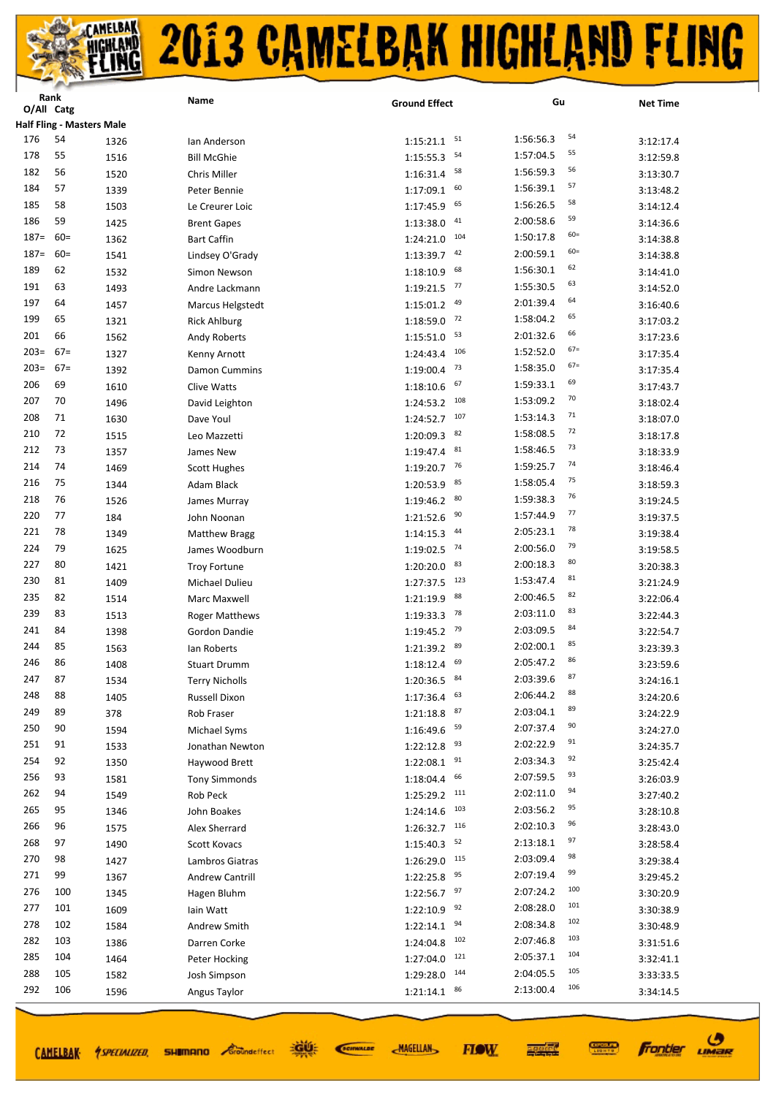|         | <b>Kank</b><br>O/All Catg        |              | Name                            | <b>Ground Effect</b>          | Gu                  | <b>Net Time</b> |
|---------|----------------------------------|--------------|---------------------------------|-------------------------------|---------------------|-----------------|
|         | <b>Half Fling - Masters Male</b> |              |                                 |                               |                     |                 |
| 176     | 54                               | 1326         | lan Anderson                    | 51<br>1:15:21.1               | 54<br>1:56:56.3     | 3:12:17.4       |
| 178     | 55                               | 1516         | <b>Bill McGhie</b>              | 54<br>1:15:55.3               | 55<br>1:57:04.5     | 3:12:59.8       |
| 182     | 56                               | 1520         | Chris Miller                    | 58<br>1:16:31.4               | 56<br>1:56:59.3     | 3:13:30.7       |
| 184     | 57                               | 1339         | Peter Bennie                    | 60<br>1:17:09.1               | 57<br>1:56:39.1     | 3:13:48.2       |
| 185     | 58                               | 1503         | Le Creurer Loic                 | 65<br>1:17:45.9               | 58<br>1:56:26.5     | 3:14:12.4       |
| 186     | 59                               | 1425         | <b>Brent Gapes</b>              | 41<br>1:13:38.0               | 59<br>2:00:58.6     | 3:14:36.6       |
| $187 =$ | $60=$                            | 1362         | <b>Bart Caffin</b>              | 104<br>1:24:21.0              | $60 =$<br>1:50:17.8 | 3:14:38.8       |
| $187 =$ | $60=$                            | 1541         | Lindsey O'Grady                 | 42<br>1:13:39.7               | $60 =$<br>2:00:59.1 | 3:14:38.8       |
| 189     | 62                               | 1532         | Simon Newson                    | 68<br>1:18:10.9               | 62<br>1:56:30.1     | 3:14:41.0       |
| 191     | 63                               | 1493         | Andre Lackmann                  | 77<br>1:19:21.5               | 63<br>1:55:30.5     | 3:14:52.0       |
| 197     | 64                               | 1457         | Marcus Helgstedt                | 49<br>1:15:01.2               | 64<br>2:01:39.4     | 3:16:40.6       |
| 199     | 65                               | 1321         | <b>Rick Ahlburg</b>             | 72<br>1:18:59.0               | 65<br>1:58:04.2     | 3:17:03.2       |
| 201     | 66                               | 1562         | Andy Roberts                    | 53<br>1:15:51.0               | 66<br>2:01:32.6     | 3:17:23.6       |
| $203=$  | $67=$                            | 1327         |                                 | 106<br>1:24:43.4              | $67=$<br>1:52:52.0  | 3:17:35.4       |
| $203=$  | $67=$                            | 1392         | Kenny Arnott<br>Damon Cummins   | 73<br>1:19:00.4               | $67=$<br>1:58:35.0  | 3:17:35.4       |
| 206     | 69                               | 1610         | Clive Watts                     | 67                            | 69<br>1:59:33.1     | 3:17:43.7       |
| 207     | 70                               | 1496         | David Leighton                  | 1:18:10.6<br>108<br>1:24:53.2 | 70<br>1:53:09.2     | 3:18:02.4       |
| 208     | 71                               | 1630         | Dave Youl                       | 107<br>1:24:52.7              | 71<br>1:53:14.3     | 3:18:07.0       |
| 210     | 72                               | 1515         |                                 | 82<br>1:20:09.3               | 72<br>1:58:08.5     | 3:18:17.8       |
| 212     | 73                               | 1357         | Leo Mazzetti                    | 81<br>1:19:47.4               | 73<br>1:58:46.5     |                 |
| 214     | 74                               |              | James New                       | 76                            | 74<br>1:59:25.7     | 3:18:33.9       |
| 216     | 75                               | 1469<br>1344 | <b>Scott Hughes</b>             | 1:19:20.7<br>85<br>1:20:53.9  | 75<br>1:58:05.4     | 3:18:46.4       |
| 218     | 76                               |              | Adam Black                      | 80                            | 76<br>1:59:38.3     | 3:18:59.3       |
| 220     | 77                               | 1526         | James Murray                    | 1:19:46.2<br>90<br>1:21:52.6  | 77<br>1:57:44.9     | 3:19:24.5       |
| 221     | 78                               | 184          | John Noonan                     | 44                            | 78<br>2:05:23.1     | 3:19:37.5       |
| 224     | 79                               | 1349         | <b>Matthew Bragg</b>            | 1:14:15.3<br>74               | 79<br>2:00:56.0     | 3:19:38.4       |
| 227     | 80                               | 1625         | James Woodburn                  | 1:19:02.5<br>83               | 80<br>2:00:18.3     | 3:19:58.5       |
| 230     | 81                               | 1421         | <b>Troy Fortune</b>             | 1:20:20.0<br>123              | 81<br>1:53:47.4     | 3:20:38.3       |
| 235     | 82                               | 1409         | Michael Dulieu                  | 1:27:37.5<br>88               | 82<br>2:00:46.5     | 3:21:24.9       |
| 239     | 83                               | 1514         | Marc Maxwell                    | 1:21:19.9<br>78               | 83<br>2:03:11.0     | 3:22:06.4       |
| 241     | 84                               | 1513         | <b>Roger Matthews</b>           | 1:19:33.3<br>79               | 84<br>2:03:09.5     | 3:22:44.3       |
| 244     | 85                               | 1398<br>1563 | Gordon Dandie                   | 1:19:45.2<br>89<br>1:21:39.2  | 85<br>2:02:00.1     | 3:22:54.7       |
| 246     | 86                               |              | lan Roberts                     | 69                            | 86<br>2:05:47.2     | 3:23:39.3       |
| 247     | 87                               | 1408         | <b>Stuart Drumm</b>             | 1:18:12.4<br>84<br>1:20:36.5  | 87<br>2:03:39.6     | 3:23:59.6       |
| 248     | 88                               | 1534         | <b>Terry Nicholls</b>           | 63<br>1:17:36.4               | 88<br>2:06:44.2     | 3:24:16.1       |
| 249     | 89                               | 1405         | Russell Dixon                   | 87<br>1:21:18.8               | 89<br>2:03:04.1     | 3:24:20.6       |
| 250     | 90                               | 378          | Rob Fraser                      | 59                            | 90<br>2:07:37.4     | 3:24:22.9       |
| 251     | 91                               | 1594         | Michael Syms<br>Jonathan Newton | 1:16:49.6<br>93               | 91<br>2:02:22.9     | 3:24:27.0       |
| 254     | 92                               | 1533         |                                 | 1:22:12.8<br>91               | 92<br>2:03:34.3     | 3:24:35.7       |
| 256     | 93                               | 1350         | Haywood Brett                   | 1:22:08.1<br>66               | 93<br>2:07:59.5     | 3:25:42.4       |
| 262     | 94                               | 1581         | <b>Tony Simmonds</b>            | 1:18:04.4<br>111<br>1:25:29.2 | 94<br>2:02:11.0     | 3:26:03.9       |
| 265     | 95                               | 1549         | Rob Peck                        | 103                           | 95<br>2:03:56.2     | 3:27:40.2       |
| 266     | 96                               | 1346         | John Boakes                     | 1:24:14.6<br>116              | 96<br>2:02:10.3     | 3:28:10.8       |
| 268     | 97                               | 1575         | Alex Sherrard                   | 1:26:32.7<br>52               | 97<br>2:13:18.1     | 3:28:43.0       |
| 270     | 98                               | 1490         | <b>Scott Kovacs</b>             | 1:15:40.3<br>115              | 98<br>2:03:09.4     | 3:28:58.4       |
| 271     | 99                               | 1427         | Lambros Giatras                 | 1:26:29.0<br>95               | 99<br>2:07:19.4     | 3:29:38.4       |
| 276     | 100                              | 1367         | <b>Andrew Cantrill</b>          | 1:22:25.8<br>97               | 100<br>2:07:24.2    | 3:29:45.2       |
| 277     | 101                              | 1345         | Hagen Bluhm                     | 1:22:56.7<br>92               | 101<br>2:08:28.0    | 3:30:20.9       |
| 278     | 102                              | 1609         | lain Watt                       | 1:22:10.9<br>94               | 102<br>2:08:34.8    | 3:30:38.9       |
| 282     | 103                              | 1584         | Andrew Smith                    | 1:22:14.1<br>102              | 103<br>2:07:46.8    | 3:30:48.9       |
| 285     | 104                              | 1386         | Darren Corke                    | 1:24:04.8<br>121              | 104<br>2:05:37.1    | 3:31:51.6       |
| 288     | 105                              | 1464         | Peter Hocking                   | 1:27:04.0<br>144              | 105<br>2:04:05.5    | 3:32:41.1       |
|         |                                  | 1582         | Josh Simpson                    | 1:29:28.0                     | 106                 | 3:33:33.5       |
| 292     | 106                              | 1596         | Angus Taylor                    | 86<br>1:21:14.1               | 2:13:00.4           | 3:34:14.5       |

CAMELBAK *ASPECIALIZED* 

**SHIMANO** *Groundeffect* 

道好 SCIENALDE **MAGELLAN** 



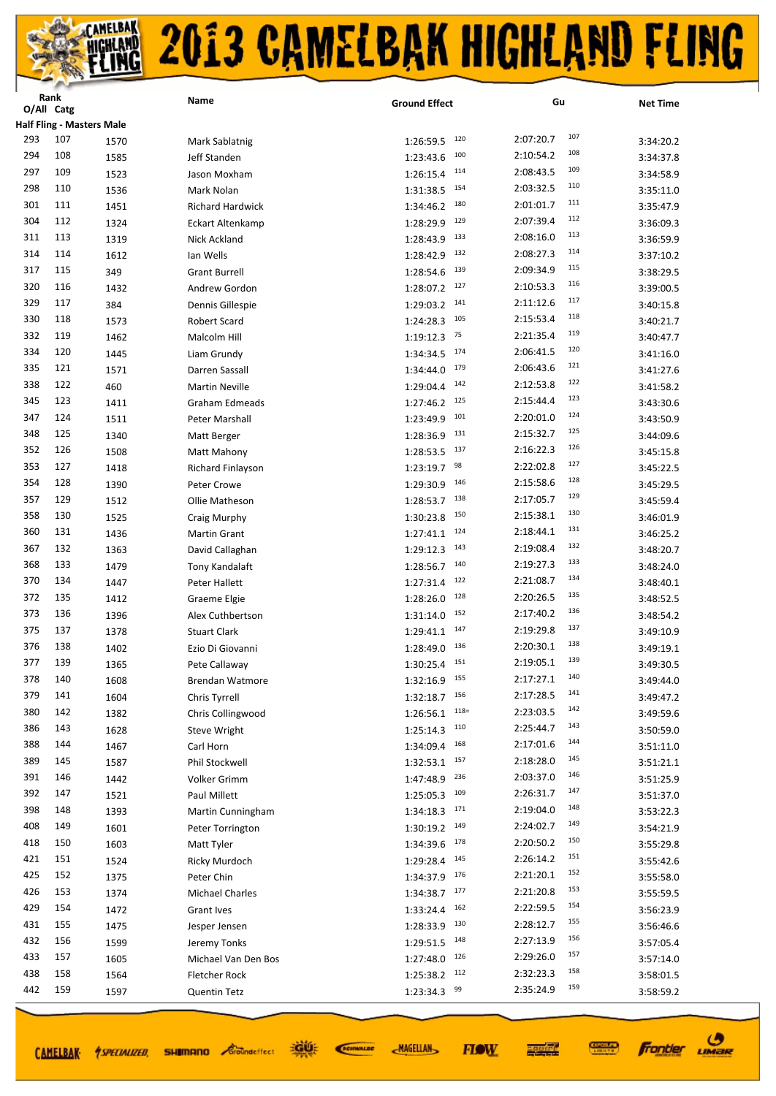

| <b>Half Fling - Masters Male</b><br>107<br>293<br>107<br>2:07:20.7<br>120<br>1570<br>1:26:59.5<br>Mark Sablatnig<br>3:34:20.2<br>108<br>294<br>108<br>100<br>2:10:54.2<br>Jeff Standen<br>1:23:43.6<br>1585<br>3:34:37.8<br>109<br>297<br>109<br>2:08:43.5<br>114<br>1:26:15.4<br>1523<br>Jason Moxham<br>3:34:58.9<br>110<br>298<br>110<br>2:03:32.5<br>154<br>1:31:38.5<br>1536<br>Mark Nolan<br>3:35:11.0<br>111<br>301<br>111<br>2:01:01.7<br>180<br>1:34:46.2<br>1451<br><b>Richard Hardwick</b><br>3:35:47.9<br>112<br>304<br>112<br>129<br>2:07:39.4<br>1324<br>1:28:29.9<br><b>Eckart Altenkamp</b><br>3:36:09.3<br>113<br>311<br>113<br>133<br>2:08:16.0<br>1319<br>1:28:43.9<br>Nick Ackland<br>3:36:59.9<br>114<br>314<br>114<br>132<br>2:08:27.3<br>1612<br>lan Wells<br>1:28:42.9<br>3:37:10.2<br>115<br>317<br>115<br>2:09:34.9<br>139<br>1:28:54.6<br>349<br><b>Grant Burrell</b><br>3:38:29.5<br>116<br>320<br>116<br>127<br>2:10:53.3<br>1:28:07.2<br>1432<br>Andrew Gordon<br>3:39:00.5<br>117<br>329<br>117<br>2:11:12.6<br>141<br>384<br>1:29:03.2<br>Dennis Gillespie<br>3:40:15.8<br>118<br>330<br>118<br>105<br>2:15:53.4<br>1573<br>1:24:28.3<br>Robert Scard<br>3:40:21.7<br>119<br>332<br>119<br>2:21:35.4<br>75<br>1462<br>1:19:12.3<br>Malcolm Hill<br>3:40:47.7<br>120<br>334<br>120<br>174<br>2:06:41.5<br>1:34:34.5<br>1445<br>Liam Grundy<br>3:41:16.0<br>121<br>335<br>121<br>2:06:43.6<br>179<br>1571<br>Darren Sassall<br>1:34:44.0<br>3:41:27.6<br>122<br>338<br>122<br>142<br>2:12:53.8<br>460<br>1:29:04.4<br><b>Martin Neville</b><br>3:41:58.2<br>123<br>345<br>123<br>125<br>2:15:44.4<br>1411<br>1:27:46.2<br>Graham Edmeads<br>3:43:30.6<br>124<br>347<br>124<br>101<br>2:20:01.0<br>1511<br>1:23:49.9<br>Peter Marshall<br>3:43:50.9<br>125<br>348<br>125<br>131<br>2:15:32.7<br>1340<br>1:28:36.9<br>Matt Berger<br>3:44:09.6<br>126<br>352<br>126<br>2:16:22.3<br>137<br>1508<br>1:28:53.5<br>Matt Mahony<br>3:45:15.8<br>127<br>353<br>127<br>98<br>2:22:02.8<br>1418<br>1:23:19.7<br>Richard Finlayson<br>3:45:22.5<br>128<br>354<br>128<br>2:15:58.6<br>146<br>1390<br>1:29:30.9<br>Peter Crowe<br>3:45:29.5<br>129<br>357<br>129<br>138<br>2:17:05.7<br>1:28:53.7<br>1512<br>Ollie Matheson<br>3:45:59.4<br>130<br>358<br>130<br>2:15:38.1<br>150<br>1:30:23.8<br>1525<br>Craig Murphy<br>3:46:01.9<br>131<br>360<br>131<br>2:18:44.1<br>124<br>1436<br>1:27:41.1<br>Martin Grant<br>3:46:25.2<br>132<br>367<br>132<br>2:19:08.4<br>143<br>1363<br>David Callaghan<br>1:29:12.3<br>3:48:20.7<br>133<br>368<br>133<br>140<br>2:19:27.3<br>1:28:56.7<br>1479<br>Tony Kandalaft<br>3:48:24.0<br>134<br>370<br>134<br>2:21:08.7<br>122<br>1447<br>1:27:31.4<br>Peter Hallett<br>3:48:40.1<br>135<br>372<br>135<br>128<br>2:20:26.5<br>1412<br>1:28:26.0<br>Graeme Elgie<br>3:48:52.5<br>136<br>373<br>136<br>2:17:40.2<br>152<br>1396<br>1:31:14.0<br>Alex Cuthbertson<br>3:48:54.2<br>137<br>375<br>137<br>147<br>2:19:29.8<br>1378<br><b>Stuart Clark</b><br>1:29:41.1<br>3:49:10.9<br>138<br>376<br>138<br>2:20:30.1<br>136<br>1402<br>1:28:49.0<br>Ezio Di Giovanni<br>3:49:19.1<br>139<br>2:19:05.1<br>377<br>139<br>151<br>1365<br>Pete Callaway<br>1:30:25.4<br>3:49:30.5<br>140<br>2:17:27.1<br>378<br>140<br>$1:32:16.9$ 155<br>1608<br>3:49:44.0<br><b>Brendan Watmore</b><br>141<br>379<br>141<br>2:17:28.5<br>$1:32:18.7$ 156<br>1604<br>Chris Tyrrell<br>3:49:47.2<br>142<br>380<br>142<br>$118 =$<br>2:23:03.5<br>1:26:56.1<br>1382<br>Chris Collingwood<br>3:49:59.6<br>143<br>386<br>143<br>2:25:44.7<br>110<br>1628<br>Steve Wright<br>1:25:14.3<br>3:50:59.0<br>144<br>388<br>144<br>168<br>2:17:01.6<br>1467<br>1:34:09.4<br>Carl Horn<br>3:51:11.0<br>145<br>389<br>145<br>2:18:28.0<br>157<br>1587<br>Phil Stockwell<br>1:32:53.1<br>3:51:21.1<br>146<br>391<br>146<br>236<br>2:03:37.0<br>1:47:48.9<br>1442<br>Volker Grimm<br>3:51:25.9<br>147<br>147<br>392<br>2:26:31.7<br>109<br>1521<br>Paul Millett<br>1:25:05.3<br>3:51:37.0<br>148<br>398<br>148<br>2:19:04.0<br>171<br>1:34:18.3<br>1393<br>Martin Cunningham<br>3:53:22.3<br>149<br>408<br>149<br>2:24:02.7<br>1601<br>149<br>1:30:19.2<br>3:54:21.9<br>Peter Torrington<br>150<br>2:20:50.2<br>418<br>150<br>178<br>1:34:39.6<br>1603<br>3:55:29.8<br>Matt Tyler<br>151<br>421<br>151<br>2:26:14.2<br>145<br>1524<br>1:29:28.4<br>3:55:42.6<br>Ricky Murdoch<br>152<br>2:21:20.1<br>425<br>152<br>176<br>1375<br>1:34:37.9<br>Peter Chin<br>3:55:58.0<br>153<br>426<br>153<br>2:21:20.8<br>177<br>1374<br>1:34:38.7<br><b>Michael Charles</b><br>3:55:59.5<br>154<br>429<br>154<br>162<br>2:22:59.5<br>1472<br>1:33:24.4<br>Grant Ives<br>3:56:23.9<br>155<br>431<br>155<br>130<br>2:28:12.7<br>1475<br>1:28:33.9<br>Jesper Jensen<br>3:56:46.6<br>156<br>432<br>156<br>148<br>2:27:13.9<br>1599<br>1:29:51.5<br>Jeremy Tonks<br>3:57:05.4<br>157<br>433<br>157<br>126<br>2:29:26.0<br>1605<br>1:27:48.0<br>Michael Van Den Bos<br>3:57:14.0<br>158<br>438<br>158<br>2:32:23.3<br>112<br>1564<br>1:25:38.2<br>Fletcher Rock<br>3:58:01.5<br>159<br>442<br>159<br>99<br>2:35:24.9<br>1597<br>1:23:34.3<br><b>Quentin Tetz</b><br>3:58:59.2 | капк<br>O/All Catg | Name | <b>Ground Effect</b> | Gu | <b>Net Time</b> |
|--------------------------------------------------------------------------------------------------------------------------------------------------------------------------------------------------------------------------------------------------------------------------------------------------------------------------------------------------------------------------------------------------------------------------------------------------------------------------------------------------------------------------------------------------------------------------------------------------------------------------------------------------------------------------------------------------------------------------------------------------------------------------------------------------------------------------------------------------------------------------------------------------------------------------------------------------------------------------------------------------------------------------------------------------------------------------------------------------------------------------------------------------------------------------------------------------------------------------------------------------------------------------------------------------------------------------------------------------------------------------------------------------------------------------------------------------------------------------------------------------------------------------------------------------------------------------------------------------------------------------------------------------------------------------------------------------------------------------------------------------------------------------------------------------------------------------------------------------------------------------------------------------------------------------------------------------------------------------------------------------------------------------------------------------------------------------------------------------------------------------------------------------------------------------------------------------------------------------------------------------------------------------------------------------------------------------------------------------------------------------------------------------------------------------------------------------------------------------------------------------------------------------------------------------------------------------------------------------------------------------------------------------------------------------------------------------------------------------------------------------------------------------------------------------------------------------------------------------------------------------------------------------------------------------------------------------------------------------------------------------------------------------------------------------------------------------------------------------------------------------------------------------------------------------------------------------------------------------------------------------------------------------------------------------------------------------------------------------------------------------------------------------------------------------------------------------------------------------------------------------------------------------------------------------------------------------------------------------------------------------------------------------------------------------------------------------------------------------------------------------------------------------------------------------------------------------------------------------------------------------------------------------------------------------------------------------------------------------------------------------------------------------------------------------------------------------------------------------------------------------------------------------------------------------------------------------------------------------------------------------------------------------------------------------------------------------------------------------------------------------------------------------------------------------------------------------------------------------------------------------------------------------------------------------------------------------------------------------------------------------------------------------------------------------------------------------------------------------------------------------------------------------------------------------------------------------------------------------------------------------------------------------------------------------------------------------------------------------------------------------------------------------------------------------------------------------------------------------------------------------------------------------------------------------|--------------------|------|----------------------|----|-----------------|
|                                                                                                                                                                                                                                                                                                                                                                                                                                                                                                                                                                                                                                                                                                                                                                                                                                                                                                                                                                                                                                                                                                                                                                                                                                                                                                                                                                                                                                                                                                                                                                                                                                                                                                                                                                                                                                                                                                                                                                                                                                                                                                                                                                                                                                                                                                                                                                                                                                                                                                                                                                                                                                                                                                                                                                                                                                                                                                                                                                                                                                                                                                                                                                                                                                                                                                                                                                                                                                                                                                                                                                                                                                                                                                                                                                                                                                                                                                                                                                                                                                                                                                                                                                                                                                                                                                                                                                                                                                                                                                                                                                                                                                                                                                                                                                                                                                                                                                                                                                                                                                                                                                                                                                          |                    |      |                      |    |                 |
|                                                                                                                                                                                                                                                                                                                                                                                                                                                                                                                                                                                                                                                                                                                                                                                                                                                                                                                                                                                                                                                                                                                                                                                                                                                                                                                                                                                                                                                                                                                                                                                                                                                                                                                                                                                                                                                                                                                                                                                                                                                                                                                                                                                                                                                                                                                                                                                                                                                                                                                                                                                                                                                                                                                                                                                                                                                                                                                                                                                                                                                                                                                                                                                                                                                                                                                                                                                                                                                                                                                                                                                                                                                                                                                                                                                                                                                                                                                                                                                                                                                                                                                                                                                                                                                                                                                                                                                                                                                                                                                                                                                                                                                                                                                                                                                                                                                                                                                                                                                                                                                                                                                                                                          |                    |      |                      |    |                 |
|                                                                                                                                                                                                                                                                                                                                                                                                                                                                                                                                                                                                                                                                                                                                                                                                                                                                                                                                                                                                                                                                                                                                                                                                                                                                                                                                                                                                                                                                                                                                                                                                                                                                                                                                                                                                                                                                                                                                                                                                                                                                                                                                                                                                                                                                                                                                                                                                                                                                                                                                                                                                                                                                                                                                                                                                                                                                                                                                                                                                                                                                                                                                                                                                                                                                                                                                                                                                                                                                                                                                                                                                                                                                                                                                                                                                                                                                                                                                                                                                                                                                                                                                                                                                                                                                                                                                                                                                                                                                                                                                                                                                                                                                                                                                                                                                                                                                                                                                                                                                                                                                                                                                                                          |                    |      |                      |    |                 |
|                                                                                                                                                                                                                                                                                                                                                                                                                                                                                                                                                                                                                                                                                                                                                                                                                                                                                                                                                                                                                                                                                                                                                                                                                                                                                                                                                                                                                                                                                                                                                                                                                                                                                                                                                                                                                                                                                                                                                                                                                                                                                                                                                                                                                                                                                                                                                                                                                                                                                                                                                                                                                                                                                                                                                                                                                                                                                                                                                                                                                                                                                                                                                                                                                                                                                                                                                                                                                                                                                                                                                                                                                                                                                                                                                                                                                                                                                                                                                                                                                                                                                                                                                                                                                                                                                                                                                                                                                                                                                                                                                                                                                                                                                                                                                                                                                                                                                                                                                                                                                                                                                                                                                                          |                    |      |                      |    |                 |
|                                                                                                                                                                                                                                                                                                                                                                                                                                                                                                                                                                                                                                                                                                                                                                                                                                                                                                                                                                                                                                                                                                                                                                                                                                                                                                                                                                                                                                                                                                                                                                                                                                                                                                                                                                                                                                                                                                                                                                                                                                                                                                                                                                                                                                                                                                                                                                                                                                                                                                                                                                                                                                                                                                                                                                                                                                                                                                                                                                                                                                                                                                                                                                                                                                                                                                                                                                                                                                                                                                                                                                                                                                                                                                                                                                                                                                                                                                                                                                                                                                                                                                                                                                                                                                                                                                                                                                                                                                                                                                                                                                                                                                                                                                                                                                                                                                                                                                                                                                                                                                                                                                                                                                          |                    |      |                      |    |                 |
|                                                                                                                                                                                                                                                                                                                                                                                                                                                                                                                                                                                                                                                                                                                                                                                                                                                                                                                                                                                                                                                                                                                                                                                                                                                                                                                                                                                                                                                                                                                                                                                                                                                                                                                                                                                                                                                                                                                                                                                                                                                                                                                                                                                                                                                                                                                                                                                                                                                                                                                                                                                                                                                                                                                                                                                                                                                                                                                                                                                                                                                                                                                                                                                                                                                                                                                                                                                                                                                                                                                                                                                                                                                                                                                                                                                                                                                                                                                                                                                                                                                                                                                                                                                                                                                                                                                                                                                                                                                                                                                                                                                                                                                                                                                                                                                                                                                                                                                                                                                                                                                                                                                                                                          |                    |      |                      |    |                 |
|                                                                                                                                                                                                                                                                                                                                                                                                                                                                                                                                                                                                                                                                                                                                                                                                                                                                                                                                                                                                                                                                                                                                                                                                                                                                                                                                                                                                                                                                                                                                                                                                                                                                                                                                                                                                                                                                                                                                                                                                                                                                                                                                                                                                                                                                                                                                                                                                                                                                                                                                                                                                                                                                                                                                                                                                                                                                                                                                                                                                                                                                                                                                                                                                                                                                                                                                                                                                                                                                                                                                                                                                                                                                                                                                                                                                                                                                                                                                                                                                                                                                                                                                                                                                                                                                                                                                                                                                                                                                                                                                                                                                                                                                                                                                                                                                                                                                                                                                                                                                                                                                                                                                                                          |                    |      |                      |    |                 |
|                                                                                                                                                                                                                                                                                                                                                                                                                                                                                                                                                                                                                                                                                                                                                                                                                                                                                                                                                                                                                                                                                                                                                                                                                                                                                                                                                                                                                                                                                                                                                                                                                                                                                                                                                                                                                                                                                                                                                                                                                                                                                                                                                                                                                                                                                                                                                                                                                                                                                                                                                                                                                                                                                                                                                                                                                                                                                                                                                                                                                                                                                                                                                                                                                                                                                                                                                                                                                                                                                                                                                                                                                                                                                                                                                                                                                                                                                                                                                                                                                                                                                                                                                                                                                                                                                                                                                                                                                                                                                                                                                                                                                                                                                                                                                                                                                                                                                                                                                                                                                                                                                                                                                                          |                    |      |                      |    |                 |
|                                                                                                                                                                                                                                                                                                                                                                                                                                                                                                                                                                                                                                                                                                                                                                                                                                                                                                                                                                                                                                                                                                                                                                                                                                                                                                                                                                                                                                                                                                                                                                                                                                                                                                                                                                                                                                                                                                                                                                                                                                                                                                                                                                                                                                                                                                                                                                                                                                                                                                                                                                                                                                                                                                                                                                                                                                                                                                                                                                                                                                                                                                                                                                                                                                                                                                                                                                                                                                                                                                                                                                                                                                                                                                                                                                                                                                                                                                                                                                                                                                                                                                                                                                                                                                                                                                                                                                                                                                                                                                                                                                                                                                                                                                                                                                                                                                                                                                                                                                                                                                                                                                                                                                          |                    |      |                      |    |                 |
|                                                                                                                                                                                                                                                                                                                                                                                                                                                                                                                                                                                                                                                                                                                                                                                                                                                                                                                                                                                                                                                                                                                                                                                                                                                                                                                                                                                                                                                                                                                                                                                                                                                                                                                                                                                                                                                                                                                                                                                                                                                                                                                                                                                                                                                                                                                                                                                                                                                                                                                                                                                                                                                                                                                                                                                                                                                                                                                                                                                                                                                                                                                                                                                                                                                                                                                                                                                                                                                                                                                                                                                                                                                                                                                                                                                                                                                                                                                                                                                                                                                                                                                                                                                                                                                                                                                                                                                                                                                                                                                                                                                                                                                                                                                                                                                                                                                                                                                                                                                                                                                                                                                                                                          |                    |      |                      |    |                 |
|                                                                                                                                                                                                                                                                                                                                                                                                                                                                                                                                                                                                                                                                                                                                                                                                                                                                                                                                                                                                                                                                                                                                                                                                                                                                                                                                                                                                                                                                                                                                                                                                                                                                                                                                                                                                                                                                                                                                                                                                                                                                                                                                                                                                                                                                                                                                                                                                                                                                                                                                                                                                                                                                                                                                                                                                                                                                                                                                                                                                                                                                                                                                                                                                                                                                                                                                                                                                                                                                                                                                                                                                                                                                                                                                                                                                                                                                                                                                                                                                                                                                                                                                                                                                                                                                                                                                                                                                                                                                                                                                                                                                                                                                                                                                                                                                                                                                                                                                                                                                                                                                                                                                                                          |                    |      |                      |    |                 |
|                                                                                                                                                                                                                                                                                                                                                                                                                                                                                                                                                                                                                                                                                                                                                                                                                                                                                                                                                                                                                                                                                                                                                                                                                                                                                                                                                                                                                                                                                                                                                                                                                                                                                                                                                                                                                                                                                                                                                                                                                                                                                                                                                                                                                                                                                                                                                                                                                                                                                                                                                                                                                                                                                                                                                                                                                                                                                                                                                                                                                                                                                                                                                                                                                                                                                                                                                                                                                                                                                                                                                                                                                                                                                                                                                                                                                                                                                                                                                                                                                                                                                                                                                                                                                                                                                                                                                                                                                                                                                                                                                                                                                                                                                                                                                                                                                                                                                                                                                                                                                                                                                                                                                                          |                    |      |                      |    |                 |
|                                                                                                                                                                                                                                                                                                                                                                                                                                                                                                                                                                                                                                                                                                                                                                                                                                                                                                                                                                                                                                                                                                                                                                                                                                                                                                                                                                                                                                                                                                                                                                                                                                                                                                                                                                                                                                                                                                                                                                                                                                                                                                                                                                                                                                                                                                                                                                                                                                                                                                                                                                                                                                                                                                                                                                                                                                                                                                                                                                                                                                                                                                                                                                                                                                                                                                                                                                                                                                                                                                                                                                                                                                                                                                                                                                                                                                                                                                                                                                                                                                                                                                                                                                                                                                                                                                                                                                                                                                                                                                                                                                                                                                                                                                                                                                                                                                                                                                                                                                                                                                                                                                                                                                          |                    |      |                      |    |                 |
|                                                                                                                                                                                                                                                                                                                                                                                                                                                                                                                                                                                                                                                                                                                                                                                                                                                                                                                                                                                                                                                                                                                                                                                                                                                                                                                                                                                                                                                                                                                                                                                                                                                                                                                                                                                                                                                                                                                                                                                                                                                                                                                                                                                                                                                                                                                                                                                                                                                                                                                                                                                                                                                                                                                                                                                                                                                                                                                                                                                                                                                                                                                                                                                                                                                                                                                                                                                                                                                                                                                                                                                                                                                                                                                                                                                                                                                                                                                                                                                                                                                                                                                                                                                                                                                                                                                                                                                                                                                                                                                                                                                                                                                                                                                                                                                                                                                                                                                                                                                                                                                                                                                                                                          |                    |      |                      |    |                 |
|                                                                                                                                                                                                                                                                                                                                                                                                                                                                                                                                                                                                                                                                                                                                                                                                                                                                                                                                                                                                                                                                                                                                                                                                                                                                                                                                                                                                                                                                                                                                                                                                                                                                                                                                                                                                                                                                                                                                                                                                                                                                                                                                                                                                                                                                                                                                                                                                                                                                                                                                                                                                                                                                                                                                                                                                                                                                                                                                                                                                                                                                                                                                                                                                                                                                                                                                                                                                                                                                                                                                                                                                                                                                                                                                                                                                                                                                                                                                                                                                                                                                                                                                                                                                                                                                                                                                                                                                                                                                                                                                                                                                                                                                                                                                                                                                                                                                                                                                                                                                                                                                                                                                                                          |                    |      |                      |    |                 |
|                                                                                                                                                                                                                                                                                                                                                                                                                                                                                                                                                                                                                                                                                                                                                                                                                                                                                                                                                                                                                                                                                                                                                                                                                                                                                                                                                                                                                                                                                                                                                                                                                                                                                                                                                                                                                                                                                                                                                                                                                                                                                                                                                                                                                                                                                                                                                                                                                                                                                                                                                                                                                                                                                                                                                                                                                                                                                                                                                                                                                                                                                                                                                                                                                                                                                                                                                                                                                                                                                                                                                                                                                                                                                                                                                                                                                                                                                                                                                                                                                                                                                                                                                                                                                                                                                                                                                                                                                                                                                                                                                                                                                                                                                                                                                                                                                                                                                                                                                                                                                                                                                                                                                                          |                    |      |                      |    |                 |
|                                                                                                                                                                                                                                                                                                                                                                                                                                                                                                                                                                                                                                                                                                                                                                                                                                                                                                                                                                                                                                                                                                                                                                                                                                                                                                                                                                                                                                                                                                                                                                                                                                                                                                                                                                                                                                                                                                                                                                                                                                                                                                                                                                                                                                                                                                                                                                                                                                                                                                                                                                                                                                                                                                                                                                                                                                                                                                                                                                                                                                                                                                                                                                                                                                                                                                                                                                                                                                                                                                                                                                                                                                                                                                                                                                                                                                                                                                                                                                                                                                                                                                                                                                                                                                                                                                                                                                                                                                                                                                                                                                                                                                                                                                                                                                                                                                                                                                                                                                                                                                                                                                                                                                          |                    |      |                      |    |                 |
|                                                                                                                                                                                                                                                                                                                                                                                                                                                                                                                                                                                                                                                                                                                                                                                                                                                                                                                                                                                                                                                                                                                                                                                                                                                                                                                                                                                                                                                                                                                                                                                                                                                                                                                                                                                                                                                                                                                                                                                                                                                                                                                                                                                                                                                                                                                                                                                                                                                                                                                                                                                                                                                                                                                                                                                                                                                                                                                                                                                                                                                                                                                                                                                                                                                                                                                                                                                                                                                                                                                                                                                                                                                                                                                                                                                                                                                                                                                                                                                                                                                                                                                                                                                                                                                                                                                                                                                                                                                                                                                                                                                                                                                                                                                                                                                                                                                                                                                                                                                                                                                                                                                                                                          |                    |      |                      |    |                 |
|                                                                                                                                                                                                                                                                                                                                                                                                                                                                                                                                                                                                                                                                                                                                                                                                                                                                                                                                                                                                                                                                                                                                                                                                                                                                                                                                                                                                                                                                                                                                                                                                                                                                                                                                                                                                                                                                                                                                                                                                                                                                                                                                                                                                                                                                                                                                                                                                                                                                                                                                                                                                                                                                                                                                                                                                                                                                                                                                                                                                                                                                                                                                                                                                                                                                                                                                                                                                                                                                                                                                                                                                                                                                                                                                                                                                                                                                                                                                                                                                                                                                                                                                                                                                                                                                                                                                                                                                                                                                                                                                                                                                                                                                                                                                                                                                                                                                                                                                                                                                                                                                                                                                                                          |                    |      |                      |    |                 |
|                                                                                                                                                                                                                                                                                                                                                                                                                                                                                                                                                                                                                                                                                                                                                                                                                                                                                                                                                                                                                                                                                                                                                                                                                                                                                                                                                                                                                                                                                                                                                                                                                                                                                                                                                                                                                                                                                                                                                                                                                                                                                                                                                                                                                                                                                                                                                                                                                                                                                                                                                                                                                                                                                                                                                                                                                                                                                                                                                                                                                                                                                                                                                                                                                                                                                                                                                                                                                                                                                                                                                                                                                                                                                                                                                                                                                                                                                                                                                                                                                                                                                                                                                                                                                                                                                                                                                                                                                                                                                                                                                                                                                                                                                                                                                                                                                                                                                                                                                                                                                                                                                                                                                                          |                    |      |                      |    |                 |
|                                                                                                                                                                                                                                                                                                                                                                                                                                                                                                                                                                                                                                                                                                                                                                                                                                                                                                                                                                                                                                                                                                                                                                                                                                                                                                                                                                                                                                                                                                                                                                                                                                                                                                                                                                                                                                                                                                                                                                                                                                                                                                                                                                                                                                                                                                                                                                                                                                                                                                                                                                                                                                                                                                                                                                                                                                                                                                                                                                                                                                                                                                                                                                                                                                                                                                                                                                                                                                                                                                                                                                                                                                                                                                                                                                                                                                                                                                                                                                                                                                                                                                                                                                                                                                                                                                                                                                                                                                                                                                                                                                                                                                                                                                                                                                                                                                                                                                                                                                                                                                                                                                                                                                          |                    |      |                      |    |                 |
|                                                                                                                                                                                                                                                                                                                                                                                                                                                                                                                                                                                                                                                                                                                                                                                                                                                                                                                                                                                                                                                                                                                                                                                                                                                                                                                                                                                                                                                                                                                                                                                                                                                                                                                                                                                                                                                                                                                                                                                                                                                                                                                                                                                                                                                                                                                                                                                                                                                                                                                                                                                                                                                                                                                                                                                                                                                                                                                                                                                                                                                                                                                                                                                                                                                                                                                                                                                                                                                                                                                                                                                                                                                                                                                                                                                                                                                                                                                                                                                                                                                                                                                                                                                                                                                                                                                                                                                                                                                                                                                                                                                                                                                                                                                                                                                                                                                                                                                                                                                                                                                                                                                                                                          |                    |      |                      |    |                 |
|                                                                                                                                                                                                                                                                                                                                                                                                                                                                                                                                                                                                                                                                                                                                                                                                                                                                                                                                                                                                                                                                                                                                                                                                                                                                                                                                                                                                                                                                                                                                                                                                                                                                                                                                                                                                                                                                                                                                                                                                                                                                                                                                                                                                                                                                                                                                                                                                                                                                                                                                                                                                                                                                                                                                                                                                                                                                                                                                                                                                                                                                                                                                                                                                                                                                                                                                                                                                                                                                                                                                                                                                                                                                                                                                                                                                                                                                                                                                                                                                                                                                                                                                                                                                                                                                                                                                                                                                                                                                                                                                                                                                                                                                                                                                                                                                                                                                                                                                                                                                                                                                                                                                                                          |                    |      |                      |    |                 |
|                                                                                                                                                                                                                                                                                                                                                                                                                                                                                                                                                                                                                                                                                                                                                                                                                                                                                                                                                                                                                                                                                                                                                                                                                                                                                                                                                                                                                                                                                                                                                                                                                                                                                                                                                                                                                                                                                                                                                                                                                                                                                                                                                                                                                                                                                                                                                                                                                                                                                                                                                                                                                                                                                                                                                                                                                                                                                                                                                                                                                                                                                                                                                                                                                                                                                                                                                                                                                                                                                                                                                                                                                                                                                                                                                                                                                                                                                                                                                                                                                                                                                                                                                                                                                                                                                                                                                                                                                                                                                                                                                                                                                                                                                                                                                                                                                                                                                                                                                                                                                                                                                                                                                                          |                    |      |                      |    |                 |
|                                                                                                                                                                                                                                                                                                                                                                                                                                                                                                                                                                                                                                                                                                                                                                                                                                                                                                                                                                                                                                                                                                                                                                                                                                                                                                                                                                                                                                                                                                                                                                                                                                                                                                                                                                                                                                                                                                                                                                                                                                                                                                                                                                                                                                                                                                                                                                                                                                                                                                                                                                                                                                                                                                                                                                                                                                                                                                                                                                                                                                                                                                                                                                                                                                                                                                                                                                                                                                                                                                                                                                                                                                                                                                                                                                                                                                                                                                                                                                                                                                                                                                                                                                                                                                                                                                                                                                                                                                                                                                                                                                                                                                                                                                                                                                                                                                                                                                                                                                                                                                                                                                                                                                          |                    |      |                      |    |                 |
|                                                                                                                                                                                                                                                                                                                                                                                                                                                                                                                                                                                                                                                                                                                                                                                                                                                                                                                                                                                                                                                                                                                                                                                                                                                                                                                                                                                                                                                                                                                                                                                                                                                                                                                                                                                                                                                                                                                                                                                                                                                                                                                                                                                                                                                                                                                                                                                                                                                                                                                                                                                                                                                                                                                                                                                                                                                                                                                                                                                                                                                                                                                                                                                                                                                                                                                                                                                                                                                                                                                                                                                                                                                                                                                                                                                                                                                                                                                                                                                                                                                                                                                                                                                                                                                                                                                                                                                                                                                                                                                                                                                                                                                                                                                                                                                                                                                                                                                                                                                                                                                                                                                                                                          |                    |      |                      |    |                 |
|                                                                                                                                                                                                                                                                                                                                                                                                                                                                                                                                                                                                                                                                                                                                                                                                                                                                                                                                                                                                                                                                                                                                                                                                                                                                                                                                                                                                                                                                                                                                                                                                                                                                                                                                                                                                                                                                                                                                                                                                                                                                                                                                                                                                                                                                                                                                                                                                                                                                                                                                                                                                                                                                                                                                                                                                                                                                                                                                                                                                                                                                                                                                                                                                                                                                                                                                                                                                                                                                                                                                                                                                                                                                                                                                                                                                                                                                                                                                                                                                                                                                                                                                                                                                                                                                                                                                                                                                                                                                                                                                                                                                                                                                                                                                                                                                                                                                                                                                                                                                                                                                                                                                                                          |                    |      |                      |    |                 |
|                                                                                                                                                                                                                                                                                                                                                                                                                                                                                                                                                                                                                                                                                                                                                                                                                                                                                                                                                                                                                                                                                                                                                                                                                                                                                                                                                                                                                                                                                                                                                                                                                                                                                                                                                                                                                                                                                                                                                                                                                                                                                                                                                                                                                                                                                                                                                                                                                                                                                                                                                                                                                                                                                                                                                                                                                                                                                                                                                                                                                                                                                                                                                                                                                                                                                                                                                                                                                                                                                                                                                                                                                                                                                                                                                                                                                                                                                                                                                                                                                                                                                                                                                                                                                                                                                                                                                                                                                                                                                                                                                                                                                                                                                                                                                                                                                                                                                                                                                                                                                                                                                                                                                                          |                    |      |                      |    |                 |
|                                                                                                                                                                                                                                                                                                                                                                                                                                                                                                                                                                                                                                                                                                                                                                                                                                                                                                                                                                                                                                                                                                                                                                                                                                                                                                                                                                                                                                                                                                                                                                                                                                                                                                                                                                                                                                                                                                                                                                                                                                                                                                                                                                                                                                                                                                                                                                                                                                                                                                                                                                                                                                                                                                                                                                                                                                                                                                                                                                                                                                                                                                                                                                                                                                                                                                                                                                                                                                                                                                                                                                                                                                                                                                                                                                                                                                                                                                                                                                                                                                                                                                                                                                                                                                                                                                                                                                                                                                                                                                                                                                                                                                                                                                                                                                                                                                                                                                                                                                                                                                                                                                                                                                          |                    |      |                      |    |                 |
|                                                                                                                                                                                                                                                                                                                                                                                                                                                                                                                                                                                                                                                                                                                                                                                                                                                                                                                                                                                                                                                                                                                                                                                                                                                                                                                                                                                                                                                                                                                                                                                                                                                                                                                                                                                                                                                                                                                                                                                                                                                                                                                                                                                                                                                                                                                                                                                                                                                                                                                                                                                                                                                                                                                                                                                                                                                                                                                                                                                                                                                                                                                                                                                                                                                                                                                                                                                                                                                                                                                                                                                                                                                                                                                                                                                                                                                                                                                                                                                                                                                                                                                                                                                                                                                                                                                                                                                                                                                                                                                                                                                                                                                                                                                                                                                                                                                                                                                                                                                                                                                                                                                                                                          |                    |      |                      |    |                 |
|                                                                                                                                                                                                                                                                                                                                                                                                                                                                                                                                                                                                                                                                                                                                                                                                                                                                                                                                                                                                                                                                                                                                                                                                                                                                                                                                                                                                                                                                                                                                                                                                                                                                                                                                                                                                                                                                                                                                                                                                                                                                                                                                                                                                                                                                                                                                                                                                                                                                                                                                                                                                                                                                                                                                                                                                                                                                                                                                                                                                                                                                                                                                                                                                                                                                                                                                                                                                                                                                                                                                                                                                                                                                                                                                                                                                                                                                                                                                                                                                                                                                                                                                                                                                                                                                                                                                                                                                                                                                                                                                                                                                                                                                                                                                                                                                                                                                                                                                                                                                                                                                                                                                                                          |                    |      |                      |    |                 |
|                                                                                                                                                                                                                                                                                                                                                                                                                                                                                                                                                                                                                                                                                                                                                                                                                                                                                                                                                                                                                                                                                                                                                                                                                                                                                                                                                                                                                                                                                                                                                                                                                                                                                                                                                                                                                                                                                                                                                                                                                                                                                                                                                                                                                                                                                                                                                                                                                                                                                                                                                                                                                                                                                                                                                                                                                                                                                                                                                                                                                                                                                                                                                                                                                                                                                                                                                                                                                                                                                                                                                                                                                                                                                                                                                                                                                                                                                                                                                                                                                                                                                                                                                                                                                                                                                                                                                                                                                                                                                                                                                                                                                                                                                                                                                                                                                                                                                                                                                                                                                                                                                                                                                                          |                    |      |                      |    |                 |
|                                                                                                                                                                                                                                                                                                                                                                                                                                                                                                                                                                                                                                                                                                                                                                                                                                                                                                                                                                                                                                                                                                                                                                                                                                                                                                                                                                                                                                                                                                                                                                                                                                                                                                                                                                                                                                                                                                                                                                                                                                                                                                                                                                                                                                                                                                                                                                                                                                                                                                                                                                                                                                                                                                                                                                                                                                                                                                                                                                                                                                                                                                                                                                                                                                                                                                                                                                                                                                                                                                                                                                                                                                                                                                                                                                                                                                                                                                                                                                                                                                                                                                                                                                                                                                                                                                                                                                                                                                                                                                                                                                                                                                                                                                                                                                                                                                                                                                                                                                                                                                                                                                                                                                          |                    |      |                      |    |                 |
|                                                                                                                                                                                                                                                                                                                                                                                                                                                                                                                                                                                                                                                                                                                                                                                                                                                                                                                                                                                                                                                                                                                                                                                                                                                                                                                                                                                                                                                                                                                                                                                                                                                                                                                                                                                                                                                                                                                                                                                                                                                                                                                                                                                                                                                                                                                                                                                                                                                                                                                                                                                                                                                                                                                                                                                                                                                                                                                                                                                                                                                                                                                                                                                                                                                                                                                                                                                                                                                                                                                                                                                                                                                                                                                                                                                                                                                                                                                                                                                                                                                                                                                                                                                                                                                                                                                                                                                                                                                                                                                                                                                                                                                                                                                                                                                                                                                                                                                                                                                                                                                                                                                                                                          |                    |      |                      |    |                 |
|                                                                                                                                                                                                                                                                                                                                                                                                                                                                                                                                                                                                                                                                                                                                                                                                                                                                                                                                                                                                                                                                                                                                                                                                                                                                                                                                                                                                                                                                                                                                                                                                                                                                                                                                                                                                                                                                                                                                                                                                                                                                                                                                                                                                                                                                                                                                                                                                                                                                                                                                                                                                                                                                                                                                                                                                                                                                                                                                                                                                                                                                                                                                                                                                                                                                                                                                                                                                                                                                                                                                                                                                                                                                                                                                                                                                                                                                                                                                                                                                                                                                                                                                                                                                                                                                                                                                                                                                                                                                                                                                                                                                                                                                                                                                                                                                                                                                                                                                                                                                                                                                                                                                                                          |                    |      |                      |    |                 |
|                                                                                                                                                                                                                                                                                                                                                                                                                                                                                                                                                                                                                                                                                                                                                                                                                                                                                                                                                                                                                                                                                                                                                                                                                                                                                                                                                                                                                                                                                                                                                                                                                                                                                                                                                                                                                                                                                                                                                                                                                                                                                                                                                                                                                                                                                                                                                                                                                                                                                                                                                                                                                                                                                                                                                                                                                                                                                                                                                                                                                                                                                                                                                                                                                                                                                                                                                                                                                                                                                                                                                                                                                                                                                                                                                                                                                                                                                                                                                                                                                                                                                                                                                                                                                                                                                                                                                                                                                                                                                                                                                                                                                                                                                                                                                                                                                                                                                                                                                                                                                                                                                                                                                                          |                    |      |                      |    |                 |
|                                                                                                                                                                                                                                                                                                                                                                                                                                                                                                                                                                                                                                                                                                                                                                                                                                                                                                                                                                                                                                                                                                                                                                                                                                                                                                                                                                                                                                                                                                                                                                                                                                                                                                                                                                                                                                                                                                                                                                                                                                                                                                                                                                                                                                                                                                                                                                                                                                                                                                                                                                                                                                                                                                                                                                                                                                                                                                                                                                                                                                                                                                                                                                                                                                                                                                                                                                                                                                                                                                                                                                                                                                                                                                                                                                                                                                                                                                                                                                                                                                                                                                                                                                                                                                                                                                                                                                                                                                                                                                                                                                                                                                                                                                                                                                                                                                                                                                                                                                                                                                                                                                                                                                          |                    |      |                      |    |                 |
|                                                                                                                                                                                                                                                                                                                                                                                                                                                                                                                                                                                                                                                                                                                                                                                                                                                                                                                                                                                                                                                                                                                                                                                                                                                                                                                                                                                                                                                                                                                                                                                                                                                                                                                                                                                                                                                                                                                                                                                                                                                                                                                                                                                                                                                                                                                                                                                                                                                                                                                                                                                                                                                                                                                                                                                                                                                                                                                                                                                                                                                                                                                                                                                                                                                                                                                                                                                                                                                                                                                                                                                                                                                                                                                                                                                                                                                                                                                                                                                                                                                                                                                                                                                                                                                                                                                                                                                                                                                                                                                                                                                                                                                                                                                                                                                                                                                                                                                                                                                                                                                                                                                                                                          |                    |      |                      |    |                 |
|                                                                                                                                                                                                                                                                                                                                                                                                                                                                                                                                                                                                                                                                                                                                                                                                                                                                                                                                                                                                                                                                                                                                                                                                                                                                                                                                                                                                                                                                                                                                                                                                                                                                                                                                                                                                                                                                                                                                                                                                                                                                                                                                                                                                                                                                                                                                                                                                                                                                                                                                                                                                                                                                                                                                                                                                                                                                                                                                                                                                                                                                                                                                                                                                                                                                                                                                                                                                                                                                                                                                                                                                                                                                                                                                                                                                                                                                                                                                                                                                                                                                                                                                                                                                                                                                                                                                                                                                                                                                                                                                                                                                                                                                                                                                                                                                                                                                                                                                                                                                                                                                                                                                                                          |                    |      |                      |    |                 |
|                                                                                                                                                                                                                                                                                                                                                                                                                                                                                                                                                                                                                                                                                                                                                                                                                                                                                                                                                                                                                                                                                                                                                                                                                                                                                                                                                                                                                                                                                                                                                                                                                                                                                                                                                                                                                                                                                                                                                                                                                                                                                                                                                                                                                                                                                                                                                                                                                                                                                                                                                                                                                                                                                                                                                                                                                                                                                                                                                                                                                                                                                                                                                                                                                                                                                                                                                                                                                                                                                                                                                                                                                                                                                                                                                                                                                                                                                                                                                                                                                                                                                                                                                                                                                                                                                                                                                                                                                                                                                                                                                                                                                                                                                                                                                                                                                                                                                                                                                                                                                                                                                                                                                                          |                    |      |                      |    |                 |
|                                                                                                                                                                                                                                                                                                                                                                                                                                                                                                                                                                                                                                                                                                                                                                                                                                                                                                                                                                                                                                                                                                                                                                                                                                                                                                                                                                                                                                                                                                                                                                                                                                                                                                                                                                                                                                                                                                                                                                                                                                                                                                                                                                                                                                                                                                                                                                                                                                                                                                                                                                                                                                                                                                                                                                                                                                                                                                                                                                                                                                                                                                                                                                                                                                                                                                                                                                                                                                                                                                                                                                                                                                                                                                                                                                                                                                                                                                                                                                                                                                                                                                                                                                                                                                                                                                                                                                                                                                                                                                                                                                                                                                                                                                                                                                                                                                                                                                                                                                                                                                                                                                                                                                          |                    |      |                      |    |                 |
|                                                                                                                                                                                                                                                                                                                                                                                                                                                                                                                                                                                                                                                                                                                                                                                                                                                                                                                                                                                                                                                                                                                                                                                                                                                                                                                                                                                                                                                                                                                                                                                                                                                                                                                                                                                                                                                                                                                                                                                                                                                                                                                                                                                                                                                                                                                                                                                                                                                                                                                                                                                                                                                                                                                                                                                                                                                                                                                                                                                                                                                                                                                                                                                                                                                                                                                                                                                                                                                                                                                                                                                                                                                                                                                                                                                                                                                                                                                                                                                                                                                                                                                                                                                                                                                                                                                                                                                                                                                                                                                                                                                                                                                                                                                                                                                                                                                                                                                                                                                                                                                                                                                                                                          |                    |      |                      |    |                 |
|                                                                                                                                                                                                                                                                                                                                                                                                                                                                                                                                                                                                                                                                                                                                                                                                                                                                                                                                                                                                                                                                                                                                                                                                                                                                                                                                                                                                                                                                                                                                                                                                                                                                                                                                                                                                                                                                                                                                                                                                                                                                                                                                                                                                                                                                                                                                                                                                                                                                                                                                                                                                                                                                                                                                                                                                                                                                                                                                                                                                                                                                                                                                                                                                                                                                                                                                                                                                                                                                                                                                                                                                                                                                                                                                                                                                                                                                                                                                                                                                                                                                                                                                                                                                                                                                                                                                                                                                                                                                                                                                                                                                                                                                                                                                                                                                                                                                                                                                                                                                                                                                                                                                                                          |                    |      |                      |    |                 |
|                                                                                                                                                                                                                                                                                                                                                                                                                                                                                                                                                                                                                                                                                                                                                                                                                                                                                                                                                                                                                                                                                                                                                                                                                                                                                                                                                                                                                                                                                                                                                                                                                                                                                                                                                                                                                                                                                                                                                                                                                                                                                                                                                                                                                                                                                                                                                                                                                                                                                                                                                                                                                                                                                                                                                                                                                                                                                                                                                                                                                                                                                                                                                                                                                                                                                                                                                                                                                                                                                                                                                                                                                                                                                                                                                                                                                                                                                                                                                                                                                                                                                                                                                                                                                                                                                                                                                                                                                                                                                                                                                                                                                                                                                                                                                                                                                                                                                                                                                                                                                                                                                                                                                                          |                    |      |                      |    |                 |
|                                                                                                                                                                                                                                                                                                                                                                                                                                                                                                                                                                                                                                                                                                                                                                                                                                                                                                                                                                                                                                                                                                                                                                                                                                                                                                                                                                                                                                                                                                                                                                                                                                                                                                                                                                                                                                                                                                                                                                                                                                                                                                                                                                                                                                                                                                                                                                                                                                                                                                                                                                                                                                                                                                                                                                                                                                                                                                                                                                                                                                                                                                                                                                                                                                                                                                                                                                                                                                                                                                                                                                                                                                                                                                                                                                                                                                                                                                                                                                                                                                                                                                                                                                                                                                                                                                                                                                                                                                                                                                                                                                                                                                                                                                                                                                                                                                                                                                                                                                                                                                                                                                                                                                          |                    |      |                      |    |                 |
|                                                                                                                                                                                                                                                                                                                                                                                                                                                                                                                                                                                                                                                                                                                                                                                                                                                                                                                                                                                                                                                                                                                                                                                                                                                                                                                                                                                                                                                                                                                                                                                                                                                                                                                                                                                                                                                                                                                                                                                                                                                                                                                                                                                                                                                                                                                                                                                                                                                                                                                                                                                                                                                                                                                                                                                                                                                                                                                                                                                                                                                                                                                                                                                                                                                                                                                                                                                                                                                                                                                                                                                                                                                                                                                                                                                                                                                                                                                                                                                                                                                                                                                                                                                                                                                                                                                                                                                                                                                                                                                                                                                                                                                                                                                                                                                                                                                                                                                                                                                                                                                                                                                                                                          |                    |      |                      |    |                 |
|                                                                                                                                                                                                                                                                                                                                                                                                                                                                                                                                                                                                                                                                                                                                                                                                                                                                                                                                                                                                                                                                                                                                                                                                                                                                                                                                                                                                                                                                                                                                                                                                                                                                                                                                                                                                                                                                                                                                                                                                                                                                                                                                                                                                                                                                                                                                                                                                                                                                                                                                                                                                                                                                                                                                                                                                                                                                                                                                                                                                                                                                                                                                                                                                                                                                                                                                                                                                                                                                                                                                                                                                                                                                                                                                                                                                                                                                                                                                                                                                                                                                                                                                                                                                                                                                                                                                                                                                                                                                                                                                                                                                                                                                                                                                                                                                                                                                                                                                                                                                                                                                                                                                                                          |                    |      |                      |    |                 |
|                                                                                                                                                                                                                                                                                                                                                                                                                                                                                                                                                                                                                                                                                                                                                                                                                                                                                                                                                                                                                                                                                                                                                                                                                                                                                                                                                                                                                                                                                                                                                                                                                                                                                                                                                                                                                                                                                                                                                                                                                                                                                                                                                                                                                                                                                                                                                                                                                                                                                                                                                                                                                                                                                                                                                                                                                                                                                                                                                                                                                                                                                                                                                                                                                                                                                                                                                                                                                                                                                                                                                                                                                                                                                                                                                                                                                                                                                                                                                                                                                                                                                                                                                                                                                                                                                                                                                                                                                                                                                                                                                                                                                                                                                                                                                                                                                                                                                                                                                                                                                                                                                                                                                                          |                    |      |                      |    |                 |
|                                                                                                                                                                                                                                                                                                                                                                                                                                                                                                                                                                                                                                                                                                                                                                                                                                                                                                                                                                                                                                                                                                                                                                                                                                                                                                                                                                                                                                                                                                                                                                                                                                                                                                                                                                                                                                                                                                                                                                                                                                                                                                                                                                                                                                                                                                                                                                                                                                                                                                                                                                                                                                                                                                                                                                                                                                                                                                                                                                                                                                                                                                                                                                                                                                                                                                                                                                                                                                                                                                                                                                                                                                                                                                                                                                                                                                                                                                                                                                                                                                                                                                                                                                                                                                                                                                                                                                                                                                                                                                                                                                                                                                                                                                                                                                                                                                                                                                                                                                                                                                                                                                                                                                          |                    |      |                      |    |                 |
|                                                                                                                                                                                                                                                                                                                                                                                                                                                                                                                                                                                                                                                                                                                                                                                                                                                                                                                                                                                                                                                                                                                                                                                                                                                                                                                                                                                                                                                                                                                                                                                                                                                                                                                                                                                                                                                                                                                                                                                                                                                                                                                                                                                                                                                                                                                                                                                                                                                                                                                                                                                                                                                                                                                                                                                                                                                                                                                                                                                                                                                                                                                                                                                                                                                                                                                                                                                                                                                                                                                                                                                                                                                                                                                                                                                                                                                                                                                                                                                                                                                                                                                                                                                                                                                                                                                                                                                                                                                                                                                                                                                                                                                                                                                                                                                                                                                                                                                                                                                                                                                                                                                                                                          |                    |      |                      |    |                 |
|                                                                                                                                                                                                                                                                                                                                                                                                                                                                                                                                                                                                                                                                                                                                                                                                                                                                                                                                                                                                                                                                                                                                                                                                                                                                                                                                                                                                                                                                                                                                                                                                                                                                                                                                                                                                                                                                                                                                                                                                                                                                                                                                                                                                                                                                                                                                                                                                                                                                                                                                                                                                                                                                                                                                                                                                                                                                                                                                                                                                                                                                                                                                                                                                                                                                                                                                                                                                                                                                                                                                                                                                                                                                                                                                                                                                                                                                                                                                                                                                                                                                                                                                                                                                                                                                                                                                                                                                                                                                                                                                                                                                                                                                                                                                                                                                                                                                                                                                                                                                                                                                                                                                                                          |                    |      |                      |    |                 |
|                                                                                                                                                                                                                                                                                                                                                                                                                                                                                                                                                                                                                                                                                                                                                                                                                                                                                                                                                                                                                                                                                                                                                                                                                                                                                                                                                                                                                                                                                                                                                                                                                                                                                                                                                                                                                                                                                                                                                                                                                                                                                                                                                                                                                                                                                                                                                                                                                                                                                                                                                                                                                                                                                                                                                                                                                                                                                                                                                                                                                                                                                                                                                                                                                                                                                                                                                                                                                                                                                                                                                                                                                                                                                                                                                                                                                                                                                                                                                                                                                                                                                                                                                                                                                                                                                                                                                                                                                                                                                                                                                                                                                                                                                                                                                                                                                                                                                                                                                                                                                                                                                                                                                                          |                    |      |                      |    |                 |
|                                                                                                                                                                                                                                                                                                                                                                                                                                                                                                                                                                                                                                                                                                                                                                                                                                                                                                                                                                                                                                                                                                                                                                                                                                                                                                                                                                                                                                                                                                                                                                                                                                                                                                                                                                                                                                                                                                                                                                                                                                                                                                                                                                                                                                                                                                                                                                                                                                                                                                                                                                                                                                                                                                                                                                                                                                                                                                                                                                                                                                                                                                                                                                                                                                                                                                                                                                                                                                                                                                                                                                                                                                                                                                                                                                                                                                                                                                                                                                                                                                                                                                                                                                                                                                                                                                                                                                                                                                                                                                                                                                                                                                                                                                                                                                                                                                                                                                                                                                                                                                                                                                                                                                          |                    |      |                      |    |                 |
|                                                                                                                                                                                                                                                                                                                                                                                                                                                                                                                                                                                                                                                                                                                                                                                                                                                                                                                                                                                                                                                                                                                                                                                                                                                                                                                                                                                                                                                                                                                                                                                                                                                                                                                                                                                                                                                                                                                                                                                                                                                                                                                                                                                                                                                                                                                                                                                                                                                                                                                                                                                                                                                                                                                                                                                                                                                                                                                                                                                                                                                                                                                                                                                                                                                                                                                                                                                                                                                                                                                                                                                                                                                                                                                                                                                                                                                                                                                                                                                                                                                                                                                                                                                                                                                                                                                                                                                                                                                                                                                                                                                                                                                                                                                                                                                                                                                                                                                                                                                                                                                                                                                                                                          |                    |      |                      |    |                 |
|                                                                                                                                                                                                                                                                                                                                                                                                                                                                                                                                                                                                                                                                                                                                                                                                                                                                                                                                                                                                                                                                                                                                                                                                                                                                                                                                                                                                                                                                                                                                                                                                                                                                                                                                                                                                                                                                                                                                                                                                                                                                                                                                                                                                                                                                                                                                                                                                                                                                                                                                                                                                                                                                                                                                                                                                                                                                                                                                                                                                                                                                                                                                                                                                                                                                                                                                                                                                                                                                                                                                                                                                                                                                                                                                                                                                                                                                                                                                                                                                                                                                                                                                                                                                                                                                                                                                                                                                                                                                                                                                                                                                                                                                                                                                                                                                                                                                                                                                                                                                                                                                                                                                                                          |                    |      |                      |    |                 |
|                                                                                                                                                                                                                                                                                                                                                                                                                                                                                                                                                                                                                                                                                                                                                                                                                                                                                                                                                                                                                                                                                                                                                                                                                                                                                                                                                                                                                                                                                                                                                                                                                                                                                                                                                                                                                                                                                                                                                                                                                                                                                                                                                                                                                                                                                                                                                                                                                                                                                                                                                                                                                                                                                                                                                                                                                                                                                                                                                                                                                                                                                                                                                                                                                                                                                                                                                                                                                                                                                                                                                                                                                                                                                                                                                                                                                                                                                                                                                                                                                                                                                                                                                                                                                                                                                                                                                                                                                                                                                                                                                                                                                                                                                                                                                                                                                                                                                                                                                                                                                                                                                                                                                                          |                    |      |                      |    |                 |

CAMELBAK *ASPECIALIZED* 

**SHIMANO** *Groundeffect* 

SCIENALDE

道理

**MAGELLAN** 

**FIOW** 



医硬体质

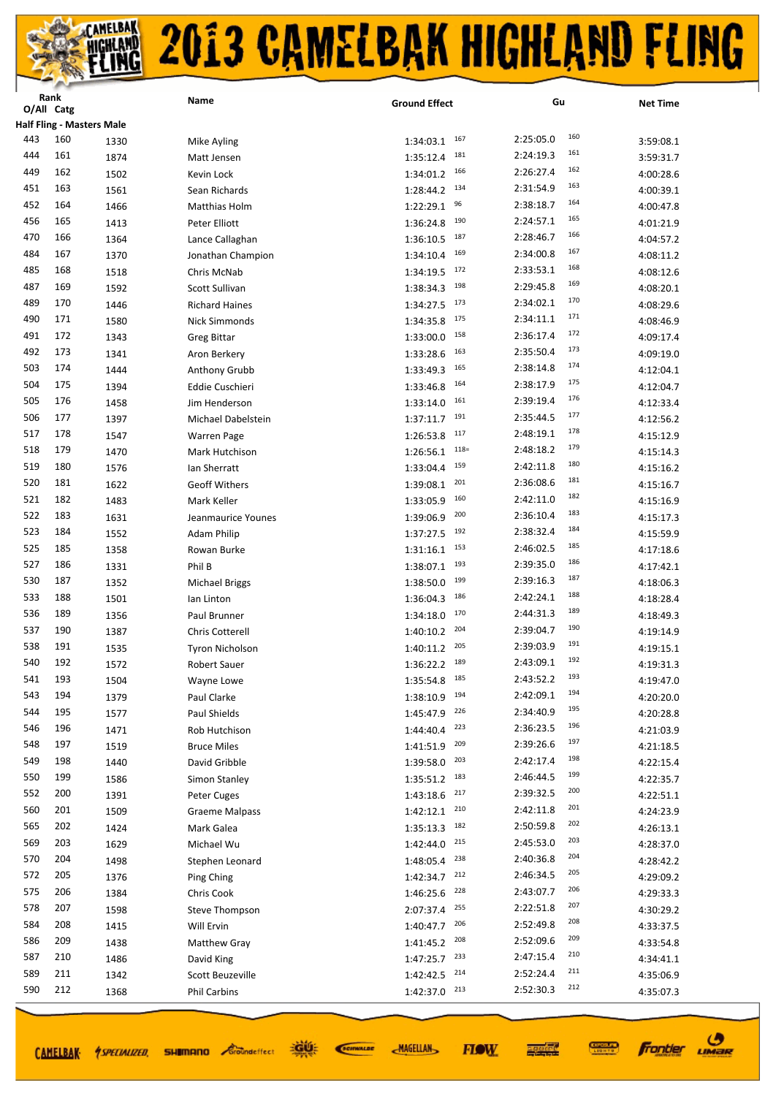|            | nalin<br>O/All Catg |                                  | Name                          | <b>Ground Effect</b>          | Gu                      | <b>Net Time</b>        |
|------------|---------------------|----------------------------------|-------------------------------|-------------------------------|-------------------------|------------------------|
|            |                     | <b>Half Fling - Masters Male</b> |                               |                               |                         |                        |
| 443        | 160                 | 1330                             | Mike Ayling                   | 167<br>1:34:03.1              | 160<br>2:25:05.0        | 3:59:08.1              |
| 444        | 161                 | 1874                             | Matt Jensen                   | 181<br>1:35:12.4              | 161<br>2:24:19.3        | 3:59:31.7              |
| 449        | 162                 | 1502                             | Kevin Lock                    | 166<br>1:34:01.2              | 162<br>2:26:27.4        | 4:00:28.6              |
| 451        | 163                 | 1561                             | Sean Richards                 | 134<br>1:28:44.2              | 163<br>2:31:54.9        |                        |
| 452        | 164                 |                                  |                               | 96<br>1:22:29.1               | 164<br>2:38:18.7        | 4:00:39.1              |
| 456        | 165                 | 1466                             | Matthias Holm                 | 190                           | 165<br>2:24:57.1        | 4:00:47.8              |
| 470        | 166                 | 1413                             | Peter Elliott                 | 1:36:24.8<br>187<br>1:36:10.5 | 166<br>2:28:46.7        | 4:01:21.9              |
| 484        | 167                 | 1364                             | Lance Callaghan               | 169<br>1:34:10.4              | 167<br>2:34:00.8        | 4:04:57.2              |
| 485        | 168                 | 1370                             | Jonathan Champion             | 172                           | 168<br>2:33:53.1        | 4:08:11.2              |
| 487        | 169                 | 1518<br>1592                     | Chris McNab<br>Scott Sullivan | 1:34:19.5<br>198<br>1:38:34.3 | 169<br>2:29:45.8        | 4:08:12.6<br>4:08:20.1 |
| 489        | 170                 | 1446                             |                               | 173<br>1:34:27.5              | 170<br>2:34:02.1        | 4:08:29.6              |
| 490        | 171                 |                                  | <b>Richard Haines</b>         | 175                           | 171<br>2:34:11.1        |                        |
| 491        | 172                 | 1580                             | Nick Simmonds                 | 1:34:35.8<br>158              | 172<br>2:36:17.4        | 4:08:46.9              |
| 492        | 173                 | 1343                             | <b>Greg Bittar</b>            | 1:33:00.0<br>163              | 173<br>2:35:50.4        | 4:09:17.4              |
| 503        | 174                 | 1341                             | Aron Berkery                  | 1:33:28.6<br>165              | 174<br>2:38:14.8        | 4:09:19.0              |
| 504        | 175                 | 1444                             | Anthony Grubb                 | 1:33:49.3<br>164              | 175<br>2:38:17.9        | 4:12:04.1              |
| 505        | 176                 | 1394                             | Eddie Cuschieri               | 1:33:46.8<br>161              | 176<br>2:39:19.4        | 4:12:04.7              |
| 506        | 177                 | 1458                             | Jim Henderson                 | 1:33:14.0<br>191              | 177<br>2:35:44.5        | 4:12:33.4              |
| 517        | 178                 | 1397                             | Michael Dabelstein            | 1:37:11.7<br>117              | 178<br>2:48:19.1        | 4:12:56.2              |
| 518        | 179                 | 1547                             | <b>Warren Page</b>            | 1:26:53.8<br>$118=$           | 179                     | 4:15:12.9              |
| 519        | 180                 | 1470                             | Mark Hutchison                | 1:26:56.1<br>159              | 2:48:18.2<br>180        | 4:15:14.3              |
| 520        | 181                 | 1576                             | Ian Sherratt                  | 1:33:04.4<br>201              | 2:42:11.8<br>181        | 4:15:16.2              |
|            |                     | 1622                             | <b>Geoff Withers</b>          | 1:39:08.1<br>160              | 2:36:08.6<br>182        | 4:15:16.7              |
| 521<br>522 | 182                 | 1483                             | Mark Keller                   | 1:33:05.9                     | 2:42:11.0<br>183        | 4:15:16.9              |
|            | 183                 | 1631                             | Jeanmaurice Younes            | 200<br>1:39:06.9<br>192       | 2:36:10.4<br>184        | 4:15:17.3              |
| 523<br>525 | 184                 | 1552                             | <b>Adam Philip</b>            | 1:37:27.5                     | 2:38:32.4<br>185        | 4:15:59.9              |
|            | 185                 | 1358                             | Rowan Burke                   | 153<br>1:31:16.1              | 2:46:02.5<br>186        | 4:17:18.6              |
| 527        | 186                 | 1331                             | Phil B                        | 193<br>1:38:07.1              | 2:39:35.0<br>187        | 4:17:42.1              |
| 530        | 187                 | 1352                             | <b>Michael Briggs</b>         | 199<br>1:38:50.0              | 2:39:16.3<br>188        | 4:18:06.3              |
| 533        | 188                 | 1501                             | lan Linton                    | 186<br>1:36:04.3              | 2:42:24.1<br>189        | 4:18:28.4              |
| 536        | 189                 | 1356                             | Paul Brunner                  | 170<br>1:34:18.0<br>204       | 2:44:31.3<br>190        | 4:18:49.3              |
| 537        | 190                 | 1387                             | <b>Chris Cotterell</b>        | 1:40:10.2<br>205              | 2:39:04.7<br>191        | 4:19:14.9              |
| 538        | 191                 | 1535                             | <b>Tyron Nicholson</b>        | 1:40:11.2<br>189              | 2:39:03.9<br>192        | 4:19:15.1              |
| 540        | 192                 | 1572                             | <b>Robert Sauer</b>           | 1:36:22.2<br>185              | 2:43:09.1<br>193        | 4:19:31.3              |
| 541        | 193                 | 1504                             | Wayne Lowe                    | 1:35:54.8                     | 2:43:52.2<br>194        | 4:19:47.0              |
| 543        | 194                 | 1379                             | Paul Clarke                   | 194<br>1:38:10.9              | 2:42:09.1<br>195        | 4:20:20.0              |
| 544        | 195                 | 1577                             | Paul Shields                  | 226<br>1:45:47.9              | 2:34:40.9<br>196        | 4:20:28.8              |
| 546        | 196                 | 1471                             | Rob Hutchison                 | 223<br>1:44:40.4              | 2:36:23.5<br>197        | 4:21:03.9              |
| 548        | 197                 | 1519                             | <b>Bruce Miles</b>            | 209<br>1:41:51.9              | 2:39:26.6<br>198        | 4:21:18.5              |
| 549        | 198                 | 1440                             | David Gribble                 | 203<br>1:39:58.0              | 2:42:17.4<br>199        | 4:22:15.4              |
| 550        | 199                 | 1586                             | Simon Stanley                 | 183<br>1:35:51.2              | 2:46:44.5<br>200        | 4:22:35.7              |
| 552        | 200                 | 1391                             | Peter Cuges                   | 217<br>1:43:18.6              | 2:39:32.5<br>201        | 4:22:51.1              |
| 560        | 201                 | 1509                             | <b>Graeme Malpass</b>         | 210<br>1:42:12.1              | 2:42:11.8<br>202        | 4:24:23.9              |
| 565        | 202                 | 1424                             | Mark Galea                    | 182<br>1:35:13.3              | 2:50:59.8<br>203        | 4:26:13.1              |
| 569        | 203                 | 1629                             | Michael Wu                    | 215<br>1:42:44.0              | 2:45:53.0<br>204        | 4:28:37.0              |
| 570        | 204                 | 1498                             | Stephen Leonard               | 238<br>1:48:05.4              | 2:40:36.8<br>205        | 4:28:42.2              |
| 572        | 205                 | 1376                             | Ping Ching                    | 212<br>1:42:34.7              | 2:46:34.5               | 4:29:09.2              |
| 575        | 206                 | 1384                             | Chris Cook                    | 228<br>1:46:25.6              | 206<br>2:43:07.7<br>207 | 4:29:33.3              |
| 578        | 207                 | 1598                             | Steve Thompson                | 255<br>2:07:37.4              | 2:22:51.8<br>208        | 4:30:29.2              |
| 584        | 208                 | 1415                             | Will Ervin                    | 206<br>1:40:47.7              | 2:52:49.8               | 4:33:37.5              |
| 586        | 209                 | 1438                             | Matthew Gray                  | 208<br>1:41:45.2              | 209<br>2:52:09.6        | 4:33:54.8              |
| 587        | 210                 | 1486                             | David King                    | 233<br>1:47:25.7              | 210<br>2:47:15.4        | 4:34:41.1              |
| 589        | 211                 | 1342                             | Scott Beuzeville              | 214<br>1:42:42.5              | 211<br>2:52:24.4        | 4:35:06.9              |
| 590        | 212                 | 1368                             | <b>Phil Carbins</b>           | 213<br>1:42:37.0              | 212<br>2:52:30.3        | 4:35:07.3              |

CAMELBAK *ASPECIALIZED* 

道好 **SHIMANO** *Groundeffect* 

SCIENALDE

**MAGELLAN** 



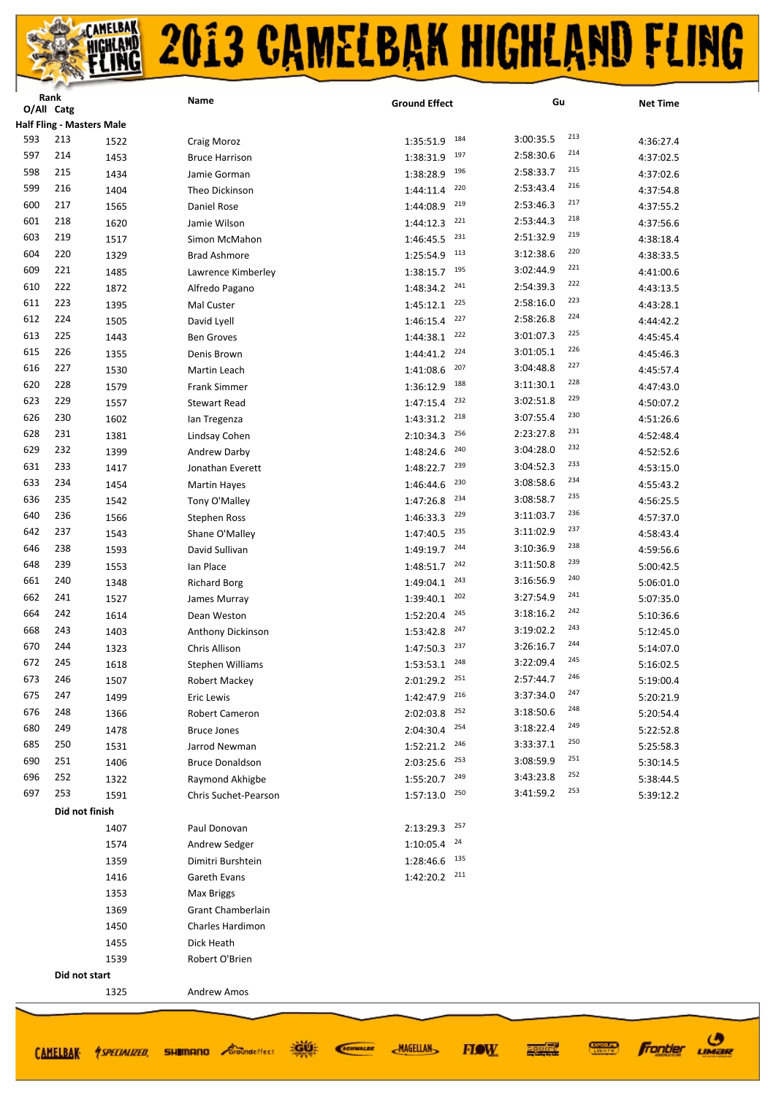|     | Rank<br>O/All Catg |                                  | Name                   | <b>Ground Effect</b> | Gu               | <b>Net Time</b> |
|-----|--------------------|----------------------------------|------------------------|----------------------|------------------|-----------------|
|     |                    | <b>Half Fling - Masters Male</b> |                        |                      |                  |                 |
| 593 | 213                |                                  |                        | 184<br>1:35:51.9     | 213<br>3:00:35.5 |                 |
| 597 | 214                | 1522                             | Craig Moroz            | 197                  | 214<br>2:58:30.6 | 4:36:27.4       |
| 598 | 215                | 1453                             | <b>Bruce Harrison</b>  | 1:38:31.9<br>196     | 215<br>2:58:33.7 | 4:37:02.5       |
| 599 |                    | 1434                             | Jamie Gorman           | 1:38:28.9<br>220     | 216              | 4:37:02.6       |
|     | 216                | 1404                             | Theo Dickinson         | 1:44:11.4<br>219     | 2:53:43.4<br>217 | 4:37:54.8       |
| 600 | 217                | 1565                             | Daniel Rose            | 1:44:08.9<br>221     | 2:53:46.3<br>218 | 4:37:55.2       |
| 601 | 218                | 1620                             | Jamie Wilson           | 1:44:12.3            | 2:53:44.3<br>219 | 4:37:56.6       |
| 603 | 219                | 1517                             | Simon McMahon          | 231<br>1:46:45.5     | 2:51:32.9<br>220 | 4:38:18.4       |
| 604 | 220                | 1329                             | <b>Brad Ashmore</b>    | 113<br>1:25:54.9     | 3:12:38.6<br>221 | 4:38:33.5       |
| 609 | 221                | 1485                             | Lawrence Kimberley     | 195<br>1:38:15.7     | 3:02:44.9<br>222 | 4:41:00.6       |
| 610 | 222                | 1872                             | Alfredo Pagano         | 241<br>1:48:34.2     | 2:54:39.3<br>223 | 4:43:13.5       |
| 611 | 223                | 1395                             | Mal Custer             | 225<br>1:45:12.1     | 2:58:16.0<br>224 | 4:43:28.1       |
| 612 | 224                | 1505                             | David Lyell            | 227<br>1:46:15.4     | 2:58:26.8<br>225 | 4:44:42.2       |
| 613 | 225                | 1443                             | <b>Ben Groves</b>      | 222<br>1:44:38.1     | 3:01:07.3<br>226 | 4:45:45.4       |
| 615 | 226                | 1355                             | Denis Brown            | 224<br>1:44:41.2     | 3:01:05.1<br>227 | 4:45:46.3       |
| 616 | 227                | 1530                             | Martin Leach           | 207<br>1:41:08.6     | 3:04:48.8        | 4:45:57.4       |
| 620 | 228                | 1579                             | Frank Simmer           | 188<br>1:36:12.9     | 228<br>3:11:30.1 | 4:47:43.0       |
| 623 | 229                | 1557                             | <b>Stewart Read</b>    | 232<br>1:47:15.4     | 229<br>3:02:51.8 | 4:50:07.2       |
| 626 | 230                | 1602                             | lan Tregenza           | 218<br>1:43:31.2     | 230<br>3:07:55.4 | 4:51:26.6       |
| 628 | 231                | 1381                             | Lindsay Cohen          | 256<br>2:10:34.3     | 231<br>2:23:27.8 | 4:52:48.4       |
| 629 | 232                | 1399                             | Andrew Darby           | 240<br>1:48:24.6     | 232<br>3:04:28.0 | 4:52:52.6       |
| 631 | 233                | 1417                             | Jonathan Everett       | 239<br>1:48:22.7     | 233<br>3:04:52.3 | 4:53:15.0       |
| 633 | 234                | 1454                             | <b>Martin Hayes</b>    | 230<br>1:46:44.6     | 234<br>3:08:58.6 | 4:55:43.2       |
| 636 | 235                | 1542                             | Tony O'Malley          | 234<br>1:47:26.8     | 235<br>3:08:58.7 | 4:56:25.5       |
| 640 | 236                | 1566                             | <b>Stephen Ross</b>    | 229<br>1:46:33.3     | 236<br>3:11:03.7 | 4:57:37.0       |
| 642 | 237                | 1543                             | Shane O'Malley         | 235<br>1:47:40.5     | 237<br>3:11:02.9 | 4:58:43.4       |
| 646 | 238                | 1593                             | David Sullivan         | 244<br>1:49:19.7     | 238<br>3:10:36.9 | 4:59:56.6       |
| 648 | 239                | 1553                             | lan Place              | 242<br>1:48:51.7     | 239<br>3:11:50.8 | 5:00:42.5       |
| 661 | 240                | 1348                             | <b>Richard Borg</b>    | 243<br>1:49:04.1     | 240<br>3:16:56.9 | 5:06:01.0       |
| 662 | 241                | 1527                             | James Murray           | 202<br>1:39:40.1     | 241<br>3:27:54.9 | 5:07:35.0       |
| 664 | 242                | 1614                             | Dean Weston            | 245<br>1:52:20.4     | 242<br>3:18:16.2 | 5:10:36.6       |
| 668 | 243                | 1403                             | Anthony Dickinson      | 247<br>1:53:42.8     | 243<br>3:19:02.2 | 5:12:45.0       |
| 670 | 244                | 1323                             | Chris Allison          | 237<br>1:47:50.3     | 244<br>3:26:16.7 | 5:14:07.0       |
| 672 | 245                | 1618                             | Stephen Williams       | 248<br>1:53:53.1     | 245<br>3:22:09.4 | 5:16:02.5       |
| 673 | 246                | 1507                             | Robert Mackey          | 251<br>2:01:29.2     | 246<br>2:57:44.7 | 5:19:00.4       |
| 675 | 247                | 1499                             | Eric Lewis             | 216<br>1:42:47.9     | 247<br>3:37:34.0 | 5:20:21.9       |
| 676 | 248                | 1366                             | <b>Robert Cameron</b>  | 252<br>2:02:03.8     | 248<br>3:18:50.6 | 5:20:54.4       |
| 680 | 249                | 1478                             | <b>Bruce Jones</b>     | 254<br>2:04:30.4     | 249<br>3:18:22.4 | 5:22:52.8       |
| 685 | 250                | 1531                             | Jarrod Newman          | 246<br>1:52:21.2     | 250<br>3:33:37.1 | 5:25:58.3       |
| 690 | 251                | 1406                             | <b>Bruce Donaldson</b> | 253<br>2:03:25.6     | 251<br>3:08:59.9 | 5:30:14.5       |
| 696 | 252                | 1322                             | Raymond Akhigbe        | 249<br>1:55:20.7     | 252<br>3:43:23.8 | 5:38:44.5       |
| 697 | 253                | 1591                             | Chris Suchet-Pearson   | 250<br>1:57:13.0     | 253<br>3:41:59.2 | 5:39:12.2       |
|     | Did not finish     |                                  |                        |                      |                  |                 |
|     |                    | 1407                             | Paul Donovan           | 257<br>2:13:29.3     |                  |                 |
|     |                    | 1574                             | Andrew Sedger          | 24<br>1:10:05.4      |                  |                 |
|     |                    | 1359                             | Dimitri Burshtein      | 135<br>1:28:46.6     |                  |                 |
|     |                    | 1416                             | Gareth Evans           | 211<br>1:42:20.2     |                  |                 |
|     |                    | 1353                             | Max Briggs             |                      |                  |                 |
|     |                    | 1369                             | Grant Chamberlain      |                      |                  |                 |
|     |                    | 1450                             | Charles Hardimon       |                      |                  |                 |
|     |                    | 1455                             | Dick Heath             |                      |                  |                 |
|     |                    | 1539                             | Robert O'Brien         |                      |                  |                 |
|     | Did not start      |                                  |                        |                      |                  |                 |
|     |                    | 1325                             | <b>Andrew Amos</b>     |                      |                  |                 |
|     |                    |                                  |                        |                      |                  |                 |
|     |                    |                                  |                        |                      |                  |                 |

CAMELBAK ASPECIALIZED.

**ROOF SHIMANO** *Groundeffect* 

SCIENALDE **MAGELLAN**  agodae

**FIOW** 

**CONNECT** 

 $\boldsymbol{\sigma}$ 

LIMaR

Frantier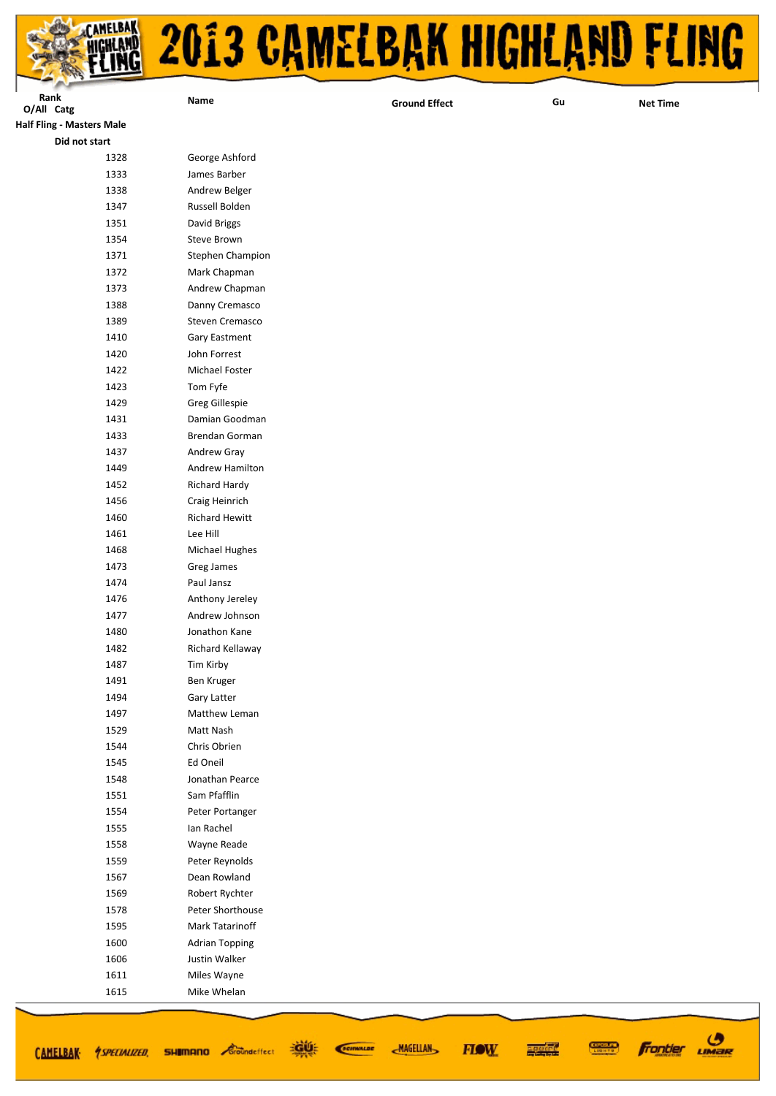

| Rank                             | Name                  |                      | Gu |                 |
|----------------------------------|-----------------------|----------------------|----|-----------------|
| O/All Catg                       |                       | <b>Ground Effect</b> |    | <b>Net Time</b> |
| <b>Half Fling - Masters Male</b> |                       |                      |    |                 |
| Did not start                    |                       |                      |    |                 |
| 1328                             | George Ashford        |                      |    |                 |
| 1333                             | James Barber          |                      |    |                 |
| 1338                             | Andrew Belger         |                      |    |                 |
| 1347                             | Russell Bolden        |                      |    |                 |
| 1351                             | David Briggs          |                      |    |                 |
| 1354                             | Steve Brown           |                      |    |                 |
| 1371                             | Stephen Champion      |                      |    |                 |
| 1372                             | Mark Chapman          |                      |    |                 |
| 1373                             | Andrew Chapman        |                      |    |                 |
| 1388                             | Danny Cremasco        |                      |    |                 |
| 1389                             | Steven Cremasco       |                      |    |                 |
| 1410                             | Gary Eastment         |                      |    |                 |
| 1420                             | John Forrest          |                      |    |                 |
| 1422                             | Michael Foster        |                      |    |                 |
| 1423                             | Tom Fyfe              |                      |    |                 |
| 1429                             | Greg Gillespie        |                      |    |                 |
| 1431                             | Damian Goodman        |                      |    |                 |
| 1433                             | Brendan Gorman        |                      |    |                 |
| 1437                             | Andrew Gray           |                      |    |                 |
| 1449                             | Andrew Hamilton       |                      |    |                 |
| 1452                             | Richard Hardy         |                      |    |                 |
| 1456                             | Craig Heinrich        |                      |    |                 |
| 1460                             | <b>Richard Hewitt</b> |                      |    |                 |
| 1461                             | Lee Hill              |                      |    |                 |
| 1468                             | <b>Michael Hughes</b> |                      |    |                 |
| 1473                             | Greg James            |                      |    |                 |
| 1474                             | Paul Jansz            |                      |    |                 |
| 1476                             | Anthony Jereley       |                      |    |                 |
| 1477                             | Andrew Johnson        |                      |    |                 |
| 1480                             | Jonathon Kane         |                      |    |                 |
| 1482                             | Richard Kellaway      |                      |    |                 |
| 1487                             | Tim Kirby             |                      |    |                 |
| 1491                             | Ben Kruger            |                      |    |                 |
| 1494                             | Gary Latter           |                      |    |                 |
| 1497                             | Matthew Leman         |                      |    |                 |
| 1529                             | Matt Nash             |                      |    |                 |
| 1544                             | Chris Obrien          |                      |    |                 |
| 1545                             | Ed Oneil              |                      |    |                 |
| 1548                             | Jonathan Pearce       |                      |    |                 |
| 1551                             | Sam Pfafflin          |                      |    |                 |
| 1554                             | Peter Portanger       |                      |    |                 |
| 1555                             | Ian Rachel            |                      |    |                 |
| 1558                             | Wayne Reade           |                      |    |                 |
| 1559                             | Peter Reynolds        |                      |    |                 |
| 1567                             | Dean Rowland          |                      |    |                 |
| 1569                             | Robert Rychter        |                      |    |                 |
| 1578                             | Peter Shorthouse      |                      |    |                 |
| 1595                             | Mark Tatarinoff       |                      |    |                 |
| 1600                             | <b>Adrian Topping</b> |                      |    |                 |
| 1606                             | Justin Walker         |                      |    |                 |
| 1611                             | Miles Wayne           |                      |    |                 |
| 1615                             | Mike Whelan           |                      |    |                 |

道好

**SHIMANO** *<i>Groundeffect* 

CAMELBAK *ASPECIALIZED* 

SCIENALDE

**MAGELLAN** 

**Frontier UMBR** 

**CONNECT** 

医硬体质

**FIOW**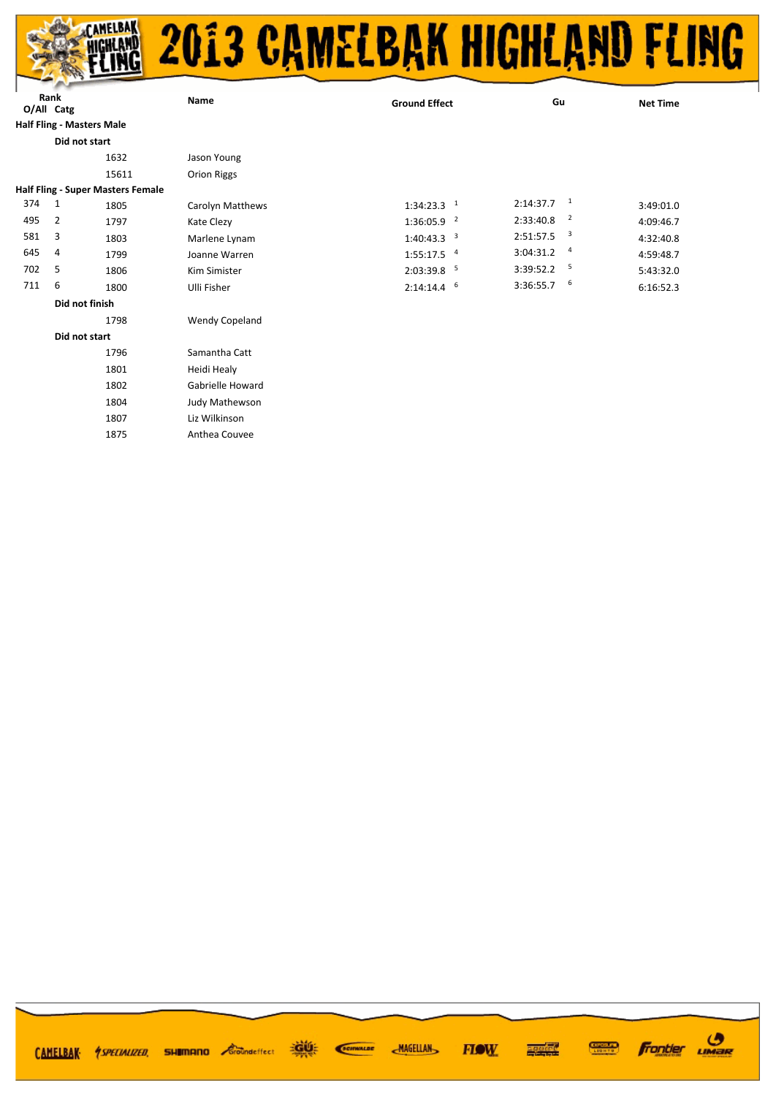

| O/All Catg | Rank           |                                          | Name                  | <b>Ground Effect</b>        | Gu                                    | <b>Net Time</b> |
|------------|----------------|------------------------------------------|-----------------------|-----------------------------|---------------------------------------|-----------------|
|            |                | <b>Half Fling - Masters Male</b>         |                       |                             |                                       |                 |
|            |                | Did not start                            |                       |                             |                                       |                 |
|            |                |                                          |                       |                             |                                       |                 |
|            |                | 1632                                     | Jason Young           |                             |                                       |                 |
|            |                | 15611                                    | Orion Riggs           |                             |                                       |                 |
|            |                | <b>Half Fling - Super Masters Female</b> |                       |                             |                                       |                 |
| 374        | $\overline{1}$ | 1805                                     | Carolyn Matthews      | $1:34:23.3$ <sup>1</sup>    | $\overline{1}$<br>2:14:37.7           | 3:49:01.0       |
| 495        | 2              | 1797                                     | Kate Clezy            | $\overline{2}$<br>1:36:05.9 | $\overline{2}$<br>2:33:40.8           | 4:09:46.7       |
| 581        | 3              | 1803                                     | Marlene Lynam         | 3<br>1:40:43.3              | $\overline{\mathbf{3}}$<br>2:51:57.5  | 4:32:40.8       |
| 645        | 4              | 1799                                     | Joanne Warren         | $1:55:17.5$ <sup>4</sup>    | $\overline{a}$<br>3:04:31.2           | 4:59:48.7       |
| 702        | 5              | 1806                                     | Kim Simister          | -5<br>2:03:39.8             | $\overline{\phantom{0}}$<br>3:39:52.2 | 5:43:32.0       |
| 711        | 6              | 1800                                     | Ulli Fisher           | 6<br>2:14:14.4              | - 6<br>3:36:55.7                      | 6:16:52.3       |
|            |                | Did not finish                           |                       |                             |                                       |                 |
|            |                | 1798                                     | <b>Wendy Copeland</b> |                             |                                       |                 |
|            |                | Did not start                            |                       |                             |                                       |                 |
|            |                | 1796                                     | Samantha Catt         |                             |                                       |                 |
|            |                | 1801                                     | Heidi Healy           |                             |                                       |                 |
|            |                | 1802                                     | Gabrielle Howard      |                             |                                       |                 |

 Judy Mathewson Liz Wilkinson Anthea Couvee

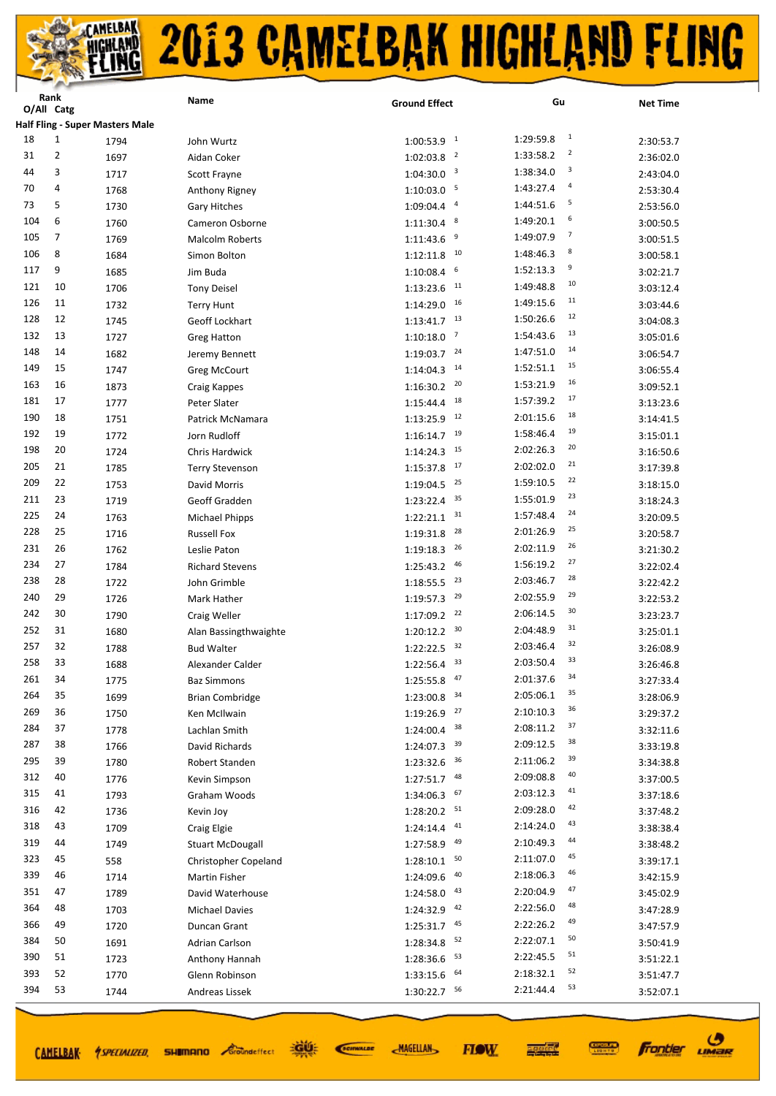|     | <b>Kank</b><br>O/All Catg |                                        | Name                    | <b>Ground Effect</b>        | Gu                          | <b>Net Time</b>        |
|-----|---------------------------|----------------------------------------|-------------------------|-----------------------------|-----------------------------|------------------------|
|     |                           | <b>Half Fling - Super Masters Male</b> |                         |                             |                             |                        |
| 18  | 1                         | 1794                                   | John Wurtz              | $1:00:53.9$ <sup>1</sup>    | $\mathbf{1}$<br>1:29:59.8   | 2:30:53.7              |
| 31  | 2                         | 1697                                   | Aidan Coker             | $\overline{2}$<br>1:02:03.8 | 2<br>1:33:58.2              | 2:36:02.0              |
| 44  | 3                         | 1717                                   |                         | $1:04:30.0$ <sup>3</sup>    | 3<br>1:38:34.0              |                        |
| 70  | 4                         |                                        | Scott Frayne            | $\overline{\phantom{0}}$    | 4<br>1:43:27.4              | 2:43:04.0              |
| 73  | 5                         | 1768                                   | Anthony Rigney          | 1:10:03.0                   | 5<br>1:44:51.6              | 2:53:30.4              |
|     |                           | 1730                                   | Gary Hitches            | $1:09:04.4$ <sup>4</sup>    | 6                           | 2:53:56.0              |
| 104 | 6                         | 1760                                   | Cameron Osborne         | 8<br>1:11:30.4              | 1:49:20.1<br>$\overline{7}$ | 3:00:50.5              |
| 105 | 7                         | 1769                                   | <b>Malcolm Roberts</b>  | 9<br>1:11:43.6              | 1:49:07.9<br>8              | 3:00:51.5              |
| 106 | 8                         | 1684                                   | Simon Bolton            | 10<br>1:12:11.8             | 1:48:46.3                   | 3:00:58.1              |
| 117 | 9                         | 1685                                   | Jim Buda                | 6<br>1:10:08.4              | 9<br>1:52:13.3              | 3:02:21.7              |
| 121 | 10                        | 1706                                   | <b>Tony Deisel</b>      | 11<br>1:13:23.6             | 10<br>1:49:48.8             | 3:03:12.4              |
| 126 | 11                        | 1732                                   | <b>Terry Hunt</b>       | 16<br>1:14:29.0             | 11<br>1:49:15.6             | 3:03:44.6              |
| 128 | 12                        | 1745                                   | Geoff Lockhart          | 13<br>1:13:41.7             | 12<br>1:50:26.6             | 3:04:08.3              |
| 132 | 13                        | 1727                                   | <b>Greg Hatton</b>      | $\overline{7}$<br>1:10:18.0 | 13<br>1:54:43.6             | 3:05:01.6              |
| 148 | 14                        | 1682                                   | Jeremy Bennett          | 24<br>1:19:03.7             | 14<br>1:47:51.0             | 3:06:54.7              |
| 149 | 15                        | 1747                                   | <b>Greg McCourt</b>     | 14<br>1:14:04.3             | 15<br>1:52:51.1             | 3:06:55.4              |
| 163 | 16                        | 1873                                   | Craig Kappes            | 20<br>1:16:30.2             | 16<br>1:53:21.9             | 3:09:52.1              |
| 181 | 17                        | 1777                                   | Peter Slater            | 18<br>1:15:44.4             | 17<br>1:57:39.2             | 3:13:23.6              |
| 190 | 18                        | 1751                                   | Patrick McNamara        | 12<br>1:13:25.9             | 18<br>2:01:15.6             | 3:14:41.5              |
| 192 | 19                        | 1772                                   | Jorn Rudloff            | 19<br>1:16:14.7             | 19<br>1:58:46.4             | 3:15:01.1              |
| 198 | 20                        | 1724                                   | Chris Hardwick          | 15<br>1:14:24.3             | 20<br>2:02:26.3             | 3:16:50.6              |
| 205 | 21                        | 1785                                   | <b>Terry Stevenson</b>  | 17<br>1:15:37.8             | 21<br>2:02:02.0             | 3:17:39.8              |
| 209 | 22                        | 1753                                   | David Morris            | 25<br>1:19:04.5             | 22<br>1:59:10.5             | 3:18:15.0              |
| 211 | 23                        | 1719                                   | Geoff Gradden           | 35<br>1:23:22.4             | 23<br>1:55:01.9             | 3:18:24.3              |
| 225 | 24                        | 1763                                   | <b>Michael Phipps</b>   | 31<br>1:22:21.1             | 24<br>1:57:48.4             | 3:20:09.5              |
| 228 | 25                        | 1716                                   | <b>Russell Fox</b>      | 28<br>1:19:31.8             | 25<br>2:01:26.9             | 3:20:58.7              |
| 231 | 26                        | 1762                                   | Leslie Paton            | 26<br>1:19:18.3             | 26<br>2:02:11.9             | 3:21:30.2              |
| 234 | 27                        | 1784                                   | <b>Richard Stevens</b>  | 46<br>1:25:43.2             | 27<br>1:56:19.2             | 3:22:02.4              |
| 238 | 28                        | 1722                                   | John Grimble            | 23<br>1:18:55.5             | 28<br>2:03:46.7             | 3:22:42.2              |
| 240 | 29                        | 1726                                   | Mark Hather             | 29<br>1:19:57.3             | 29<br>2:02:55.9             | 3:22:53.2              |
| 242 | 30                        | 1790                                   | Craig Weller            | 22<br>1:17:09.2             | 30<br>2:06:14.5             | 3:23:23.7              |
| 252 | 31                        | 1680                                   | Alan Bassingthwaighte   | 30<br>1:20:12.2             | 31<br>2:04:48.9             | 3:25:01.1              |
| 257 | 32                        | 1788                                   | <b>Bud Walter</b>       | 32<br>1:22:22.5             | 32<br>2:03:46.4             | 3:26:08.9              |
| 258 | 33                        | 1688                                   | Alexander Calder        | 33<br>1:22:56.4             | 33<br>2:03:50.4             | 3:26:46.8              |
| 261 | 34                        |                                        |                         | $1:25:55.8$ $47$            | 34<br>2:01:37.6             |                        |
| 264 | 35                        | 1775                                   | <b>Baz Simmons</b>      | 34<br>1:23:00.8             | 35<br>2:05:06.1             | 3:27:33.4<br>3:28:06.9 |
| 269 | 36                        | 1699                                   | <b>Brian Combridge</b>  | 27                          | 36<br>2:10:10.3             |                        |
| 284 | 37                        | 1750                                   | Ken McIlwain            | 1:19:26.9<br>38             | 37<br>2:08:11.2             | 3:29:37.2              |
| 287 | 38                        | 1778                                   | Lachlan Smith           | 1:24:00.4<br>39             | 38<br>2:09:12.5             | 3:32:11.6              |
| 295 | 39                        | 1766                                   | David Richards          | 1:24:07.3<br>36             | 39<br>2:11:06.2             | 3:33:19.8              |
|     |                           | 1780                                   | Robert Standen          | 1:23:32.6                   | 40                          | 3:34:38.8              |
| 312 | 40                        | 1776                                   | Kevin Simpson           | 48<br>1:27:51.7             | 2:09:08.8<br>41             | 3:37:00.5              |
| 315 | 41                        | 1793                                   | Graham Woods            | 67<br>1:34:06.3             | 2:03:12.3<br>42             | 3:37:18.6              |
| 316 | 42                        | 1736                                   | Kevin Joy               | 51<br>1:28:20.2             | 2:09:28.0<br>43             | 3:37:48.2              |
| 318 | 43                        | 1709                                   | Craig Elgie             | 41<br>1:24:14.4             | 2:14:24.0<br>44             | 3:38:38.4              |
| 319 | 44                        | 1749                                   | <b>Stuart McDougall</b> | 49<br>1:27:58.9             | 2:10:49.3                   | 3:38:48.2              |
| 323 | 45                        | 558                                    | Christopher Copeland    | 50<br>1:28:10.1             | 45<br>2:11:07.0             | 3:39:17.1              |
| 339 | 46                        | 1714                                   | Martin Fisher           | 40<br>1:24:09.6             | 46<br>2:18:06.3             | 3:42:15.9              |
| 351 | 47                        | 1789                                   | David Waterhouse        | 43<br>1:24:58.0             | 47<br>2:20:04.9             | 3:45:02.9              |
| 364 | 48                        | 1703                                   | <b>Michael Davies</b>   | 42<br>1:24:32.9             | 48<br>2:22:56.0             | 3:47:28.9              |
| 366 | 49                        | 1720                                   | Duncan Grant            | 45<br>1:25:31.7             | 49<br>2:22:26.2             | 3:47:57.9              |
| 384 | 50                        | 1691                                   | Adrian Carlson          | 52<br>1:28:34.8             | 50<br>2:22:07.1             | 3:50:41.9              |
| 390 | 51                        | 1723                                   | Anthony Hannah          | 53<br>1:28:36.6             | 51<br>2:22:45.5             | 3:51:22.1              |
| 393 | 52                        | 1770                                   | Glenn Robinson          | 64<br>1:33:15.6             | 52<br>2:18:32.1             | 3:51:47.7              |
| 394 | 53                        | 1744                                   | Andreas Lissek          | 56<br>1:30:22.7             | 53<br>2:21:44.4             | 3:52:07.1              |
|     |                           |                                        |                         |                             |                             |                        |

CAMELBAK *ASPECIALIZED* 

**SHIMANO** *Groundeffect* 

道理 SCIENALDE **MAGELLAN** 

**FIOW** 



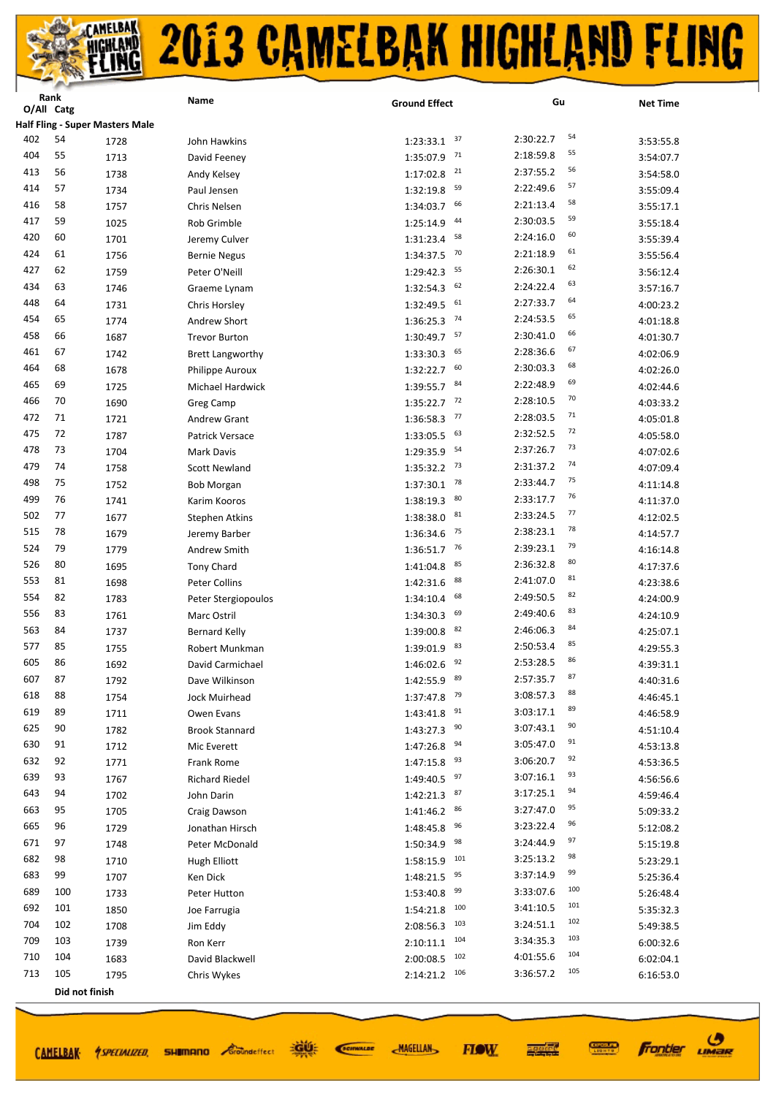|     | Rank<br>O/All Catg |                                        | Name                    | <b>Ground Effect</b> | Gu               | <b>Net Time</b> |
|-----|--------------------|----------------------------------------|-------------------------|----------------------|------------------|-----------------|
|     |                    | <b>Half Fling - Super Masters Male</b> |                         |                      |                  |                 |
| 402 | 54                 | 1728                                   | John Hawkins            | 37<br>1:23:33.1      | 54<br>2:30:22.7  | 3:53:55.8       |
| 404 | 55                 | 1713                                   | David Feeney            | 71<br>1:35:07.9      | 55<br>2:18:59.8  | 3:54:07.7       |
| 413 | 56                 | 1738                                   |                         | 21<br>1:17:02.8      | 56<br>2:37:55.2  | 3:54:58.0       |
| 414 | 57                 | 1734                                   | Andy Kelsey             | 59<br>1:32:19.8      | 57<br>2:22:49.6  |                 |
| 416 | 58                 |                                        | Paul Jensen             | 66                   | 58<br>2:21:13.4  | 3:55:09.4       |
| 417 | 59                 | 1757                                   | Chris Nelsen            | 1:34:03.7<br>44      | 59<br>2:30:03.5  | 3:55:17.1       |
| 420 | 60                 | 1025                                   | <b>Rob Grimble</b>      | 1:25:14.9<br>58      | 60<br>2:24:16.0  | 3:55:18.4       |
| 424 | 61                 | 1701                                   | Jeremy Culver           | 1:31:23.4<br>70      | 61<br>2:21:18.9  | 3:55:39.4       |
| 427 | 62                 | 1756                                   | <b>Bernie Negus</b>     | 1:34:37.5            | 62               | 3:55:56.4       |
|     |                    | 1759                                   | Peter O'Neill           | 55<br>1:29:42.3      | 2:26:30.1<br>63  | 3:56:12.4       |
| 434 | 63                 | 1746                                   | Graeme Lynam            | 62<br>1:32:54.3      | 2:24:22.4<br>64  | 3:57:16.7       |
| 448 | 64                 | 1731                                   | Chris Horsley           | 61<br>1:32:49.5      | 2:27:33.7<br>65  | 4:00:23.2       |
| 454 | 65                 | 1774                                   | Andrew Short            | 74<br>1:36:25.3      | 2:24:53.5<br>66  | 4:01:18.8       |
| 458 | 66                 | 1687                                   | <b>Trevor Burton</b>    | 57<br>1:30:49.7      | 2:30:41.0<br>67  | 4:01:30.7       |
| 461 | 67                 | 1742                                   | <b>Brett Langworthy</b> | 65<br>1:33:30.3      | 2:28:36.6<br>68  | 4:02:06.9       |
| 464 | 68                 | 1678                                   | Philippe Auroux         | 60<br>1:32:22.7      | 2:30:03.3<br>69  | 4:02:26.0       |
| 465 | 69                 | 1725                                   | Michael Hardwick        | 84<br>1:39:55.7      | 2:22:48.9<br>70  | 4:02:44.6       |
| 466 | 70                 | 1690                                   | Greg Camp               | 72<br>1:35:22.7      | 2:28:10.5<br>71  | 4:03:33.2       |
| 472 | 71                 | 1721                                   | <b>Andrew Grant</b>     | 77<br>1:36:58.3      | 2:28:03.5        | 4:05:01.8       |
| 475 | 72                 | 1787                                   | Patrick Versace         | 63<br>1:33:05.5      | 72<br>2:32:52.5  | 4:05:58.0       |
| 478 | 73                 | 1704                                   | Mark Davis              | 54<br>1:29:35.9      | 73<br>2:37:26.7  | 4:07:02.6       |
| 479 | 74                 | 1758                                   | <b>Scott Newland</b>    | 73<br>1:35:32.2      | 74<br>2:31:37.2  | 4:07:09.4       |
| 498 | 75                 | 1752                                   | <b>Bob Morgan</b>       | 78<br>1:37:30.1      | 75<br>2:33:44.7  | 4:11:14.8       |
| 499 | 76                 | 1741                                   | Karim Kooros            | 80<br>1:38:19.3      | 76<br>2:33:17.7  | 4:11:37.0       |
| 502 | 77                 | 1677                                   | <b>Stephen Atkins</b>   | 81<br>1:38:38.0      | 77<br>2:33:24.5  | 4:12:02.5       |
| 515 | 78                 | 1679                                   | Jeremy Barber           | 75<br>1:36:34.6      | 78<br>2:38:23.1  | 4:14:57.7       |
| 524 | 79                 | 1779                                   | Andrew Smith            | 76<br>1:36:51.7      | 79<br>2:39:23.1  | 4:16:14.8       |
| 526 | 80                 | 1695                                   | <b>Tony Chard</b>       | 85<br>1:41:04.8      | 80<br>2:36:32.8  | 4:17:37.6       |
| 553 | 81                 | 1698                                   | Peter Collins           | 88<br>1:42:31.6      | 81<br>2:41:07.0  | 4:23:38.6       |
| 554 | 82                 | 1783                                   | Peter Stergiopoulos     | 68<br>1:34:10.4      | 82<br>2:49:50.5  | 4:24:00.9       |
| 556 | 83                 | 1761                                   | Marc Ostril             | 69<br>1:34:30.3      | 83<br>2:49:40.6  | 4:24:10.9       |
| 563 | 84                 | 1737                                   | <b>Bernard Kelly</b>    | 82<br>1:39:00.8      | 84<br>2:46:06.3  | 4:25:07.1       |
| 577 | 85                 | 1755                                   | Robert Munkman          | 83<br>1:39:01.9      | 85<br>2:50:53.4  | 4:29:55.3       |
| 605 | 86                 | 1692                                   | David Carmichael        | 92<br>1:46:02.6      | 86<br>2:53:28.5  | 4:39:31.1       |
| 607 | 87                 | 1792                                   | Dave Wilkinson          | $1:42:55.9$ $89$     | 87<br>2:57:35.7  | 4:40:31.6       |
| 618 | 88                 | 1754                                   | Jock Muirhead           | 79<br>1:37:47.8      | 88<br>3:08:57.3  | 4:46:45.1       |
| 619 | 89                 | 1711                                   | Owen Evans              | 91<br>1:43:41.8      | 89<br>3:03:17.1  | 4:46:58.9       |
| 625 | 90                 | 1782                                   | <b>Brook Stannard</b>   | 90<br>1:43:27.3      | 90<br>3:07:43.1  | 4:51:10.4       |
| 630 | 91                 | 1712                                   | Mic Everett             | 94<br>1:47:26.8      | 91<br>3:05:47.0  | 4:53:13.8       |
| 632 | 92                 | 1771                                   | <b>Frank Rome</b>       | 93<br>1:47:15.8      | 92<br>3:06:20.7  | 4:53:36.5       |
| 639 | 93                 | 1767                                   | <b>Richard Riedel</b>   | 97<br>1:49:40.5      | 93<br>3:07:16.1  | 4:56:56.6       |
| 643 | 94                 | 1702                                   | John Darin              | 87<br>1:42:21.3      | 94<br>3:17:25.1  | 4:59:46.4       |
| 663 | 95                 | 1705                                   | Craig Dawson            | 86<br>1:41:46.2      | 95<br>3:27:47.0  | 5:09:33.2       |
| 665 | 96                 | 1729                                   | Jonathan Hirsch         | 96<br>1:48:45.8      | 96<br>3:23:22.4  | 5:12:08.2       |
| 671 | 97                 | 1748                                   | Peter McDonald          | 98<br>1:50:34.9      | 97<br>3:24:44.9  | 5:15:19.8       |
| 682 | 98                 | 1710                                   | Hugh Elliott            | 101<br>1:58:15.9     | 98<br>3:25:13.2  | 5:23:29.1       |
| 683 | 99                 | 1707                                   | Ken Dick                | 95<br>1:48:21.5      | 99<br>3:37:14.9  | 5:25:36.4       |
| 689 | 100                | 1733                                   | Peter Hutton            | 99<br>1:53:40.8      | 100<br>3:33:07.6 | 5:26:48.4       |
| 692 | 101                | 1850                                   | Joe Farrugia            | 100<br>1:54:21.8     | 101<br>3:41:10.5 | 5:35:32.3       |
| 704 | 102                | 1708                                   | Jim Eddy                | 103<br>2:08:56.3     | 102<br>3:24:51.1 | 5:49:38.5       |
| 709 | 103                | 1739                                   | Ron Kerr                | 104<br>2:10:11.1     | 103<br>3:34:35.3 | 6:00:32.6       |
| 710 | 104                | 1683                                   | David Blackwell         | 102<br>2:00:08.5     | 104<br>4:01:55.6 | 6:02:04.1       |
| 713 | 105                | 1795                                   | Chris Wykes             | 106<br>2:14:21.2     | 105<br>3:36:57.2 | 6:16:53.0       |
|     |                    | Did not finish                         |                         |                      |                  |                 |
|     |                    |                                        |                         |                      |                  |                 |

CAMELBAK 4SPECIALIZED, SHIMMANO Coomdeffect

道好 SCIENALDE

**MAGELLAN** 

医硬体质 **FIOW** 

**Frontier UMBR** 

**CONNECT**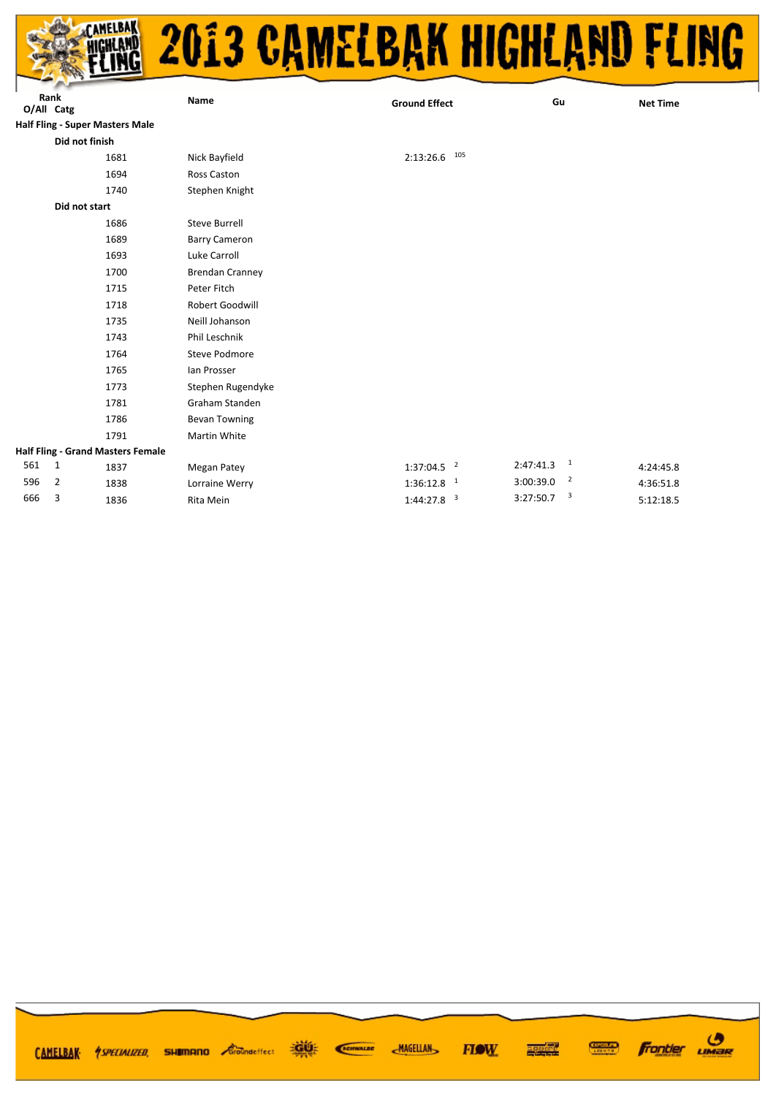

|            | Rank           |                                        | Name                   | <b>Ground Effect</b>     | Gu                                    | <b>Net Time</b> |
|------------|----------------|----------------------------------------|------------------------|--------------------------|---------------------------------------|-----------------|
| O/All Catg |                |                                        |                        |                          |                                       |                 |
|            |                | <b>Half Fling - Super Masters Male</b> |                        |                          |                                       |                 |
|            | Did not finish |                                        |                        |                          |                                       |                 |
|            |                | 1681                                   | Nick Bayfield          | 105<br>2:13:26.6         |                                       |                 |
|            |                | 1694                                   | Ross Caston            |                          |                                       |                 |
|            |                | 1740                                   | Stephen Knight         |                          |                                       |                 |
|            | Did not start  |                                        |                        |                          |                                       |                 |
|            |                | 1686                                   | <b>Steve Burrell</b>   |                          |                                       |                 |
|            |                | 1689                                   | <b>Barry Cameron</b>   |                          |                                       |                 |
|            |                | 1693                                   | Luke Carroll           |                          |                                       |                 |
|            |                | 1700                                   | <b>Brendan Cranney</b> |                          |                                       |                 |
|            |                | 1715                                   | Peter Fitch            |                          |                                       |                 |
|            |                | 1718                                   | Robert Goodwill        |                          |                                       |                 |
|            |                | 1735                                   | Neill Johanson         |                          |                                       |                 |
|            |                | 1743                                   | Phil Leschnik          |                          |                                       |                 |
|            |                | 1764                                   | Steve Podmore          |                          |                                       |                 |
|            |                | 1765                                   | lan Prosser            |                          |                                       |                 |
|            |                | 1773                                   | Stephen Rugendyke      |                          |                                       |                 |
|            |                | 1781                                   | Graham Standen         |                          |                                       |                 |
|            |                | 1786                                   | <b>Bevan Towning</b>   |                          |                                       |                 |
|            |                | 1791                                   | Martin White           |                          |                                       |                 |
|            |                | Half Fling - Grand Masters Female      |                        |                          |                                       |                 |
| 561        | $\mathbf{1}$   | 1837                                   | Megan Patey            | $1:37:04.5$ <sup>2</sup> | 2:47:41.3<br>$\overline{\phantom{a}}$ | 4:24:45.8       |
| 596        | 2              | 1838                                   | Lorraine Werry         | $1:36:12.8$ <sup>1</sup> | $\overline{\phantom{a}}$<br>3:00:39.0 | 4:36:51.8       |
| 666        | 3              | 1836                                   | Rita Mein              | $1:44:27.8$ <sup>3</sup> | $\overline{\mathbf{3}}$<br>3:27:50.7  | 5:12:18.5       |
|            |                |                                        |                        |                          |                                       |                 |

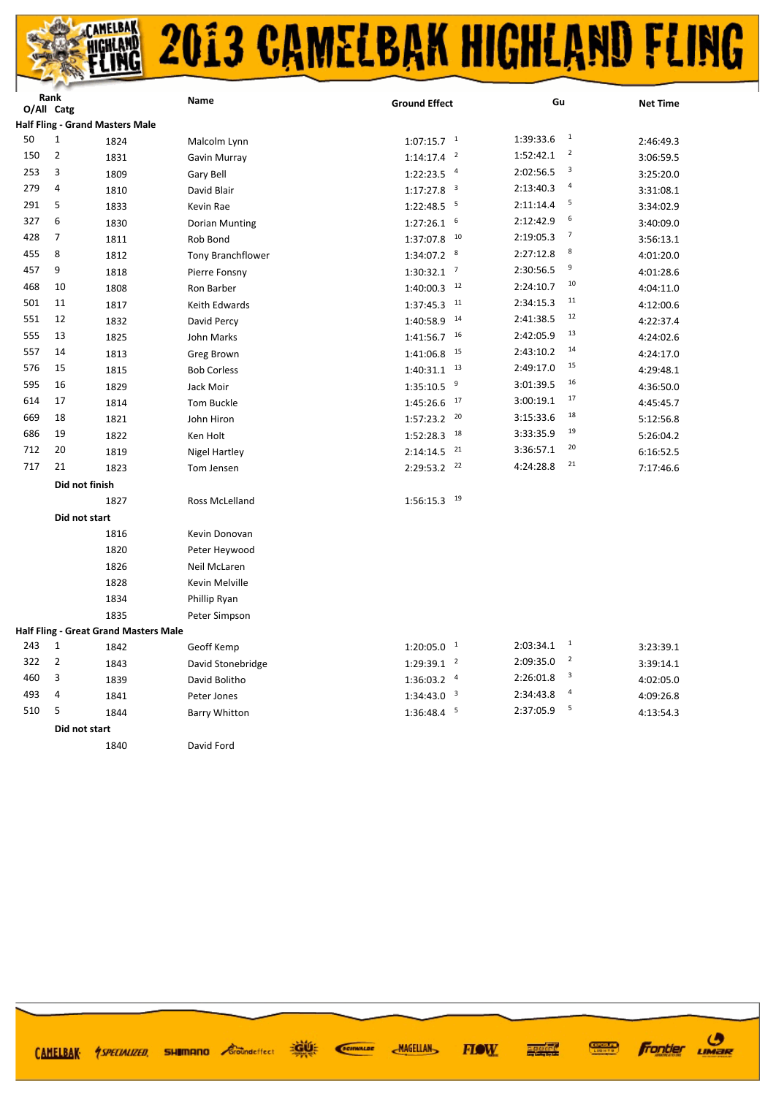| Rank<br>O/All Catg |                |                                        | Name                     | <b>Ground Effect</b>     |                         | Gu        |                | <b>Net Time</b> |
|--------------------|----------------|----------------------------------------|--------------------------|--------------------------|-------------------------|-----------|----------------|-----------------|
|                    |                | <b>Half Fling - Grand Masters Male</b> |                          |                          |                         |           |                |                 |
| 50                 | 1              | 1824                                   | Malcolm Lynn             | $1:07:15.7$ <sup>1</sup> |                         | 1:39:33.6 | $\mathbf{1}$   | 2:46:49.3       |
| 150                | $\overline{2}$ | 1831                                   | Gavin Murray             | 1:14:17.4                | $\overline{\mathbf{2}}$ | 1:52:42.1 | $\overline{2}$ | 3:06:59.5       |
| 253                | 3              | 1809                                   | Gary Bell                | 1:22:23.5                | $\overline{a}$          | 2:02:56.5 | 3              | 3:25:20.0       |
| 279                | 4              | 1810                                   | David Blair              | 1:17:27.8                | $\overline{\mathbf{3}}$ | 2:13:40.3 | 4              | 3:31:08.1       |
| 291                | 5              | 1833                                   | Kevin Rae                | 1:22:48.5                | 5                       | 2:11:14.4 | 5              | 3:34:02.9       |
| 327                | 6              | 1830                                   | Dorian Munting           | 1:27:26.1                | 6                       | 2:12:42.9 | 6              | 3:40:09.0       |
| 428                | $\overline{7}$ | 1811                                   | Rob Bond                 | 1:37:07.8                | 10                      | 2:19:05.3 | $\overline{7}$ | 3:56:13.1       |
| 455                | 8              | 1812                                   | <b>Tony Branchflower</b> | 1:34:07.2                | 8                       | 2:27:12.8 | 8              | 4:01:20.0       |
| 457                | 9              | 1818                                   | Pierre Fonsny            | $1:30:32.1$ <sup>7</sup> |                         | 2:30:56.5 | 9              | 4:01:28.6       |
| 468                | 10             | 1808                                   | Ron Barber               | 1:40:00.3                | 12                      | 2:24:10.7 | 10             | 4:04:11.0       |
| 501                | 11             | 1817                                   | Keith Edwards            | 1:37:45.3                | 11                      | 2:34:15.3 | 11             | 4:12:00.6       |
| 551                | 12             | 1832                                   | David Percy              | 1:40:58.9                | 14                      | 2:41:38.5 | 12             | 4:22:37.4       |
| 555                | 13             | 1825                                   | John Marks               | 1:41:56.7                | 16                      | 2:42:05.9 | 13             | 4:24:02.6       |
| 557                | 14             | 1813                                   | Greg Brown               | 1:41:06.8                | 15                      | 2:43:10.2 | 14             | 4:24:17.0       |
| 576                | 15             | 1815                                   | <b>Bob Corless</b>       | 1:40:31.1                | 13                      | 2:49:17.0 | 15             | 4:29:48.1       |
| 595                | 16             | 1829                                   | Jack Moir                | 1:35:10.5                | 9                       | 3:01:39.5 | 16             | 4:36:50.0       |
| 614                | 17             | 1814                                   | Tom Buckle               | 1:45:26.6                | 17                      | 3:00:19.1 | 17             | 4:45:45.7       |
| 669                | 18             | 1821                                   | John Hiron               | 1:57:23.2                | 20                      | 3:15:33.6 | 18             | 5:12:56.8       |
| 686                | 19             | 1822                                   | Ken Holt                 | 1:52:28.3                | 18                      | 3:33:35.9 | 19             | 5:26:04.2       |
| 712                | 20             | 1819                                   | Nigel Hartley            | 2:14:14.5                | 21                      | 3:36:57.1 | 20             | 6:16:52.5       |
| 717                | 21             | 1823                                   | Tom Jensen               | 2:29:53.2                | 22                      | 4:24:28.8 | 21             | 7:17:46.6       |
|                    |                | Did not finish                         |                          |                          |                         |           |                |                 |
|                    |                | 1827                                   | Ross McLelland           | 1:56:15.3                | 19                      |           |                |                 |
|                    |                | Did not start                          |                          |                          |                         |           |                |                 |
|                    |                | 1816                                   | Kevin Donovan            |                          |                         |           |                |                 |
|                    |                | 1820                                   | Peter Heywood            |                          |                         |           |                |                 |
|                    |                | 1826                                   | Neil McLaren             |                          |                         |           |                |                 |
|                    |                | 1828                                   | Kevin Melville           |                          |                         |           |                |                 |
|                    |                | 1834                                   | Phillip Ryan             |                          |                         |           |                |                 |
|                    |                | 1835                                   | Peter Simpson            |                          |                         |           |                |                 |
|                    |                | Half Fling - Great Grand Masters Male  |                          |                          |                         |           |                |                 |
| 243                | 1              | 1842                                   | Geoff Kemp               | $1:20:05.0$ <sup>1</sup> |                         | 2:03:34.1 | $\mathbf{1}$   | 3:23:39.1       |
| 322                | $\overline{2}$ | 1843                                   | David Stonebridge        | $1:29:39.1$ <sup>2</sup> |                         | 2:09:35.0 | $\mathbf 2$    | 3:39:14.1       |
| 460                | 3              | 1839                                   | David Bolitho            | $1:36:03.2$ <sup>4</sup> |                         | 2:26:01.8 | 3              | 4:02:05.0       |
| 493                | 4              | 1841                                   | Peter Jones              | 1:34:43.0                | $\overline{\mathbf{3}}$ | 2:34:43.8 | 4              | 4:09:26.8       |
| 510                | 5              | 1844                                   | <b>Barry Whitton</b>     | 1:36:48.4                | 5                       | 2:37:05.9 | 5              | 4:13:54.3       |
|                    |                | Did not start                          |                          |                          |                         |           |                |                 |

David Ford

遊話 **SHIMANO** *<i>Groundeffect* CAMELBAK *ASPECIALIZED* 

**MAGELLAN FIOW** 

SCIENALDE

**Frontier UMBR** 

**CONDER** 

再生性